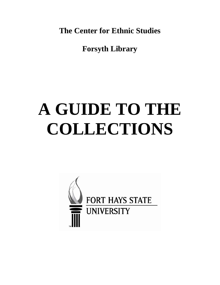**The Center for Ethnic Studies**

**Forsyth Library**

# **A GUIDE TO THE COLLECTIONS**

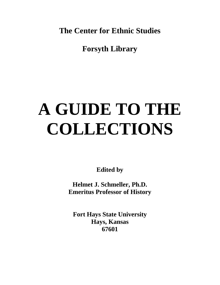**The Center for Ethnic Studies**

**Forsyth Library**

# **A GUIDE TO THE COLLECTIONS**

**Edited by**

**Helmet J. Schmeller, Ph.D. Emeritus Professor of History**

**Fort Hays State University Hays, Kansas 67601**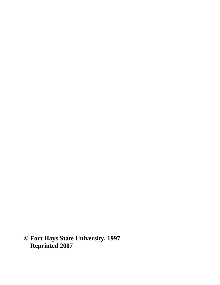**© Fort Hays State University, 1997 Reprinted 2007**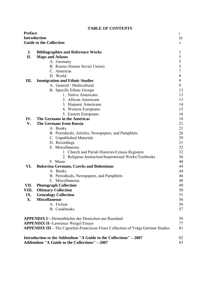|                                                                  |                                            | TABLE OF CONTENTS                                                                     |                |
|------------------------------------------------------------------|--------------------------------------------|---------------------------------------------------------------------------------------|----------------|
| <b>Preface</b>                                                   |                                            |                                                                                       | $\mathbf{i}$   |
| <b>Introduction</b>                                              |                                            |                                                                                       | 111            |
|                                                                  | <b>Guide to the Collection</b>             |                                                                                       | V              |
|                                                                  |                                            |                                                                                       |                |
| I.                                                               |                                            | <b>Bibliographies and Reference Works</b>                                             | 1              |
| II.                                                              | <b>Maps and Atlases</b>                    |                                                                                       | 5              |
|                                                                  |                                            | A. Germany                                                                            | 5              |
|                                                                  |                                            | B. Russia (former Soviet Union)                                                       | 5              |
|                                                                  |                                            | C. Americas                                                                           | $\overline{7}$ |
|                                                                  |                                            | D. World                                                                              | 8              |
|                                                                  |                                            |                                                                                       |                |
| Ш.                                                               |                                            | <b>Immigration and Ethnic Studies</b>                                                 | 9              |
|                                                                  |                                            | A. General / Multicultural                                                            | 9              |
|                                                                  |                                            | B. Specific Ethnic Groups                                                             | 13             |
|                                                                  |                                            | 1. Native Americans                                                                   | 13             |
|                                                                  |                                            | 2. African Americans                                                                  | 13             |
|                                                                  |                                            | 3. Hispanic Americans                                                                 | 14             |
|                                                                  |                                            | 4. Western Europeans                                                                  | 15             |
|                                                                  |                                            | 5. Eastern Europeans                                                                  | 16             |
| IV.                                                              |                                            | The Germans in the Americas                                                           | 18             |
| V.                                                               |                                            | <b>The Germans from Russia</b>                                                        | 21             |
|                                                                  |                                            | A. Books                                                                              | 21             |
|                                                                  |                                            | B. Periodicals, Articles, Newspapers, and Pamphlets                                   | 26             |
|                                                                  |                                            | C. Unpublished Materials                                                              | 29             |
|                                                                  |                                            | D. Recordings                                                                         | 31             |
|                                                                  |                                            | E. Miscellaneous                                                                      | 32             |
|                                                                  |                                            |                                                                                       | 32             |
|                                                                  |                                            | 1. Church and Parish Histories/Census Registers                                       |                |
|                                                                  |                                            | 2. Religious Instruction/Inspirational Works/Textbooks                                | 36             |
|                                                                  |                                            | F. Music                                                                              | 40             |
| VI.                                                              |                                            | <b>Bukovina Germans, Czechs and Bohemians</b>                                         | 44             |
|                                                                  |                                            | A. Books                                                                              | 44             |
|                                                                  |                                            | B. Periodicals, Newspapers, and Pamphlets                                             | 46             |
|                                                                  |                                            | C. Miscellaneous                                                                      | 48             |
| VII.                                                             |                                            | <b>Photograph Collection</b>                                                          | 49             |
| VIII.                                                            |                                            | <b>Obituary Collection</b>                                                            | 50             |
| IX.                                                              |                                            | <b>Genealogy Collection</b>                                                           | 51             |
| X.                                                               | <b>Miscellaneous</b>                       |                                                                                       | 56             |
|                                                                  |                                            | A. Fiction                                                                            | 56             |
|                                                                  |                                            | <b>B.</b> Cookbooks                                                                   | 57             |
|                                                                  |                                            |                                                                                       |                |
|                                                                  |                                            | <b>APPENDIX I---Heimatbücher der Deutschen aus Russland</b>                           | 58             |
|                                                                  | <b>APPENDIX II--Lawrence Weigel Essays</b> |                                                                                       |                |
|                                                                  |                                            | <b>APPENDIX III—The Capuchin-Franciscan Friars Collection of Volga German Studies</b> | 77<br>81       |
|                                                                  |                                            |                                                                                       |                |
|                                                                  |                                            |                                                                                       |                |
| Introduction to the Addendum "A Guide to the Collections" – 2007 |                                            |                                                                                       | 82             |
|                                                                  |                                            | Addendum "A Guide to the Collections" - 2007                                          | 83             |

# **TABLE OF CONTENTS**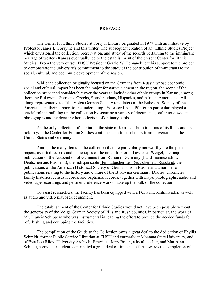#### **PREFACE**

 The Center for Ethnic Studies at Forsyth Library originated in 1977 with an initiative by Professor James L. Forsythe and this writer. The subsequent creation of an "Ethnic Studies Project" which envisioned the collection, preservation, and study of the records pertaining to the immigrant heritage of western Kansas eventually led to the establishment of the present Center for Ethnic Studies. From the very outset, FHSU President Gerald W. Tomanek lent his support to the project to demonstrate the university's commitment to the study of the contribution of immigrants to the social, cultural, and economic development of the region.

 While the collection originally focused on the Germans from Russia whose economic, social and cultural impact has been the major formative element in the region, the scope of the collection broadened considerably over the years to include other ethnic groups in Kansas, among them the Bukowina Germans, Czechs, Scandinavians, Hispanics, and African Americans. All along, representatives of the Volga German Society (and later) of the Bukovina Society of the Americas lent their support to the undertaking. Professor Leona Pfeifer, in particular, played a crucial role in building up the collection by securing a variety of documents, oral interviews, and photographs and by donating her collection of obituary cards.

 As the only collection of its kind in the state of Kansas -- both in terms of its focus and its holdings -- the Center for Ethnic Studies continues to attract scholars from universities in the United States and Germany.

Among the many items in the collection that are particularly noteworthy are the personal papers, assorted records and audio tapes of the noted folklorist Lawrence Weigel; the major publication of the Association of Germans from Russia in Germany (Landsmannschaft der Deutschen aus Russland), the indispensable Heimatbücher der Deutschen aus Russland; the publications of the American Historical Society of Germans from Russia and a number of publications relating to the history and culture of the Bukovina Germans. Diaries, chronicles, family histories, census records, and baptismal records, together with maps, photographs, audio and video tape recordings and pertinent reference works make up the bulk of the collection.

To assist researchers, the facility has been equipped with a PC, a microfilm reader, as well as audio and video playback equipment.

 The establishment of the Center for Ethnic Studies would not have been possible without the generosity of the Volga German Society of Ellis and Rush counties, in particular, the work of Mr. Francis Schippers who was instrumental in leading the effort to provide the needed funds for refurbishing and equipping the facilities.

The compilation of the Guide to the Collection owes a great deal to the dedication of Phyllis Schmidt, former Public Service Librarian at FHSU and currently at Montana State University, and of Esta Lou Riley, University Archivist Emeritus. Jerry Braun, a local teacher, and Marthann Schulte, a graduate student, contributed a great deal of time and effort towards the completion of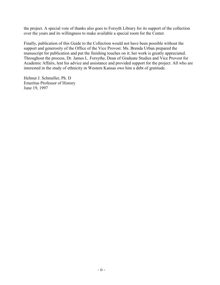the project. A special vote of thanks also goes to Forsyth Library for its support of the collection over the years and its willingness to make available a special room for the Center.

Finally, publication of this Guide to the Collection would not have been possible without the support and generosity of the Office of the Vice Provost. Ms. Brenda Urban prepared the manuscript for publication and put the finishing touches on it; her work is greatly appreciated. Throughout the process, Dr. James L. Forsythe, Dean of Graduate Studies and Vice Provost for Academic Affairs, lent his advice and assistance and provided support for the project. All who are interested in the study of ethnicity in Western Kansas owe him a debt of gratitude.

Helmut J. Schmeller, Ph. D Emeritus Professor of History June 19, 1997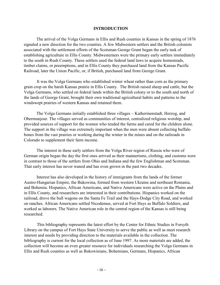## **INTRODUCTION**

The arrival of the Volga Germans in Ellis and Rush counties in Kansas in the spring of 1876 signaled a new direction for the two counties. A few Midwestern settlers and the British colonists associated with the settlement efforts of the Scotsman George Grant began the early task of establishing agriculture in Ellis County. Midwesterners were the primary early settlers immediately to the south in Rush County. These settlers used the federal land laws to acquire homesteads, timber claims, or preemptions, and in Ellis County they purchased land from the Kansas Pacific Railroad, later the Union Pacific, or, if British, purchased land from George Grant.

It was the Volga Germans who established winter wheat rather than corn as the primary grain crop on the harsh Kansas prairie in Ellis County. The British raised sheep and cattle, but the Volga Germans, who settled on federal lands within the British colony or to the south and north of the lands of George Grant, brought their own traditional agricultural habits and patterns to the windswept prairies of western Kansas and retained them.

The Volga Germans initially established three villages  $\sim$  Katherinenstadt, Herzog, and Obermunjour. The villages served as communities of interest, centralized religious worship, and provided sources of support for the women who tended the farms and cared for the children alone. The support in the village was extremely important when the men were absent collecting buffalo bones from the vast prairies or working during the winter in the mines and on the railroads in Colorado to supplement their farm income.

The interest in these early settlers from the Volga River region of Russia who were of German origin began the day the first ones arrived as their mannerisms, clothing, and customs were in contrast to those of the settlers from Ohio and Indiana and the few Englishman and Scotsman. That early interest has never waned and has even grown in the past two decades.

Interest has also developed in the history of immigrants from the lands of the former Austro-Hungarian Empire, the Bukowina, formed from western Ukraine and northeast Romania, and Bohemia. Hispanics, African Americans, and Native Americans were active on the Plains and in Ellis County, and researchers are interested in their contributions. Hispanics worked on the railroad, drove the bull wagons on the Santa Fe Trail and the Hays-Dodge City Road, and worked on ranches. African Americans settled Nicodemus, served at Fort Hays as Buffalo Soldiers, and worked as laborers. The Native American role in the central region of the Kansas is still being researched.

This bibliography represents the latest effort by the Center for Ethnic Studies in Forsyth Library on the campus of Fort Hays State University to serve the public as well as meet research interest and needs by providing direction to the materials available in the collection. The bibliography is current for the local collection as of June 1997. As more materials are added, the collection will become an even greater resource for individuals researching the Volga Germans in Ellis and Rush counties as well as Bukowinians, Bohemians, Germans, Hispanics, African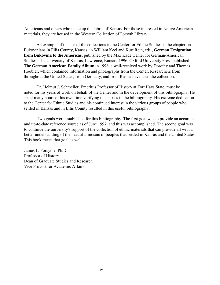Americans and others who make up the fabric of Kansas. For those interested in Native American materials, they are housed in the Western Collection of Forsyth Library.

An example of the use of the collections in the Center for Ethnic Studies is the chapter on Bukovinians in Ellis County, Kansas, in William Keel and Kurt Rein, eds., **German Emigration from Bukovina to the Americas,** published by the Max Kade Center for German-American Studies, The University of Kansas, Lawrence, Kansas, 1996. Oxford University Press published **The German American Family Album** in 1996, a well-received work by Dorothy and Thomas Hoobler, which contained information and photographs from the Center. Researchers from throughout the United States, from Germany, and from Russia have used the collection.

Dr. Helmut J. Schmeller, Emeritus Professor of History at Fort Hays State, must be noted for his years of work on behalf of the Center and in the development of this bibliography. He spent many hours of his own time verifying the entries in the bibliography. His extreme dedication to the Center for Ethnic Studies and his continued interest in the various groups of people who settled in Kansas and in Ellis County resulted in this useful bibliography.

Two goals were established for this bibliography. The first goal was to provide an accurate and up-to-date reference source as of June 1997, and this was accomplished. The second goal was to continue the university's support of the collection of ethnic materials that can provide all with a better understanding of the beautiful mosaic of peoples that settled in Kansas and the United States. This book meets that goal as well.

James L. Forsythe, Ph.D. Professor of History Dean of Graduate Studies and Research Vice Provost for Academic Affairs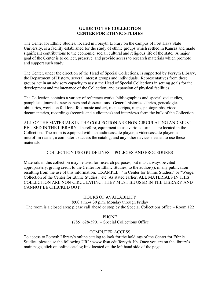# **GUIDE TO THE COLLECTION CENTER FOR ETHNIC STUDIES**

The Center for Ethnic Studies, located in Forsyth Library on the campus of Fort Hays State University, is a facility established for the study of ethnic groups which settled in Kansas and made significant contributions to the economic, social, cultural and religious life of the state. A major goal of the Center is to collect, preserve, and provide access to research materials which promote and support such study.

The Center, under the direction of the Head of Special Collections, is supported by Forsyth Library, the Department of History, several interest groups and individuals. Representatives from these groups act in an advisory capacity to assist the Head of Special Collections in setting goals for the development and maintenance of the Collection, and expansion of physical facilities.

The Collection contains a variety of reference works, bibliographies and specialized studies, pamphlets, journals, newspapers and dissertations. General histories, diaries, genealogies, obituaries, works on folklore, folk music and art, manuscripts, maps, photographs, video documentaries, recordings (records and audiotapes) and interviews form the bulk of the Collection.

ALL OF THE MATERIALS IN THE COLLECTION ARE NON-CIRCULATING AND MUST BE USED IN THE LIBRARY. Therefore, equipment to use various formats are located in the Collection. The room is equipped with: an audiocassette player, a videocassette player, a microfilm reader, a computer to access the catalog, and any other devices needed to use these materials.

# COLLECTION USE GUIDELINES -- POLICIES AND PROCEDURES

Materials in this collection may be used for research purposes, but must always be cited appropriately, giving credit to the Center for Ethnic Studies, to the author(s), in any publication resulting from the use of this information. EXAMPLE: "in Center for Ethnic Studies," or "Weigel Collection of the Center for Ethnic Studies," etc. As stated earlier, ALL MATERIALS IN THIS COLLECTION ARE NON-CIRCULATING; THEY MUST BE USED IN THE LIBRARY AND CANNOT BE CHECKED OUT.

HOURS OF AVAILABILITY 8:00 a.m.-4:30 p.m. Monday through Friday The room is a closed area; please call ahead or stop by the Special Collections office – Room 122

# PHONE

(785) 628-5901 – Special Collections Office

# COMPUTER ACCESS

To access to Forsyth Library's online catalog to look for the holdings of the Center for Ethnic Studies, please use the following URL: www.fhsu.edu/forsyth\_lib. Once you are on the library's main page, click on online catalog link located on the left hand side of the page.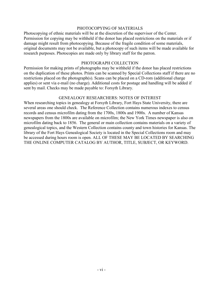# PHOTOCOPYING OF MATERIALS

Photocopying of ethnic materials will be at the discretion of the supervisor of the Center. Permission for copying may be withheld if the donor has placed restrictions on the materials or if damage might result from photocopying. Because of the fragile condition of some materials, original documents may not be available, but a photocopy of such items will be made available for research purposes. Photocopies are made only by library staff for the patron.

## PHOTOGRAPH COLLECTION

Permission for making prints of photographs may be withheld if the donor has placed restrictions on the duplication of these photos. Prints can be scanned by Special Collections staff if there are no restrictions placed on the photograph(s). Scans can be placed on a CD-rom (additional charge applies) or sent via e-mail (no charge). Additional costs for postage and handling will be added if sent by mail. Checks may be made payable to: Forsyth Library.

## GENEALOGY RESEARCHERS: NOTES OF INTEREST

When researching topics in genealogy at Forsyth Library, Fort Hays State University, there are several areas one should check. The Reference Collection contains numerous indexes to census records and census microfilm dating from the 1700s, 1800s and 1900s. A number of Kansas newspapers from the 1800s are available on microfilm; the New York Times newspaper is also on microfilm dating back to 1856. The general or main collection contains materials on a variety of genealogical topics, and the Western Collection contains county and town histories for Kansas. The library of the Fort Hays Genealogical Society is located in the Special Collections room and may be accessed during hours room is open. ALL OF THESE MAY BE LOCATED BY SEARCHING THE ONLINE COMPUTER CATALOG BY AUTHOR, TITLE, SUBJECT, OR KEYWORD.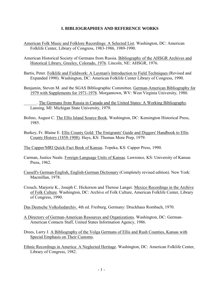# **I. BIBLIOGRAPHIES AND REFERENCE WORKS**

- American Folk Music and Folklore Recordings: A Selected List. Washington, DC: American Folklife Center, Library of Congress, 1983-1986, 1989-1990.
- American Historical Society of Germans from Russia. Bibliography of the AHSGR Archives and Historical Library, Greeley, Colorado, 1976. Lincoln, NE: AHSGR, 1976.
- Bartis, Peter. Folklife and Fieldwork: A Layman's Introduction to Field Techniques (Revised and Expanded 1990). Washington, DC: American Folklife Center Library of Congress, 1990.
- Benjamin, Steven M. and the SGAS Bibliographic Committee. German-American Bibliography for 1979 with Supplements for 1971-1978. Morgantown, WV: West Virginia University, 1980.
	- \_\_\_\_\_\_. The Germans from Russia in Canada and the United States: A Working Bibliography. Lansing, MI: Michigan State University, 1979.
- Bolino, August C. The Ellis Island Source Book. Washington, DC: Kensington Historical Press, 1985.
- Burkey, Fr. Blaine E. Ellis County Gold: The Emigrants' Guide and Diggers' Handbook to Ellis County History (1858-1908). Hays, KS: Thomas More Prep, 1979.

The Capper/MRI Quick-Fact Book of Kansas. Topeka, KS: Capper Press, 1990.

- Carman, Justice Neale. Foreign-Language Units of Kansas. Lawrence, KS: University of Kansas Press, 1962.
- Cassell's German-English, English-German Dictionary (Completely revised edition). New York: Macmillan, 1978.
- Crouch, Marjorie K., Joseph C. Hickerson and Therese Langer. Mexico Recordings in the Archive of Folk Culture. Washington, DC: Archive of Folk Culture, American Folklife Center, Library of Congress, 1990.
- Das Deutsche Volksliedarchiv. 4th ed. Freiburg, Germany: Druckhaus Rombach, 1970.
- A Directory of German-American Resources and Organizations. Washington, DC: German-American Contacts Staff, United States Information Agency, 1986.
- Drees, Larry J. A Bibliography of the Volga Germans of Ellis and Rush Counties, Kansas with Special Emphasis on Their Customs.
- Ethnic Recordings in America: A Neglected Heritage. Washington, DC: American Folklife Center, Library of Congress, 1982.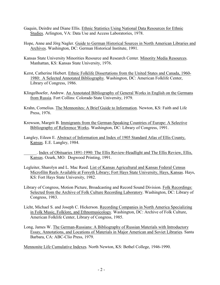- Gaquin, Deirdre and Diane Ellis. Ethnic Statistics Using National Data Resources for Ethnic Studies. Arlington, VA: Data Use and Access Laboratories, 1978.
- Hope, Anne and Jörg Nagler. Guide to German Historical Sources in North American Libraries and Archives. Washington, DC: German Historical Institute, 1991.
- Kansas State University Minorities Resource and Research Center. Minority Media Resources. Manhattan, KS: Kansas State University, 1976.
- Kerst, Catherine Hiebert. Ethnic Folklife Dissertations from the United States and Canada, 1960- 1980: A Selected Annotated Bibliography. Washington, DC: American Folklife Center, Library of Congress, 1986.
- Klingelhoefer, Andrew. An Annotated Bibliography of General Works in English on the Germans from Russia. Fort Collins: Colorado State University, 1979.
- Krahn, Cornelius. The Mennonites: A Brief Guide to Information. Newton, KS: Faith and Life Press, 1976.
- Krewson, Margrit B. Immigrants from the German-Speaking Countries of Europe: A Selective Bibliography of Reference Works. Washington, DC: Library of Congress, 1991.
- Langley, Eileen E. Abstract of Information and Index of 1905 Standard Atlas of Ellis County, Kansas. E.E. Langley, 1984.
	- \_\_\_\_\_\_. Index of Obituaries 1891-1990: The Ellis Review-Headlight and The Ellis Review, Ellis, Kansas. Ozark, MO: Dogwood Printing, 1991.
- Legleiter, Sharolyn and L. Mac Reed. List of Kansas Agricultural and Kansas Federal Census Microfilm Reels Available at Forsyth Library; Fort Hays State University, Hays, Kansas. Hays, KS: Fort Hays State University, 1982.
- Library of Congress, Motion Picture, Broadcasting and Record Sound Division. Folk Recordings: Selected from the Archive of Folk Culture Recording Laboratory. Washington, DC: Library of Congress, 1983.
- Licht, Michael S. and Joseph C. Hickerson. Recording Companies in North America Specializing in Folk Music, Folklore, and Ethnomusicology. Washington, DC: Archive of Folk Culture, American Folklife Center, Library of Congress, 1985.
- Long, James W. The German-Russians: A Bibliography of Russian Materials with Introductory Essay, Annotations, and Locations of Materials in Major American and Soviet Libraries. Santa Barbara, CA: ABC-Clio Press, 1979.

Mennonite Life Cumulative Indexes. North Newton, KS: Bethel College, 1946-1990.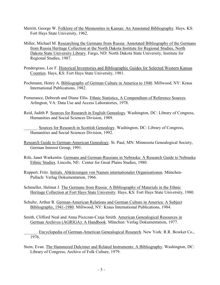- Merritt, George W. Folklore of the Mennonites in Kansas: An Annotated Bibliography. Hays, KS: Fort Hays State University, 1962.
- Miller, Michael M. Researching the Germans from Russia: Annotated Bibliography of the Germans from Russia Heritage Collection at the North Dakota Institute for Regional Studies, North Dakota State University Library. Fargo, ND: North Dakota State University, Institute for Regional Studies, 1987.
- Pendergrass, Lee F. Historical Inventories and Bibliographic Guides for Selected Western Kansas Counties. Hays, KS: Fort Hays State University, 1981.
- Pochmann, Henry A. Bibliography of German Culture in America to 1940. Millwood, NY: Kraus International Publications, 1982.
- Pomerance, Deborah and Diane Ellis. Ethnic Statistics, A Compendium of Reference Sources. Arlington, VA: Data Use and Access Laboratories, 1978.
- Reid, Judith P. Sources for Research in English Genealogy. Washington, DC: Library of Congress, Humanities and Social Sciences Division, 1989.

\_\_\_\_\_\_. Sources for Research in Scottish Genealogy. Washington, DC: Library of Congress, Humanities and Social Sciences Division, 1992.

- Research Guide to German-American Genealogy. St. Paul, MN: Minnesota Genealogical Society, German Interest Group, 1991.
- Rife, Janet Warkentin. Germans and German-Russians in Nebraska: A Research Guide to Nebraska Ethnic Studies. Lincoln, NE: Center for Great Plains Studies, 1980.
- Ruppert, Fritz. Initials. Abkürzungen von Namen internationaler Organisationen. München-Pullach: Verlag Dokumentation, 1966.
- Schmeller, Helmut J. The Germans from Russia: A Bibliography of Materials in the Ethnic Heritage Collection at Fort Hays State University. Hays, KS: Fort Hays State University, 1980.
- Schultz, Arthur R. German-American Relations and German Culture in America: A Subject Bibliography, 1941-1980. Millwood, NY: Kraus International Publications, 1984.
- Smith, Clifford Neal and Anna Piszczan-Czaja Smith. American Genealogical Resources in German Archives (AGRIGA): A Handbook. München: Verlag Dokumentation, 1977.

. Encyclopedia of German-American Genealogical Research. New York: R.R. Bowker Co., 1976.

Stein, Evan. The Hammered Dulcimer and Related Instruments: A Bibliography. Washington, DC: Library of Congress, Archive of Folk Culture, 1979.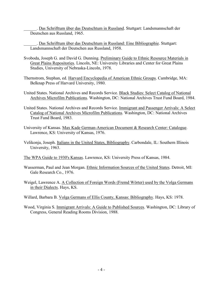\_\_\_\_\_\_. Das Schrifttum über das Deutschtum in Russland. Stuttgart: Landsmannschaft der Deutschen aus Russland, 1965.

Das Schrifttum über das Deutschtum in Russland: Eine Bibliographie. Stuttgart: Landsmannschaft der Deutschen aus Russland, 1958.

- Svoboda, Joseph G. and David G. Dunning. Preliminary Guide to Ethnic Resource Materials in Great Plains Repositories. Lincoln, NE: University Libraries and Center for Great Plains Studies, University of Nebraska-Lincoln, 1978.
- Thernstrom, Stephan, ed. Harvard Encyclopedia of American Ethnic Groups. Cambridge, MA: Belknap Press of Harvard University, 1980.
- United States. National Archives and Records Service. Black Studies: Select Catalog of National Archives Microfilm Publications. Washington, DC: National Archives Trust Fund Board, 1984.
- United States. National Archives and Records Service. Immigrant and Passenger Arrivals: A Select Catalog of National Archives Microfilm Publications. Washington, DC: National Archives Trust Fund Board, 1983.
- University of Kansas. Max Kade German-American Document & Research Center: Catalogue. Lawrence, KS: University of Kansas, 1976.
- Velikonja, Joseph. Italians in the United States, Bibliography. Carbondale, IL: Southern Illinois University, 1963.
- The WPA Guide to 1930's Kansas. Lawrence, KS: University Press of Kansas, 1984.
- Wasserman, Paul and Jean Morgan. Ethnic Information Sources of the United States. Detroit, MI: Gale Research Co., 1976.
- Weigel, Lawrence A. A Collection of Foreign Words (Fremd Wörter) used by the Volga Germans in their Dialects. Hays, KS.
- Willard, Barbara B. Volga Germans of Ellis County, Kansas: Bibliography. Hays, KS: 1978.
- Wood, Virginia S. Immigrant Arrivals: A Guide to Published Sources. Washington, DC: Library of Congress, General Reading Rooms Division, 1988.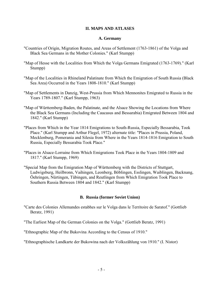# **II. MAPS AND ATLASES**

## **A. Germany**

- "Countries of Origin, Migration Routes, and Areas of Settlement (1763-1861) of the Volga and Black Sea Germans in the Mother Colonies." (Karl Stumpp)
- "Map of Hesse with the Localities from Which the Volga Germans Emigrated (1763-1769)." (Karl Stumpp)
- "Map of the Localities in Rhineland Palatinate from Which the Emigration of South Russia (Black Sea Area) Occurred in the Years 1808-1810." (Karl Stumpp)
- "Map of Settlements in Danzig, West-Prussia from Which Mennonites Emigrated to Russia in the Years 1789-1807." (Karl Stumpp, 1963)
- "Map of Württemberg-Baden, the Palatinate, and the Alsace Showing the Locations from Where the Black Sea Germans (Including the Caucasus and Bessarabia) Emigrated Between 1804 and 1842." (Karl Stumpp)
- "Places from Which in the Year 1814 Emigrations to South-Russia, Especially Bessarabia, Took Place." (Karl Stumpp and Arthur Flegel, 1972) alternate title: "Places in Prussia, Poland, Mecklenburg, Pomerania and Silesia from Where in the Years 1814-1816 Emigration to South Russia, Especially Bessarabia Took Place."
- "Places in Alsace-Lorraine from Which Emigrations Took Place in the Years 1804-1809 and 1817." (Karl Stumpp, 1969)
- "Special Map from the Emigration Map of Württemberg with the Districts of Stuttgart, Ludwigsburg, Heilbronn, Vaihingen, Leonberg, Böblingen, Esslingen, Waiblingen, Backnang, Öehringen, Nürtingen, Tübingen, and Reutlingen from Which Emigration Took Place to Southern Russia Between 1804 and 1842." (Karl Stumpp)

## **B. Russia (former Soviet Union)**

"Carte des Colonies Allemandes estabhes sur le Volga dans le Territoire de Saratof." (Gottlieb Beratz, 1991)

"The Earliest Map of the German Colonies on the Volga." (Gottlieb Beratz, 1991)

"Ethnographic Map of the Bukovina According to the Census of 1910."

"Ethnographische Landkarte der Bukowina nach der Volkszählung von 1910." (I. Nistor)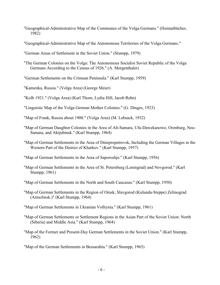- "Geographical-Administrative Map of the Communes of the Volga Germans." (Heimatbücher, 1982)
- "Geographical-Administrative Map of the Autonomous Territories of the Volga Germans."
- "German Areas of Settlement in the Soviet Union." (Stumpp, 1979)
- "The German Colonies on the Volga: The Autonomous Socialist Soviet Republic of the Volga Germans According to the Census of 1926." (A. Mergenthaler)
- "German Settlements on the Crimean Peninsula." (Karl Stumpp, 1959)
- "Kamenka, Russia." (Volga Area) (George Meier)
- "Kolb 1921." (Volga Area) (Karl Thorn, Lydia Hill, Jacob Rehn)
- "Linguistic Map of the Volga German Mother Colonies." (G. Dinges, 1923)
- "Map of Frank, Russia about 1900." (Volga Area) (M. Lebsack, 1932)
- "Map of German Daughter Colonies in the Area of Alt-Samara, Ufa-Dawekanowo, Orenburg, Neu-Samara, and Aktjubinsk." (Karl Stumpp, 1964)
- "Map of German Settlements in the Area of Dniepropetrovsk, Including the German Villages in the Western Part of the District of Kharkov." (Karl Stumpp, 1957)
- "Map of German Settlements in the Area of Saporoshje." (Karl Stumpp, 1956)
- "Map of German Settlements in the Area of St. Petersburg (Leningrad) and Novgorod." (Karl Stumpp, 1961)
- "Map of German Settlements in the North and South Caucasus." (Karl Stumpp, 1950)
- "Map of German Settlements in the Region of Omsk, Slavgorod (Kulunda-Steppe) Zelinograd (Armolinsk.)" (Karl Stumpp, 1964)
- "Map of German Settlements in Ukranian Volhynia." (Karl Stumpp, 1961)
- "Map of German Settlements or Settlement Regions in the Asian Part of the Soviet Union: North (Siberia) and Middle Asia." (Karl Stumpp, 1964)
- "Map of the Former and Present-Day German Settlements in the Soviet Union." (Karl Stumpp, 1962)
- "Map of the German Settlements in Bessarabia." (Karl Stumpp, 1965)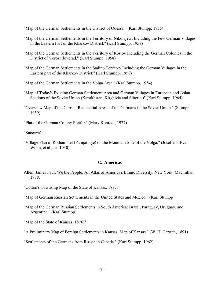"Map of the German Settlements in the District of Odessa." (Karl Stumpp, 1955)

- "Map of the German Settlements in the Territory of Nikolajew, Including the Few German Villages in the Eastern Part of the Kharkov District." (Karl Stumpp, 1958)
- "Map of the German Settlements in the Territory of Rostov Including the German Colonies in the District of Voroshilovgrad." (Karl Stumpp, 1958)
- "Map of the German Settlements in the Stalino Territory Including the German Villages in the Eastern part of the Kharkov District." (Karl Stumpp, 1958)
- "Map of the German Settlements in the Volga Area." (Karl Stumpp, 1954)

"Map of Today's Existing German Settlement Area and German Villages in European and Asian Sections of the Soviet Union (Kazakhstan, Kirghizia and Siberia.)" (Karl Stumpp, 1964)

- "Overview Map of the Current Residential Areas of the Germans in the Soviet Union." (Stumpp, 1959)
- "Plat of the German Colony Pfeifer." (Mary Konradi, 1977)

"Suceava"

"Village Plan of Rothammel (Pamjatnoje) on the Mountain Side of the Volga." (Josef and Eva Wohn, et al., ca. 1930)

## **C. Americas**

- Allen, James Paul. We the People: An Atlas of America's Ethnic Diversity. New York: Macmillan, 1988.
- "Colton's Township Map of the State of Kansas, 1887."
- "Map of German Russian Settlements in the United States and Mexico." (Karl Stumpp)
- "Map of the German Russian Settlements in South America: Brazil, Paraguay, Uruguay, and Argentina." (Karl Stumpp)
- "Map of the State of Kansas, 1876."
- "A Preliminary Map of Foreign Settlements in Kansas: Map of Kansas." (W. H. Carruth, 1891)

"Settlements of the Germans from Russia in Canada." (Karl Stumpp, 1962)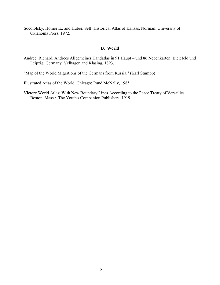Socolofsky, Homer E., and Huber, Self. Historical Atlas of Kansas. Norman: University of Oklahoma Press, 1972.

# **D. World**

Andree, Richard. Andrees Allgemeiner Handatlas in 91 Haupt – und 86 Nebenkarten. Bielefeld und Leipzig, Germany: Velhagen and Klasing, 1893.

"Map of the World Migrations of the Germans from Russia." (Karl Stumpp)

Illustrated Atlas of the World. Chicago: Rand McNally, 1985.

Victory World Atlas: With New Boundary Lines According to the Peace Treaty of Versailles. Boston, Mass.: The Youth's Companion Publishers, 1919.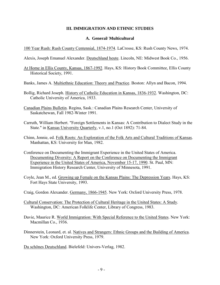# **III. IMMIGRATION AND ETHNIC STUDIES**

## **A. General/ Multicultural**

100 Year Rush: Rush County Centennial, 1874-1974. LaCrosse, KS: Rush County News, 1974.

- Alexis, Joseph Emanuel Alexander. Deutschland heute. Lincoln, NE: Midwest Book Co., 1956.
- At Home in Ellis County, Kansas, 1867-1992. Hays, KS: History Book Committee, Ellis County Historical Society, 1991.
- Banks, James A. Multiethnic Education: Theory and Practice. Boston: Allyn and Bacon, 1994.
- Bollig, Richard Joseph. History of Catholic Education in Kansas, 1836-1932. Washington, DC: Catholic University of America, 1933.
- Canadian Plains Bulletin. Regina, Sask.: Canadian Plains Research Center, University of Saskatchewan, Fall 1982-Winter 1991.
- Carruth, William Herbert. "Foreign Settlements in Kansas: A Contribution to Dialect Study in the State." in Kansas University Quarterly, v.1, no.1 (Oct 1892): 71-84.
- Chinn, Jennie, ed. Folk Roots: An Exploration of the Folk Arts and Cultural Traditions of Kansas. Manhattan, KS: University for Man, 1982.
- Conference on Documenting the Immigrant Experience in the United States of America. Documenting Diversity: A Report on the Conference on Documenting the Immigrant Experience in the United States of America, November 15-17, 1990. St. Paul, MN: Immigration History Research Center, University of Minnesota, 1991.
- Coyle, Jean M., ed. Growing up Female on the Kansas Plains: The Depression Years. Hays, KS: Fort Hays State University, 1993.
- Craig, Gordon Alexander. Germany, 1866-1945. New York: Oxford University Press, 1978.
- Cultural Conservation: The Protection of Cultural Heritage in the United States: A Study. Washington, DC: American Folklife Center, Library of Congress, 1983.
- Davie, Maurice R. World Immigration: With Special Reference to the United States. New York: Macmillan Co., 1936.
- Dinnerstein, Leonard, et. al. Natives and Strangers: Ethnic Groups and the Building of America. New York: Oxford University Press, 1979.
- Du schönes Deutschland. Bielefeld: Univers-Verlag, 1982.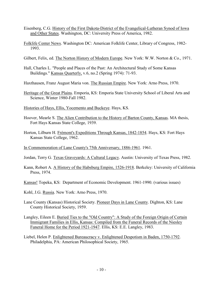- Eisenberg, C.G. History of the First Dakota-District of the Evangelical-Lutheran Synod of Iowa and Other States. Washington, DC: University Press of America, 1982.
- Folklife Center News. Washington DC: American Folklife Center, Library of Congress, 1982- 1993.
- Gilbert, Felix, ed. The Norton History of Modern Europe. New York: W.W. Norton & Co., 1971.
- Hall, Charles L. "People and Places of the Past: An Architectural Study of Some Kansas Buildings." Kansas Quarterly, v.6, no.2 (Spring 1974): 71-93.
- Haxthausen, Franz August Maria von. The Russian Empire. New York: Arno Press, 1970.
- Heritage of the Great Plains. Emporia, KS: Emporia State University School of Liberal Arts and Science, Winter 1980-Fall 1982.
- Histories of Hays, Ellis, Yocemento and Buckeye. Hays, KS.
- Hoover, Mearle S. The Alien Contribution to the History of Barton County, Kansas. MA thesis, Fort Hays Kansas State College, 1939.
- Horton, Lilburn H. Frémont's Expeditions Through Kansas, 1842-1854. Hays, KS: Fort Hays Kansas State College, 1962.
- In Commemoration of Lane County's 75th Anniversary, 1886-1961. 1961.
- Jordan, Terry G. Texas Graveyards: A Cultural Legacy. Austin: University of Texas Press, 1982.
- Kann, Robert A. A History of the Habsburg Empire, 1526-1918. Berkeley: University of California Press, 1974.
- Kansas! Topeka, KS: Department of Economic Development. 1961-1990. (various issues)
- Kohl, J.G. Russia. New York: Arno Press, 1970.
- Lane County (Kansas) Historical Society. Pioneer Days in Lane County. Dighton, KS: Lane County Historical Society, 1959.
- Langley, Eileen E. Buried Ties to the "Old Country": A Study of the Foreign Origin of Certain Immigrant Families in Ellis, Kansas: Compiled from the Funeral Records of the Niesley Funeral Home for the Period 1921-1947. Ellis, KS: E.E. Langley, 1983.
- Liebel, Helen P. Enlightened Bureaucracy v. Enlightened Despotism in Baden, 1750-1792. Philadelphia, PA: American Philosophical Society, 1965.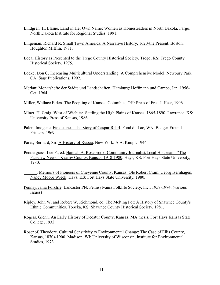- Lindgren, H. Elaine. Land in Her Own Name: Women as Homesteaders in North Dakota. Fargo: North Dakota Institute for Regional Studies, 1991.
- Lingeman, Richard R. Small Town America: A Narrative History, 1620-the Present. Boston: Houghton Mifflin, 1981.
- Local History as Presented to the Trego County Historical Society. Trego, KS: Trego County Historical Society, 1975.
- Locke, Don C. Increasing Multicultural Understanding: A Comprehensive Model. Newbury Park, CA: Sage Publications, 1992.
- Merian: Monatshefte der Städte und Landschaften. Hamburg: Hoffmann und Campe, Jan. 1956- Oct. 1964.
- Miller, Wallace Elden. The Peopling of Kansas. Columbus, OH: Press of Fred J. Heer, 1906.
- Miner, H. Craig. West of Wichita: Settling the High Plains of Kansas, 1865-1890. Lawrence, KS: University Press of Kansas, 1986.
- Palen, Imogene. Fieldstones: The Story of Caspar Rehrl. Fond du Lac, WN: Badger-Freund Printers, 1969.
- Pares, Bernard, Sir. A History of Russia. New York: A.A. Knopf, 1944.
- Pendergrass, Lee F., ed. Hannah A. Rosebrook: Community Journalist/Local Historian-- "The Fairview News," Kearny County, Kansas, 1918-1980. Hays, KS: Fort Hays State University, 1980.
	- Memoirs of Pioneers of Cheyenne County, Kansas: Ole Robert Cram, Georg Isernhagen, Nancy Moore Wieck. Hays, KS: Fort Hays State University, 1980.
- Pennsylvania Folklife. Lancaster PN: Pennsylvania Folklife Society, Inc., 1958-1974. (various issues)
- Ripley, John W. and Robert W. Richmond, ed. The Melting Pot: A History of Shawnee County's Ethnic Communities. Topeka, KS: Shawnee County Historical Society, 1981.
- Rogers, Glenn. An Early History of Decatur County, Kansas. MA thesis, Fort Hays Kansas State College, 1932.
- Rosenof, Theodore. Cultural Sensitivity to Environmental Change: The Case of Ellis County, Kansas, 1870s-1900. Madison, WI: University of Wisconsin, Institute for Environmental Studies, 1973.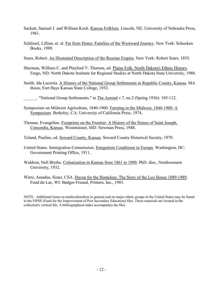- Sackett, Samuel J. and William Koch. Kansas Folklore. Lincoln, NE: University of Nebraska Press, 1961.
- Schlissel, Lillian, et. al. Far from Home: Families of the Westward Journey. New York: Schocken Books, 1989.
- Sears, Robert. An Illustrated Description of the Russian Empire. New York: Robert Sears, 1855.
- Sherman, William C. and Playford V. Thorson, ed. Plains Folk: North Dakota's Ethnic History. Fargo, ND: North Dakota Institute for Regional Studies at North Dakota State University, 1988.
- Smith, Ida Lucretia. A History of the National Group Settlements in Republic County, Kansas. MA thesis, Fort Hays Kansas State College, 1933.

\_\_\_\_\_\_. "National Group Settlements." in The Aerend v.7, no.2 (Spring 1936): 105-112.

- Symposium on Midwest Agriculture, 1840-1900. Farming in the Midwest, 1840-1900: A Symposium. Berkeley, CA: University of California Press, 1974.
- Thomas, Evangeline. Footprints on the Frontier: A History of the Sisters of Saint Joseph, Concordia, Kansas. Westminster, MD: Newman Press, 1948.
- Toland, Pauline, ed. Seward County, Kansas. Seward County Historical Society, 1979.
- United States. Immigration Commission. Emigration Conditions in Europe. Washington, DC: Government Printing Office, 1911.
- Waldron, Nell Blythe. Colonization in Kansas from 1861 to 1890. PhD. diss., Northwestern University, 1932.
- Wirtz, Amadea, Sister, CSA. Haven for the Homeless: The Story of the Leo House 1889-1989. Fond du Lac, WI: Badger-Freund, Printers, Inc., 1985.

NOTE: Additional items on multiculturalism in general and on major ethnic groups in the United States may be found in the FIPSE (Fund for the Improvement of Post Secondary Education) files. These materials are located in the collection's vertical file. A bibliographical index accompanies the files.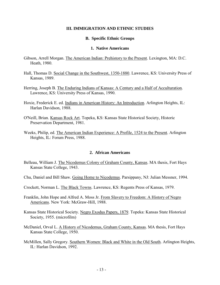### **III. IMMIGRATION AND ETHNIC STUDIES**

## **B. Specific Ethnic Groups**

#### **1. Native Americans**

- Gibson, Arrell Morgan. The American Indian: Prehistory to the Present. Lexington, MA: D.C. Heath, 1980.
- Hall, Thomas D. Social Change in the Southwest, 1350-1880. Lawrence, KS: University Press of Kansas, 1989.
- Herring, Joseph B. The Enduring Indians of Kansas: A Century and a Half of Acculturation. Lawrence, KS: University Press of Kansas, 1990.
- Hoxie, Frederick E. ed. Indians in American History: An Introduction. Arlington Heights, IL: Harlan Davidson, 1988.
- O'Neill, Brian. Kansas Rock Art. Topeka, KS: Kansas State Historical Society, Historic Preservation Department, 1981.
- Weeks, Philip, ed. The American Indian Experience: A Profile, 1524 to the Present. Arlington Heights, IL: Forum Press, 1988.

## **2. African Americans**

- Belleau, William J. The Nicodemus Colony of Graham County, Kansas. MA thesis, Fort Hays Kansas State College, 1943.
- Chu, Daniel and Bill Shaw. Going Home to Nicodemus. Parsippany, NJ: Julian Messner, 1994.
- Crockett, Norman L. The Black Towns. Lawrence, KS: Regents Press of Kansas, 1979.
- Franklin, John Hope and Alfred A. Moss Jr. From Slavery to Freedom: A History of Negro Americans. New York: McGraw-Hill, 1988.
- Kansas State Historical Society. Negro Exodus Papers, 1879. Topeka: Kansas State Historical Society, 1955. (microfilm)
- McDaniel, Orval L. A History of Nicodemus, Graham County, Kansas. MA thesis, Fort Hays Kansas State College, 1950.
- McMillen, Sally Gregory. Southern Women: Black and White in the Old South. Arlington Heights, IL: Harlan Davidson, 1992.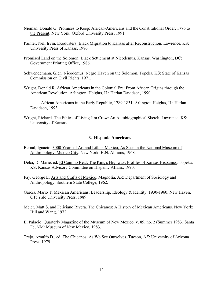- Nieman, Donald G. Promises to Keep: African-Americans and the Constitutional Order, 1776 to the Present. New York: Oxford University Press, 1991.
- Painter, Nell Irvin. Exodusters: Black Migration to Kansas after Reconstruction. Lawrence, KS: University Press of Kansas, 1986.
- Promised Land on the Solomon: Black Settlement at Nicodemus, Kansas. Washington, DC: Government Printing Office, 1986.
- Schwendemann, Glen. Nicodemus: Negro Haven on the Solomon. Topeka, KS: State of Kansas Commission on Civil Rights, 1971.
- Wright, Donald R. African Americans in the Colonial Era: From African Origins through the American Revolution. Arlington, Heights, IL: Harlan Davidson, 1990.

\_\_\_\_\_\_\_. African Americans in the Early Republic, 1789-1831. Arlington Heights, IL: Harlan Davidson, 1993.

Wright, Richard. The Ethics of Living Jim Crow: An Autobiographical Sketch. Lawrence, KS: University of Kansas.

# **3. Hispanic Americans**

- Bernal, Ignacio. 3000 Years of Art and Life in Mexico, As Seen in the National Museum of Anthropology, Mexico City. New York: H.N. Abrams, 1968.
- Delci, D. Marie, ed. El Camino Real: The King's Highway: Profiles of Kansas Hispanics. Topeka, KS: Kansas Advisory Committee on Hispanic Affairs, 1990.
- Fay, George E. Arts and Crafts of Mexico. Magnolia, AR: Department of Sociology and Anthropology, Southern State College, 1962.
- Garcia, Mario T. Mexican Americans: Leadership, Ideology & Identity, 1930-1960. New Haven, CT: Yale University Press, 1989.
- Meier, Matt S. and Feliciano Rivera. The Chicanos: A History of Mexican Americans. New York: Hill and Wang, 1972.
- El Palacio: Quarterly Magazine of the Museum of New Mexico. v. 89, no. 2 (Summer 1983) Santa Fe, NM: Museum of New Mexico, 1983.
- Trejo, Arnulfo D., ed. The Chicanos: As We See Ourselves. Tucson, AZ: University of Arizona Press, 1979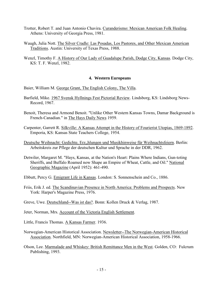- Trotter, Robert T. and Juan Antonio Chavira. Curanderismo: Mexican American Folk Healing. Athens: University of Georgia Press, 1981.
- Waugh, Julia Nott. The Silver Cradle: Las Posadas, Los Pastores, and Other Mexican American Traditions. Austin: University of Texas Press, 1988.
- Wenzl, Timothy F. A History of Our Lady of Guadalupe Parish, Dodge City, Kansas. Dodge City, KS: T. F. Wenzl, 1982.

# **4. Western Europeans**

- Baier, William M. George Grant, The English Colony, The Villa.
- Barfield, Mike. 1967 Svensk Hyllnings Fest Pictorial Review. Lindsborg, KS: Lindsborg News-Record, 1967.
- Benoit, Theresa and Armond Benoit. "Unlike Other Western Kansas Towns, Damar Background is French-Canadian." in The Hays Daily News 1959.
- Carpenter, Garrett R. Silkville: A Kansas Attempt in the History of Fourierist Utopias, 1869-1892. Emporia, KS: Kansas State Teachers College, 1954.
- Deutsche Weihnacht: Gedichte, Erz, hlungen und Musikhinweise für Weihnachtsfeiern. Berlin: Arbeitskreis zur Pflege der deutschen Kultur und Sprache in der DDR, 1962.
- Detwiler, Margaret M. "Hays, Kansas, at the Nation's Heart: Plains Where Indians, Gun-toting Sheriffs, and Buffalo Roamed now Shape an Empire of Wheat, Cattle, and Oil." National Geographic Magazine (April 1952): 461-490.
- Ebbutt, Percy G. Emigrant Life in Kansas. London: S. Sonnenschein and Co., 1886.
- Friis, Erik J. ed. The Scandinavian Presence in North America: Problems and Prospects. New York: Harper's Magazine Press, 1976.
- Greve, Uwe. Deutschland--Was ist das?. Bonn: Kollen Druck & Verlag, 1987.
- Jeter, Norman, Mrs. Account of the Victoria English Settlement.
- Little, Francis Thomas. A Kansas Farmer. 1936.
- Norwegian-American Historical Association. Newsletter--The Norwegian-American Historical Association. Northfield, MN: Norwegian-American Historical Association, 1958-1966.
- Olson, Lee. Marmalade and Whiskey: British Remittance Men in the West. Golden, CO: Fulcrum Publishing, 1993.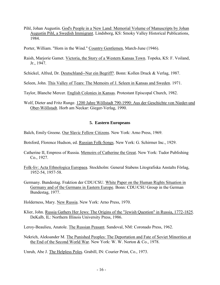Pihl, Johan Augustin. God's People in a New Land: Memorial Volume of Manuscripts by Johan Augustin Pihl, a Swedish Immigrant. Lindsborg, KS: Smoky Valley Historical Publications, 1984.

Porter, William. "Horn in the Wind." Country Gentlemen, March-June (1946).

Raish, Marjorie Gamet. Victoria, the Story of a Western Kansas Town. Topeka, KS: F. Voiland, Jr., 1947.

Schickel, Alfred, Dr. Deutschland--Nur ein Begriff?. Bonn: Kollen Druck & Verlag, 1987.

Seleen, John. This Valley of Tears: The Memoirs of J. Seleen in Kansas and Sweden. 1971.

Taylor, Blanche Mercer. English Colonies in Kansas. Protestant Episcopal Church, 1982.

Wolf, Dieter and Fritz Runge. 1200 Jahre Wöllstadt 790-1990: Aus der Geschichte von Nieder-und Ober-Wöllstadt. Horb am Neckar: Gieger-Verlag, 1990.

# **5. Eastern Europeans**

Balch, Emily Greene. Our Slavic Fellow Citizens. New York: Arno Press, 1969.

Botsford, Florence Hudson, ed. Russian Folk-Songs. New York: G. Schirmer Inc., 1929.

- Catherine II, Empress of Russia. Memoirs of Catherine the Great. New York: Tudor Publishing Co., 1927.
- Folk-liv: Acta Ethnologica Europaea. Stockholm: General Stabens Litografiska Anstalts Förlag, 1952-54, 1957-58.
- Germany. Bundestag. Fraktion der CDU/CSU. White Paper on the Human Rights Situation in Germany and of the Germans in Eastern Europe. Bonn: CDU/CSU Group in the German Bundestag, 1977.

Holderness, Mary. New Russia. New York: Arno Press, 1970.

Klier, John. Russia Gathers Her Jews: The Origins of the "Jewish Question" in Russia, 1772-1825. DeKalb, IL: Northern Illinois University Press, 1986.

Leroy-Beaulieu, Anatole. The Russian Peasant. Sandoval, NM: Coronado Press, 1962.

Nekrich, Aleksander M. The Punished Peoples: The Deportation and Fate of Soviet Minorities at the End of the Second World War. New York: W. W. Norton & Co., 1978.

Unruh, Abe J. The Helpless Poles. Grabill, IN: Courier Print, Co., 1973.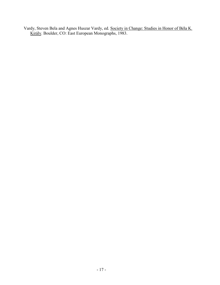Vardy, Steven Bela and Agnes Huszar Vardy, ed. Society in Change: Studies in Honor of Béla K. Király. Boulder, CO: East European Monographs, 1983.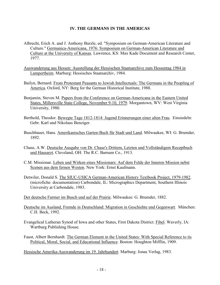# **IV. THE GERMANS IN THE AMERICAS**

- Albrecht, Erich A. and J. Anthony Burzle, ed. "Symposium on German-American Literature and Culture." Germanica-Americana, 1976: Symposium on German-American Literature and Culture at the University of Kansas. Lawrence, KS: Max Kade Document and Research Center, 1977.
- Auswanderung aus Hessen: Ausstellung der Hessischen Staatsarchive zum Hessentag 1984 in Lampertheim. Marburg: Hessisches Staatsarchiv, 1984.
- Bailyn, Bernard. From Protestant Peasants to Jewish Intellectuals: The Germans in the Peopling of America. Oxford, NY: Berg for the German Historical Institute, 1988.
- Benjamin, Steven M. Papers from the Conference on German-Americana in the Eastern United States, Millersville State College, November 9-10, 1979. Morgantown, WV: West Virginia University, 1980.
- Berthold, Theodor. Bewegte Tage 1812-1814: Jugend Erinnerungen einer alten Frau. Einsiedeln: Gebr. Karl und Nikolaus Benziger.
- Buschbauer, Hans. Amerikanisches Garten-Buch für Stadt und Land. Milwaukee, WI: G. Brumder, 1892.
- Chase, A.W. Deutsche Ausgabe von Dr. Chase's Drittem, Letzten und Vollständigem Receptbuch und Hausarzt. Cleveland, OH: The R.C. Barnum Co., 1913.
- C.M. Missionar. Leben und Wirken eines Missionars: Auf dem Felde der Inneren Mission nebst Scenen aus dem fernen Westen. New York: Ernst Kaufmann.
- Detwiler, Donald S. The SIUC-USICA German-American History Textbook Project, 1979-1982. (microfiche: documentation) Carbondale, IL: Micrographics Department, Southern Illinois University at Carbondale, 1983.
- Der deutsche Farmer im Busch und auf der Prairie. Milwaukee: G. Brumder, 1882.
- Deutsche im Ausland, Fremde in Deutschland: Migration in Geschiehte und Gegenwart. München: C.H. Beck, 1992.
- Evangelical Lutheran Synod of Iowa and other States, First Dakota District. Fibel. Waverly, IA: Wartburg Publishing House.
- Faust, Albert Bernhardt. The German Element in the United States: With Special Reference to its Political, Moral, Social, and Educational Influence. Boston: Houghton Mifflin, 1909.

Hessische Amerika-Auswanderung im 19. Jahrhundert. Marburg: Jonas Verlag, 1983.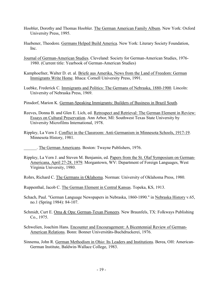- Hoobler, Dorothy and Thomas Hoobler. The German American Family Album. New York: Oxford University Press, 1995.
- Huebener, Theodore. Germans Helped Build America. New York: Literary Society Foundation, Inc.
- Journal of German-American Studies. Cleveland: Society for German-American Studies, 1976- 1980. (Current title: Yearbook of German-American Studies)
- Kamphoefner, Walter D. et. al. Briefe aus Amerika, News from the Land of Freedom: German Immigrants Write Home. Ithaca: Cornell University Press, 1991.
- Luebke, Frederick C. Immigrants and Politics: The Germans of Nebraska, 1880-1900. Lincoln: University of Nebraska Press, 1969.
- Pinsdorf, Marion K. German-Speaking Immigrants: Builders of Business in Brazil South.
- Reeves, Donna B. and Glen E. Lich, ed. Retrospect and Retrieval: The German Element in Review: Essays on Cultural Preservation. Ann Arbor, MI: Southwest Texas State University by University Microfilms International, 1978.
- Rippley, La Vern J. Conflict in the Classroom: Anti-Germanism in Minnesota Schools, 1917-19. Minnesota History, 1981.
- . The German Americans. Boston: Twayne Publishers, 1976.
- Rippley, La Vern J. and Steven M. Benjamin, ed. Papers from the St. Olaf Symposium on German-Americana, April 27-28, 1979. Morgantown, WV: Department of Foreign Languages, West Virginia University, 1980.
- Rohrs, Richard C. The Germans in Oklahoma. Norman: University of Oklahoma Press, 1980.
- Ruppenthal, Jacob C. The German Element in Central Kansas. Topeka, KS, 1913.
- Schach, Paul. "German Language Newspapers in Nebraska, 1860-1890." in Nebraska History v.65, no.1 (Spring 1984): 84-107.
- Schmidt, Curt E. Oma & Opa: German-Texan Pioneers. New Braunfels, TX: Folkways Publishing Co., 1975.
- Schwelien, Joachim Hans. Encounter and Encouragement: A Bicentennial Review of German-American Relations. Bonn: Bonner Universitäts-Buchdruckerei, 1976.
- Sinnema, John R. German Methodism in Ohio: Its Leaders and Institutions. Berea, OH: American-German Institute, Baldwin-Wallace College, 1983.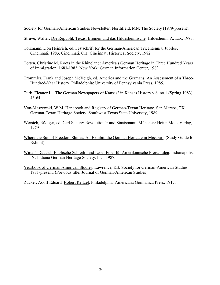Society for German-American Studies Newsletter. Northfield, MN: The Society (1979-present).

Struve, Walter. Die Republik Texas, Bremen und das Hildesheimische. Hildesheim: A. Lax, 1983.

- Tolzmann, Don Heinrich, ed. Festschrift for the German-American Tricentennial Jubilee, Cincinnati, 1983. Cincinnati, OH: Cincinnati Historical Society, 1982.
- Totten, Christine M. Roots in the Rhineland: America's German Heritage in Three Hundred Years of Immigration, 1683-1983. New York: German Information Center, 1983.
- Trommler, Frank and Joseph McVeigh, ed. America and the Germans: An Assessment of a Three-Hundred-Year History. Philadelphia: University of Pennsylvania Press, 1985.
- Turk, Eleanor L. "The German Newspapers of Kansas" in Kansas History v.6, no.1 (Spring 1983): 46-64.
- Von-Maszewski, W.M. Handbook and Registry of German-Texan Heritage. San Marcos, TX: German-Texan Heritage Society, Southwest Texas State University, 1989.
- Wersich, Rüdiger, ed. Carl Schurz: Revolutionär und Staatsmann. München: Heinz Moos Verlag, 1979.
- Where the Sun of Freedom Shines: An Exhibit, the German Heritage in Missouri. (Study Guide for Exhibit)
- Witter's Deutsch-Englische Schreib- und Lese- Fibel für Amerikanische Freischulen. Indianapolis, IN: Indiana German Heritage Society, Inc., 1987.
- Yearbook of German American Studies. Lawrence, KS: Society for German-American Studies, 1981-present. (Previous title: Journal of German-American Studies)

Zucker, Adolf Eduard. Robert Reitzel. Philadelphia: Americana Germanica Press, 1917.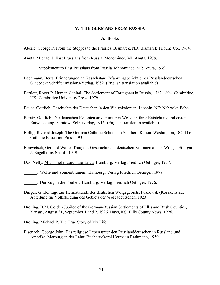# **V. THE GERMANS FROM RUSSIA**

## **A. Books**

Aberle, George P. From the Steppes to the Prairies. Bismarck, ND: Bismarck Tribune Co., 1964.

Anuta, Michael J. East Prussians from Russia. Menominee, MI: Anuta, 1979.

\_\_\_\_\_\_. Supplement to East Prussians from Russia. Menominee, MI: Anuta, 1979.

- Bachmann, Berta. Erinnerungen an Kasachstan: Erfahrungsbericht einer Russlanddeutschen. Gladbeck: Schriftenmissions-Verlag, 1982. (English translation available)
- Bartlett, Roger P. Human Capital: The Settlement of Foreigners in Russia, 1762-1804. Cambridge, UK: Cambridge University Press, 1979.

Bauer, Gottlieb. Geschichte der Deutschen in den Wolgakalonien. Lincoln, NE: Nebraska Echo.

Beratz, Gottlieb. Die deutschen Kolonien an der unteren Wolga in ihrer Entstehung und ersten Entwickelung. Saratow: Selbstverlag, 1915. (English translation available)

Bollig, Richard Joseph. The German Catholic Schools in Southern Russia. Washington, DC: The Catholic Education Press, 1931.

Bonwetsch, Gerhard Walter Traugott. Geschichte der deutschen Kolonien an der Wolga. Stuttgart: J. Engelhorns Nachf., 1919.

Das, Nelly. Mit Timofej durch die Taiga. Hamburg: Verlag Friedrich Oetinger, 1977.

\_\_\_\_\_\_. Wölfe und Sonnenblumen. Hamburg: Verlag Friedrich Oetinger, 1978.

. Der Zug in die Freiheit. Hamburg: Verlag Friedrich Oetinger, 1976.

Dinges, G. Beiträge zur Heimatkunde des deutschen Wolgagebiets. Pokrowsk (Kosakenstadt): Abteilung für Volksbildung des Gebiets der Wolgadeutschen, 1923.

Dreiling, B.M. Golden Jubilee of the German-Russian Settlements of Ellis and Rush Counties, Kansas, August 31, September 1 and 2, 1926. Hays, KS: Ellis County News, 1926.

Dreiling, Michael P. The True Story of My Life.

Eisenach, George John. Das religiöse Leben unter den Russlanddeutschen in Russland und Amerika. Marburg an der Lahn: Buchdruckerei Hermann Rathmann, 1950.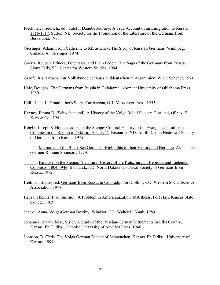- Fiechtner, Friedrich., ed. Fateful Danube Journey; A True Account of an Emigration to Russia, 1816-1817. Sutton, NE: Society for the Promotion of the Literature of the Germans from Bessarabia, 1973.
- Giesinger, Adam. From Catherine to Khrushchev: The Story of Russia's Germans. Winnipeg, Canada: A. Giesinger, 1974.
- Goertz, Reuben. Princes, Potentates, and Plain People: The Saga of the Germans from Russia. Sioux Falls, SD: Center for Western Studies, 1994.
- Graefe, Iris Barbara. Zur Volkskunde der Russlanddeutschen in Argentinien. Wien: Schendl, 1971.
- Hale, Douglas. The Germans from Russia in Oklahoma. Norman: University of Oklahoma Press, 1980.
- Hall, Helen L. Grandfather's Story. Carthagena, OH: Messenger Press, 1955.
- Haynes, Emma D. (Schwabenland). A History of the Volga Relief Society. Portland, OR: A. E. Kern & Co., 1941.
- Height, Joseph S. Homesteaders on the Steppe: Cultural History of the Evangelical-Lutheran Colonies in the Region of Odessa, 1804-1945. Bismarck, ND: North Dakota Historical Society of Germans from Russia, 1975.
	- \_\_\_\_\_\_. Memories of the Black Sea Germans: Highlights of their History and Heritage. Associated German-Russian Sponsors, 1979.
	- \_\_\_\_\_\_. Paradise on the Steppe: A Cultural History of the Kutschurgan, Beresan, and Liebental Colonists, 1804-1944. Bismarck, ND: North Dakota Historical Society of Germans from Russia, 1972.
- Heitman, Sidney, ed. Germans from Russia in Colorado. Fort Collins, CO: Western Social Science Association, 1978.
- Hruza, Thelma. Ivan Smirnov: A Problem in Americanization. MA thesis, Fort Hays Kansas State College, 1929.
- Janeke, Anna. Volga-German Destiny. Windsor, CO: Walter H. Yauk, 1989.
- Johannes, Mary Eloise, Sister. A Study of the Russian-German Settlements in Ellis County, Kansas. Ph.D. diss., Catholic University of America Press, 1946.
- Johnson, D. Chris. The Volga German Dialect of Schoenchen, Kansas. Ph.D.diss., University of Kansas, 1994.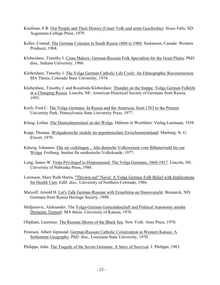- Kaufman, P.R. Our People and Their History (Unser Volk und seine Geschichte). Sioux Falls, SD: Augustana College Press, 1979.
- Keller, Conrad. The German Colonies in South Russia 1804 to 1904. Saskatoon, Canada: Western Producer, 1968.
- Kloberdanz, Timothy J. Cross Makers: German-Russian Folk Specialists for the Great Plains. PhD. diss., Indiana University, 1986.
- Kloberdanz, Timothy J. The Volga German Catholic Life Cycle: An Ethnographic Reconstruction. MA Thesis, Colorado State University, 1974.
- Kloberdanz, Timothy J. and Rosalinda Kloberdanz. Thunder on the Steppe: Volga German Folklife in a Changing Russia. Lincoln, NE: American Historical Society of Germans from Russia, 1993.
- Koch, Fred C. The Volga Germans: In Russia and the Americas, from 1763 to the Present. University Park: Pennsylvania State University Press, 1977.
- König, Lothar. Die Deutschtumsinsel an der Wolga. Dülmen in Westfalen: Verlag Laumann, 1938.
- Kopp, Thomas. Wolgadeutsche siedeln im argentinischen Zwischenstromland. Marburg: N. G. Elwert, 1979.
- Künzig, Johannes. Ehe sie verklingen... Alte deutsche Volksweisen vom Böhmerwald bis zur Wolga. Freiburg: Institut für ostdeutsche Volkskunde, 1977.
- Long, James W. From Privileged to Dispossessed: The Volga Germans, 1860-1917. Lincoln, NE: University of Nebraska Press, 1988.
- Lorenson, Mary Ruth Harris. "Thrown-out" Navel: A Volga German Folk Belief with Implications for Health Care. EdD. diss., University of Northern Colorado, 1986.
- Marzolf, Arnold H. Let's Talk German-Russian with Ernschtina un Hanswurscht. Bismarck, ND: Germans from Russia Heritage Society, 1990.
- Mrdjenovic, Aleksander. The Volga-German Gemeindeschaft and Political Autonomy amidst Domestic Turmoil. MA thesis, University of Kansas, 1976.
- Oliphant, Laurence. The Russian Shores of the Black Sea. New York: Arno Press, 1970.
- Petersen, Albert Jepmond. German-Russian Catholic Colonization in Western Kansas: A Settlement Geography. PhD. diss., Louisiana State University, 1970.
- Philipps, John. The Tragedy of the Soviet Germans: A Story of Survival. J. Philipps, 1983.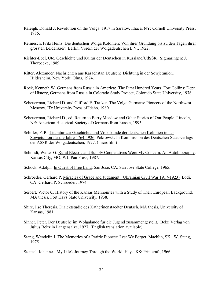- Raleigh, Donald J. Revolution on the Volga: 1917 in Saratov. Ithaca, NY: Cornell University Press, 1986.
- Reimesch, Fritz Heinz. Die deutschen Wolga Kolonien: Von ihrer Gründung bis zu den Tagen ihrer grössten Leidenszeit. Berlin: Verein der Wolgadeutschen E.V., 1922.
- Richter-Ebel, Ute. Geschichte und Kultur der Deutschen in Russland/UdSSR. Sigmaringen: J. Thorbecke, 1989.
- Ritter, Alexander. Nachrichten aus Kasachstan:Deutsche Dichtung in der Sowjetunion. Hildesheim, New York: Olms, 1974.
- Rock, Kenneth W. Germans from Russia in America: The First Hundred Years. Fort Collins: Dept. of History, Germans from Russia in Colorado Study Project, Colorado State University, 1976.
- Scheuerman, Richard D. and Clifford E. Trafzer. The Volga Germans: Pioneers of the Northwest. Moscow, ID: University Press of Idaho, 1980.
- Scheuerman, Richard D., ed. Return to Berry Meadow and Other Stories of Our People. Lincoln, NE: American Historical Society of Germans from Russia, 1995.
- Schiller, F. P. Literatur zur Geschichte und Volkskunde der deutschen Kolonien in der Sowjetunion für die Jahre 1764-1926. Pokrowsk: In Kommission des Deutschen Staatsverlags der ASSR der Wolgadeutschen, 1927. (microfilm)
- Schmidt, Walter G. Rural Electric and Supply Cooperatives Were My Concern: An Autobiography. Kansas City, MO: WL-Pan Press, 1987.
- Schock, Adolph. In Quest of Free Land. San Jose, CA: San Jose State College, 1965.
- Schroeder, Gerhard P. Miracles of Grace and Judgment, (Ukrainian Civil War 1917-1923). Lodi, CA: Gerhard P. Schroeder, 1974.
- Seibert, Victor C. History of the Kansas Mennonites with a Study of Their European Background. MA thesis, Fort Hays State University, 1938.
- Shire, Ilse Theresia. Dialektstudie des Katherinenstaedter Deutsch. MA thesis, University of Kansas, 1981.
- Sinner, Peter. Der Deutsche im Wolgalande für die Jugend zusammengestellt. Belz: Verlag von Julius Beltz in Langensalza, 1927. (English translation available)
- Stang, Wendelin J. The Memories of a Prairie Pioneer: Lest We Forget. Macklin, SK.: W. Stang, 1975.
- Stenzel, Johannes. My Life's Journey Through the World. Hays, KS: Printcraft, 1966.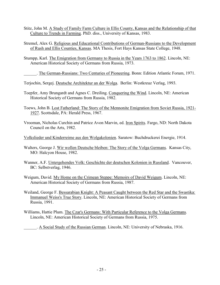- Stitz, John M. A Study of Family Farm Culture in Ellis County, Kansas and the Relationship of that Culture to Trends in Farming. PhD. diss., University of Kansas, 1983.
- Stremel, Alex G. Religious and Educational Contributions of German-Russians to the Development of Rush and Ellis Counties, Kansas. MA Thesis, Fort Hays Kansas State College, 1948.
- Stumpp, Karl. The Emigration from Germany to Russia in the Years 1763 to 1862. Lincoln, NE: American Historical Society of Germans from Russia, 1973.

. The German-Russians: Two Centuries of Pioneering. Bonn: Edition Atlantic Forum, 1971.

Terjochin, Sergej. Deutsche Architektur an der Wolga. Berlin: Westkreuz Verlag, 1993.

- Toepfer, Amy Brungardt and Agnes C. Dreiling. Conquering the Wind. Lincoln, NE: American Historical Society of Germans from Russia, 1982.
- Toews, John B. Lost Fatherland: The Story of the Mennonite Emigration from Soviet Russia, 1921- 1927. Scottsdale, PA: Herald Press, 1967.
- Vrooman, Nicholas Curchin and Patrice Avon Marvin, ed. Iron Spirits. Fargo, ND: North Dakota Council on the Arts, 1982.

Volkslieder und Kinderreime aus den Wolgakolonien. Saratow: Buchdruckerei Energie, 1914.

Walters, George J. Wir wollen Deutsche bleiben: The Story of the Volga Germans. Kansas City, MO: Halcyon House, 1982.

- Wanner, A.F. Untergehendes Volk: Geschichte der deutschen Kolonien in Russland. Vancouver, BC: Selbstverlag, 1946.
- Weigum, David. My Home on the Crimean Steppe: Memoirs of David Weigum. Lincoln, NE: American Historical Society of Germans from Russia, 1987.
- Weiland, George F. Bessarabian Knight: A Peasant Caught between the Red Star and the Swastika: Immanuel Weiss's True Story. Lincoln, NE: American Historical Society of Germans from Russia, 1991.
- Williams, Hattie Plum. The Czar's Germans: With Particular Reference to the Volga Germans. Lincoln, NE: American Historical Society of Germans from Russia, 1975.

\_\_\_\_\_\_. A Social Study of the Russian German. Lincoln, NE: University of Nebraska, 1916.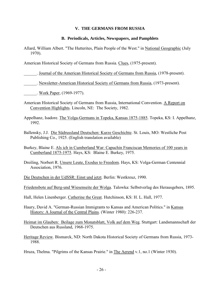# **V. THE GERMANS FROM RUSSIA**

## **B. Periodicals, Articles, Newspapers, and Pamphlets**

Allard, William Albert. "The Hutterites, Plain People of the West." in National Geographic (July 1970).

American Historical Society of Germans from Russia. Clues, (1975-present).

\_\_\_\_\_\_. Journal of the American Historical Society of Germans from Russia, (1978-present).

. Newsletter-American Historical Society of Germans from Russia, (1973-present).

\_\_\_\_\_\_. Work Paper, (1969-1977).

- American Historical Society of Germans from Russia, International Convention. A Report on Convention Highlights. Lincoln, NE: The Society, 1982.
- Appelhanz, Isadore. The Volga-Germans in Topeka, Kansas 1875-1885. Topeka, KS: I. Appelhanz, 1992.
- Ballensky, J.J. Die Südrussland Deutschen: Kurze Geschichte. St. Louis, MO: Westliche Post Publishing Co., 1925. (English translation available)
- Burkey, Blaine E. Als ich in Cumberland War: Capuchin Franciscan Memories of 100 years in Cumberland 1875-1975. Hays, KS: Blaine E. Burkey, 1975.
- Dreiling, Norbert R. Unsere Leute, Exodus to Freedom. Hays, KS: Volga-German Centennial Association, 1976.
- Die Deutschen in der UdSSR: Einst und jetzt. Berlin: Westkreuz, 1990.
- Friedensbote auf Berg-und Wiesenseite der Wolga. Talowka: Selbstverlag des Herausgebers, 1895.
- Hall, Helen Linenberger. Catherine the Great. Hutchinson, KS: H. L. Hall, 1977.
- Haury, David A. "German-Russian Immigrants to Kansas and American Politics." in Kansas History: A Journal of the Central Plains. (Winter 1980): 226-237.
- Heimat im Glauben: Beilage zum Monatsblatt, Volk auf dem Weg. Stuttgart: Landsmannschaft der Deutschen aus Russland, 1968-1975.
- Heritage Review. Bismarck, ND: North Dakota Historical Society of Germans from Russia, 1973- 1988.

Hruza, Thelma. "Pilgrims of the Kansas Prairie." in The Aerend v.1, no.1 (Winter 1930).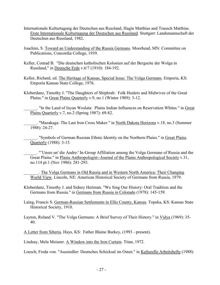- Internationale Kulturtagung der Deutschen aus Russland, Hagin Matthias and Trausch Matthias. Erste Internationale Kulturtagung der Deutschen aus Russland. Stuttgart: Landsmannschaft der Deutschen aus Russland, 1982.
- Joachim, S. Toward an Understanding of the Russia Germans. Moorhead, MN: Committee on Publications, Concordia College, 1939.
- Keller, Conrad B. "Die deutschen katholischen Kolonien auf der Bergseite der Wolga in Russland," in Deutsche Erde v.6/7 (1910): 184-192.
- Keller, Richard, ed. The Heritage of Kansas, Special Issue: The Volga Germans. Emporia, KS: Emporia Kansas State College, 1976.
- Kloberdanz, Timothy J. "The Daughters of Shiphrah: Folk Healers and Midwives of the Great Plains." in Great Plains Quarterly v.9, no.1 (Winter 1989): 3-12.

"In the Land of Inyan Woslata: Plains Indian Influences on Reservation Whites." in Great Plains Quarterly v.7, no.2 (Spring 1987): 69-82.

. "Mazakaga: The Last Iron Cross Maker." in North Dakota Horizons v.18, no.3 (Summer 1988): 24-27.

\_\_\_\_\_\_. "Symbols of German Russian Ethnic Identity on the Northern Plains." in Great Plains Quarterly (1988): 3-15.

\_\_\_\_\_\_. "'Unsre un' die Andre:' In-Group Affiliation among the Volga Germans of Russia and the Great Plains." in Plains Anthropologist--Journal of the Plains Anthropological Society v.31, no.114 pt.1 (Nov 1986): 281-293.

\_\_\_\_\_\_\_. The Volga Germans in Old Russia and in Western North America: Their Changing World View. Lincoln, NE: American Historical Society of Germans from Russia, 1979.

Kloberdanz, Timothy J. and Sidney Heitman. "We Sing Our History: Oral Tradition and the Germans from Russia." in Germans from Russia in Colorado (1978): 145-159.

Laing, Francis S. German-Russian Settlements in Ellis County, Kansas. Topeka, KS: Kansas State Historical Society, 1910.

Layton, Roland V. "The Volga Germans: A Brief Survey of Their History." in Vidya (1969): 35-40.

A Letter from Siberia. Hays, KS: Father Blaine Burkey, (1993 - present).

Lindsay, Mela Meisner. A Window into the Iron Curtain. Titan, 1972.

Loesch, Freda von. "Aussiedler: Deutsches Schicksal im Osten." in Kulturelle Arbeitshefte (1988).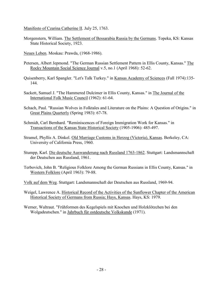Manifesto of Czarina Catherine II. July 25, 1763.

- Morgenstern, William. The Settlement of Bessarabia Russia by the Germans. Topeka, KS: Kansas State Historical Society, 1923.
- Neues Leben. Moskau: Prawda, (1968-1986).
- Petersen, Albert Jepmond. "The German Russian Settlement Pattern in Ellis County, Kansas." The Rocky Mountain Social Science Journal v.5, no.1 (April 1968): 52-62.
- Quisenberry, Karl Spangler. "Let's Talk Turkey." in Kansas Academy of Sciences (Fall 1974):135- 144.
- Sackett, Samuel J. "The Hammered Dulcimer in Ellis County, Kansas." in The Journal of the International Folk Music Council (1962): 61-64.
- Schach, Paul. "Russian Wolves in Folktales and Literature on the Plains: A Question of Origins." in Great Plains Quarterly (Spring 1983): 67-78.
- Schmidt, Carl Bernhard. "Reminiscences of Foreign Immigration Work for Kansas." in Transactions of the Kansas State Historical Society (1905-1906): 485-497.
- Stramel, Phyllis A. Dinkel. Old Marriage Customs in Herzog (Victoria), Kansas. Berkeley, CA: University of California Press, 1960.
- Stumpp, Karl. Die deutsche Auswanderung nach Russland 1763-1862. Stuttgart: Landsmannschaft der Deutschen aus Russland, 1961.
- Terbovich, John B. "Religious Folklore Among the German Russians in Ellis County, Kansas." in Western Folklore (April 1963): 79-88.
- Volk auf dem Weg. Stuttgart: Landsmannschaft der Deutschen aus Russland, 1969-94.
- Weigel, Lawrence A. Historical Record of the Activities of the Sunflower Chapter of the American Historical Society of Germans from Russia; Hays, Kansas. Hays, KS: 1979.
- Werner, Waltraut. "Frühformen des Kegelspiels mit Knochen und Holzklötzchen bei den Wolgadeutschen." in Jahrbuch für ostdeutsche Volkskunde (1971).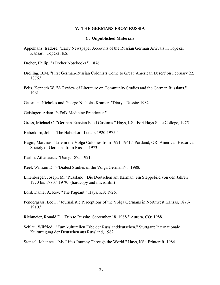#### **V. THE GERMANS FROM RUSSIA**

#### **C. Unpublished Materials**

- Appelhanz, Isadore. "Early Newspaper Accounts of the Russian German Arrivals in Topeka, Kansas." Topeka, KS.
- Dreher, Philip. "<Dreher Notebook>". 1876.
- Dreiling, B.M. "First German-Russian Colonists Come to Great 'American Desert' on February 22, 1876."
- Felts, Kenneth W. "A Review of Literature on Community Studies and the German Russians." 1961.
- Gassman, Nicholas and George Nicholas Kramer. "Diary." Russia: 1982.
- Geisinger, Adam. "<Folk Medicine Practices>."
- Gross, Michael C. "German-Russian Food Customs." Hays, KS: Fort Hays State College, 1975.
- Haberkorn, John. "The Haberkorn Letters 1920-1975."
- Hagin, Matthias. "Life in the Volga Colonies from 1921-1941." Portland, OR: American Historical Society of Germans from Russia, 1973.
- Karlin, Athanasius. "Diary, 1875-1921."
- Keel, William D. "<Dialect Studies of the Volga Germans>." 1988.
- Linenberger, Joseph M. "Russland: Die Deutschen am Karman: ein Steppebild von den Jahren 1770 bis 1780." 1979. (hardcopy and microfilm)
- Lord, Daniel A, Rev. "The Pageant." Hays, KS: 1926.
- Pendergrass, Lee F. "Journalistic Perceptions of the Volga Germans in Northwest Kansas, 1876- 1910."
- Richmeier, Ronald D. "Trip to Russia: September 18, 1988." Aurora, CO: 1988.
- Schlau, Wilfried. "Zum kulturellen Erbe der Russlanddeutschen." Stuttgart: Internationale Kulturtagung der Deutschen aus Russland, 1982.
- Stenzel, Johannes. "My Life's Journey Through the World." Hays, KS: Printcraft, 1984.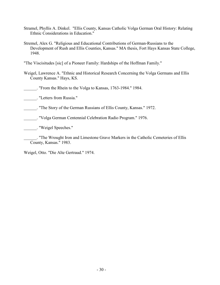- Stramel, Phyllis A. Dinkel. "Ellis County, Kansas Catholic Volga German Oral History: Relating Ethnic Considerations in Education."
- Stremel, Alex G. "Religious and Educational Contributions of German-Russians to the Development of Rush and Ellis Counties, Kansas." MA thesis, Fort Hays Kansas State College, 1948.

"The Viscisitudes [sic] of a Pioneer Family: Hardships of the Hoffman Family."

Weigel, Lawrence A. "Ethnic and Historical Research Concerning the Volga Germans and Ellis County Kansas." Hays, KS.

\_\_\_\_\_\_. "From the Rhein to the Volga to Kansas, 1763-1984." 1984.

\_\_\_\_\_\_. "Letters from Russia."

\_\_\_\_\_\_. "The Story of the German Russians of Ellis County, Kansas." 1972.

\_\_\_\_\_\_. "Volga German Centennial Celebration Radio Program." 1976.

\_\_\_\_\_\_. "Weigel Speeches."

\_\_\_\_\_\_. "The Wrought Iron and Limestone Grave Markers in the Catholic Cemeteries of Ellis County, Kansas." 1983.

Weigel, Otto. "Die Alte Gertraud." 1974.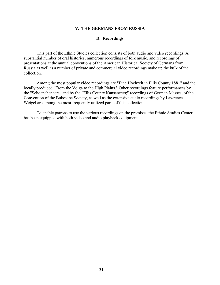### **V. THE GERMANS FROM RUSSIA**

### **D. Recordings**

 This part of the Ethnic Studies collection consists of both audio and video recordings. A substantial number of oral histories, numerous recordings of folk music, and recordings of presentations at the annual conventions of the American Historical Society of Germans from Russia as well as a number of private and commercial video recordings make up the bulk of the collection.

 Among the most popular video recordings are "Eine Hochzeit in Ellis County 1881" and the locally produced "From the Volga to the High Plains." Other recordings feature performances by the "Schoencheneers" and by the "Ellis County Kansaneers;" recordings of German Masses, of the Convention of the Bukovina Society, as well as the extensive audio recordings by Lawrence Weigel are among the most frequently utilized parts of this collection.

 To enable patrons to use the various recordings on the premises, the Ethnic Studies Center has been equipped with both video and audio playback equipment.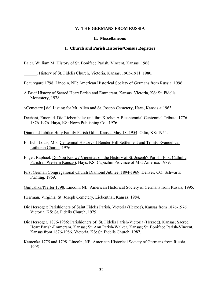### **V. THE GERMANS FROM RUSSIA**

#### **E. Miscellaneous**

#### **1. Church and Parish Histories/Census Registers**

Baier, William M. History of St. Boniface Parish, Vincent, Kansas. 1968.

. History of St. Fidelis Church, Victoria, Kansas, 1905-1911. 1980.

Beauregard 1798. Lincoln, NE: American Historical Society of Germans from Russia, 1996.

- A Brief History of Sacred Heart Parish and Emmeram, Kansas. Victoria, KS: St. Fidelis Monastery, 1978.
- <Cemetary [sic] Listing for Mt. Allen and St. Joseph Cemetery, Hays, Kansas.> 1963.
- Dechant, Emerald. Die Liebenthaler und ihre Kirche; A Bicentennial-Centennial Tribute, 1776- 1876-1976. Hays, KS: News Publishing Co., 1976.
- Diamond Jubilee Holy Family Parish Odin, Kansas May 18, 1954. Odin, KS: 1954.
- Ehrlich, Louis, Mrs. Centennial History of Bender Hill Settlement and Trinity Evangelical Lutheran Church. 1976.
- Engel, Raphael. Do You Know? Vignettes on the History of St. Joseph's Parish (First Catholic Parish in Western Kansas). Hays, KS: Capuchin Province of Mid-America, 1989.
- First German Congregational Church Diamond Jubilee, 1894-1969. Denver, CO: Schwartz Printing, 1969.
- Gnilushka/Pfeifer 1798. Lincoln, NE: American Historical Society of Germans from Russia, 1995.
- Herrman, Virginia. St. Joseph Cemetery, Liebenthal, Kansas. 1984.
- Die Herzoger: Parishioners of Saint Fidelis Parish, Victoria (Herzog), Kansas from 1876-1976. Victoria, KS: St. Fidelis Church, 1979.
- Die Herzoger, 1876-1986: Parishioners of: St. Fidelis Parish-Victoria (Herzog), Kansas; Sacred Heart Parish-Emmeram, Kansas; St. Ann Parish-Walker, Kansas; St. Boniface Parish-Vincent, Kansas from 1876-1986. Victoria, KS: St. Fidelis Church, 1987.
- Kamenka 1775 and 1798. Lincoln, NE: American Historical Society of Germans from Russia, 1995.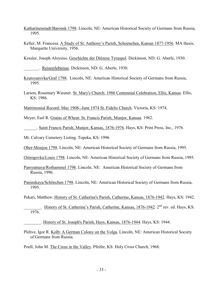- Katharinenstadt/Baronsk 1798. Lincoln, NE: American Historical Society of Germans from Russia, 1995.
- Keller, M. Francesa. A Study of St. Anthony's Parish, Schoenchen, Kansas 1877-1956. MA thesis, Marquette University, 1956.

Kessler, Joseph Aloysius. Geschichte der Diözese Tyraspol. Dickinson, ND: G. Aberle, 1930.

\_\_\_\_\_\_\_. Reiseerlebnisse. Dickinson, ND: G. Aberle, 1930.

- Krutoyarovka/Graf 1798. Lincoln, NE: American Historical Society of Germans from Russia, 1995.
- Larson, Rosemary Wiesner. St. Mary's Church: 1986 Centennial Celebration, Ellis, Kansas. Ellis, KS: 1986.

Matrimonial Record: May 1908--June 1974 St. Fidelis Church. Victoria, KS: 1974.

Meyer, Earl R. Grains of Wheat: St. Francis Parish, Munjor, Kansas. 1982.

\_\_\_\_\_\_. Saint Francis Parish, Munjor, Kansas, 1876-1976. Hays, KS: Print Press, Inc., 1976.

Mt. Calvary Cemetery Listing. Topeka, KS: 1996

Ober-Monjou 1798. Lincoln, NE: American Historical Society of Germans from Russia, 1995.

Ostrogovka/Louis 1798. Lincoln, NE: American Historical Society of Germans from Russia, 1995.

Pamyatnaya/Rothammel 1798. Lincoln, NE: American Historical Society of Germans from Russia, 1996.

Paninskaya/Schönchen 1798. Lincoln, NE: American Historical Society of Germans from Russia, 1995.

Pekari, Matthew. History of St. Catherine's Parish, Catherine, Kansas, 1876-1942. Hays, KS: 1942.

\_\_\_\_\_\_\_\_. History of St. Catherine's Parish, Catherine, Kansas, 1876-1942. 2nd rev. ed. Hays, KS: 1976.

\_\_\_\_\_\_\_\_. History of St. Joseph's Parish, Hays, Kansas, 1876-1944. Hays, KS: 1944.

Plehve, Igor R. Kolb: A German Colony on the Volga. Lincoln, NE: American Historical Society of Germans from Russia.

Poell, John M. The Cross in the Valley. Pfeifer, KS: Holy Cross Church, 1968.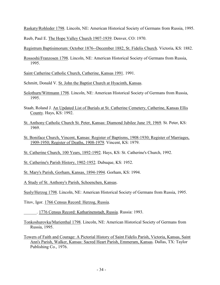Raskaty/Rohleder 1798. Lincoln, NE: American Historical Society of Germans from Russia, 1995.

Reeb, Paul E. The Hope Valley Church 1907-1939. Denver, CO: 1970.

Registrum Baptisimorum: October 1876--December 1882, St. Fidelis Church. Victoria, KS: 1882.

Rossoshi/Franzosen 1798. Lincoln, NE: American Historical Society of Germans from Russia, 1995.

Saint Catherine Catholic Church, Catherine, Kansas 1991. 1991.

Schmitt, Donald V. St. John the Baptist Church at Hyacinth, Kansas.

- Solothurn/Wittmann 1798. Lincoln, NE: American Historical Society of Germans from Russia, 1995.
- Staab, Roland J. An Updated List of Burials at St. Catherine Cemetery, Catherine, Kansas Ellis County. Hays, KS: 1992.
- St. Anthony Catholic Church St. Peter, Kansas: Diamond Jubilee June 19, 1969. St. Peter, KS: 1969.
- St. Boniface Church, Vincent, Kansas: Register of Baptisms, 1908-1930; Register of Marriages, 1909-1950; Register of Deaths, 1908-1979. Vincent, KS: 1979.
- St. Catherine Church, 100 Years, 1892-1992. Hays, KS: St. Catherine's Church, 1992.
- St. Catherine's Parish History, 1902-1952. Dubuque, KS: 1952.
- St. Mary's Parish, Gorham, Kansas, 1894-1994. Gorham, KS: 1994.
- A Study of St. Anthony's Parish, Schoenchen, Kansas.
- Susly/Herzog 1798. Lincoln, NE: American Historical Society of Germans from Russia, 1995.
- Titov, Igor. 1766 Census Record: Herzog, Russia.
- \_\_\_\_\_\_. 1776 Census Record: Katharinenstadt, Russia. Russia: 1993.
- Tonkoshurovka/Marienthal 1798. Lincoln, NE: American Historical Society of Germans from Russia, 1995.
- Towers of Faith and Courage: A Pictorial History of Saint Fidelis Parish, Victoria, Kansas, Saint Ann's Parish, Walker, Kansas: Sacred Heart Parish, Emmeram, Kansas. Dallas, TX: Taylor Publishing Co., 1976.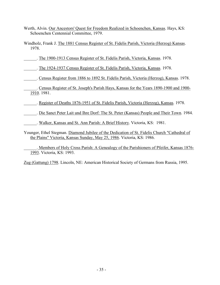- Werth, Alvin. Our Ancestors' Quest for Freedom Realized in Schoenchen, Kansas. Hays, KS: Schoenchen Centennial Committee, 1979.
- Windholz, Frank J. The 1881 Census Register of St. Fidelis Parish, Victoria (Herzog) Kansas. 1978.

\_\_\_\_\_\_. The 1900-1913 Census Register of St. Fidelis Parish, Victoria, Kansas. 1978.

\_\_\_\_\_\_. The 1924-1937 Census Register of St. Fidelis Parish, Victoria, Kansas. 1978.

\_\_\_\_\_\_. Census Register from 1886 to 1892 St. Fidelis Parish, Victoria (Herzog), Kansas. 1978.

\_\_\_\_\_\_. Census Register of St. Joseph's Parish Hays, Kansas for the Years 1890-1900 and 1900- 1910. 1981.

\_\_\_\_\_\_. Register of Deaths 1876-1951 of St. Fidelis Parish, Victoria (Herzog), Kansas. 1978.

\_\_\_\_\_\_. Die Sanct Peter Lait und Ihre Dorf: The St. Peter (Kansas) People and Their Town. 1984.

\_\_\_\_\_\_. Walker, Kansas and St. Ann Parish: A Brief History. Victoria, KS: 1981.

Younger, Ethel Stegman. Diamond Jubilee of the Dedication of St. Fidelis Church "Cathedral of the Plains" Victoria, Kansas Sunday, May 25, 1986. Victoria, KS: 1986.

\_\_\_\_\_\_. Members of Holy Cross Parish: A Genealogy of the Parishioners of Pfeifer, Kansas 1876- 1993. Victoria, KS: 1993.

Zug (Gattung) 1798. Lincoln, NE: American Historical Society of Germans from Russia, 1995.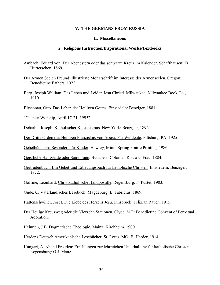#### **V. THE GERMANS FROM RUSSIA**

#### **E. Miscellaneous**

#### **2. Religious Instruction/Inspirational Works/Textbooks**

- Ambach, Eduard von. Der Abendstern oder das schwarze Kreuz im Kalender. Schaffhausen: Fr. Hurterschen, 1869.
- Der Armen Seelen Freund: Illustrierte Monatschrift im Interesse der Armenseelen. Oregon: Benedictine Fathers, 1922.
- Berg, Joseph William. Das Leben und Leiden Jesu Christi. Milwaukee: Milwaukee Book Co., 1910.

Bitschnau, Otto. Das Leben der Heiligen Gottes. Einsiedeln: Benziger, 1881.

"Chapter Worship, April 17-21, 1995"

Deharbe, Joseph. Katholischer Katechismus. New York: Benziger, 1892.

Der Dritte Orden des Heiligen Franziskus von Assisi: Für Weltleute. Pittsburg, PA: 1925.

Gebetbüchlein: Besonders für Kinder. Hawley, Minn: Spring Prairie Printing, 1986.

Geistliche Halszierde oder Sammlung. Budapest: Coloman Rozsa u. Frau, 1884.

- Gertrudenbuch: Ein Gebet-und Erbauungsbuch für katholische Christen. Einsiedeln: Benziger, 1872.
- Goffine, Leonhard. Christkatholische Handpostille. Regensburg: F. Pustet, 1903.
- Gude, C. Vaterländisches Lesebuch. Magdeburg: E. Fabricius, 1869.
- Hattenschwiller, Josef. Die Liebe des Herzens Jesu. Innsbruck: Felizian Rauch, 1915.
- Der Heilige Kreuzweg oder die Vierzehn Stationen. Clyde, MO: Benedictine Convent of Perpetual Adoration.
- Heinrich, J.B. Dogmatische Theologie. Mainz: Kirchheim, 1900.
- Herder's Deutsch Amerikanische Lesebücher. St. Louis, MO: B. Herder, 1914.
- Hungari, A. Abend Freuden: Erz, hlungen zur lehrreichen Unterhaltung für katholische Christen. Regensburg: G.J. Manz.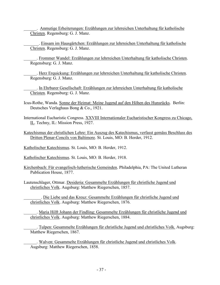\_\_\_\_\_\_. Anmutige Erheiterungen: Erzählungen zur lehrreichen Unterhaltung für katholische Christen. Regensburg: G. J. Manz.

. Einsam im Hausgärtchen: Erzählungen zur lehrreichen Unterhaltung für katholische Christen. Regensburg: G. J. Manz.

\_\_\_\_\_\_. Frommer Wandel: Erzählungen zur lehrreichen Unterhaltung für katholische Christen. Regensburg: G. J. Manz.

. Herz Erquickung: Erzählungen zur lehrreichen Unterhaltung für katholische Christen. Regensburg: G. J. Manz.

\_\_\_\_\_\_. In Ehrbarer Gesellschaft: Erzählungen zur lehrreichen Unterhaltung für katholische Christen. Regensburg: G. J. Manz.

- Icus-Rothe, Wanda. Sonne der Heimat: Meine Jugend auf den Höhen des Hunsrücks. Berlin: Deutsches Verlaghaus Bong & Co., 1921.
- International Eucharistic Congress. XXVIII Internationaler Eucharistischer Kongress zu Chicago, IL. Techny, IL: Mission Press, 1927.
- Katechismus der christlichen Lehre: Ein Auszug des Katechismus, verfasst gemäss Beschluss des Dritten Plenar-Concils von Baltimore. St. Louis, MO: B. Herder, 1912.

Katholischer Katechismus. St. Louis, MO: B. Herder, 1912.

- Katholischer Katechismus. St. Louis, MO: B. Herder, 1918.
- Kirchenbuch: Für evangelisch-lutherische Gemeinden. Philadelphia, PA: The United Lutheran Publication House, 1877.

Lautenschlager, Ottmar. Desideria: Gesammelte Erzählungen für christliche Jugend und christliches Volk. Augsburg: Matthew Riegerschen, 1857.

\_\_\_\_\_\_\_\_. Die Liebe und das Kreuz: Gesammelte Erzählungen für christliche Jugend und christliches Volk. Augsburg: Matthew Riegerschen, 1876.

\_\_\_\_\_\_. Maria Hilft Johann der Findling: Gesammelte Erzählungen für christliche Jugend und christliches Volk. Augsburg: Matthew Riegerschen, 1884.

\_\_\_\_\_\_. Tulpen: Gesammelte Erzählungen für christliche Jugend und christliches Volk. Augsburg: Matthew Riegerschen, 1867.

\_\_\_\_\_\_. Walven: Gesammelte Erzählungen für christliche Jugend und christliches Volk. Augsburg: Matthew Riegerschen, 1858.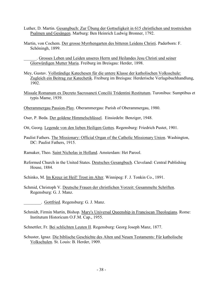- Luther, D. Martin. Gesangbuch: Zur Übung der Gottseligkeit in 615 christlichen und trostreichen Psalmen und Gesängen. Marburg: Ben Heinrich Ludwig Bronner, 1792.
- Martin, von Cochem. Der grosse Myrrhengarten des bitteren Leidens Christi. Paderborn: F. Schöningh, 1899.

\_\_\_\_\_\_. Grosses Leben und Leiden unseres Herrn und Heilandes Jesu Christi und seiner Glorwürdigen Mutter Maria. Freiburg im Breisgau: Herder, 1898.

- Mey, Gustav. Vollständige Katechesen für die untere Klasse der katholischen Volksschule: Zugleich ein Beitrag zur Katechetik. Freiburg im Breisgau: Herderische Verlagsbuchhandlung, 1902.
- Missale Romanum ex Decreto Sacrosancti Concilii Tridentini Restitutum. Turonibus: Sumptibus et typis Mame, 1939.
- Oberammergau Passion-Play. Oberammergau: Parish of Oberammergau, 1980.
- Oser, P. Beda. Der goldene Himmelschlüssel. Einsiedeln: Benziger, 1948.

Ott, Georg. Legende von den lieben Heiligen Gottes. Regensburg: Friedrich Pustet, 1901.

Paulist Fathers. The Missionary: Official Organ of the Catholic Missionary Union. Washington, DC: Paulist Fathers, 1915.

Ramaker, Theo. Saint Nicholas in Holland. Amsterdam: Het Parool.

Reformed Church in the United States. Deutsches Gesangbuch. Cleveland: Central Publishing House, 1884.

Schinko, M. Im Kreuz ist Heil! Trost im Alter. Winnipeg: F. J. Tonkin Co., 1891.

Schmid, Christoph V. Deutsche Frauen der christlichen Vorzeit: Gesammelte Schriften. Regensburg: G. J. Manz.

\_\_\_\_\_\_\_\_. Gottfried. Regensburg: G. J. Manz.

- Schmidt, Firmin Martin, Bishop. Mary's Universal Queenship in Franciscan Theologians. Rome: Institutum Historicum O.F.M. Cap., 1955.
- Schnettler, Fr. Bei schlichten Leuten II. Regensburg: Georg Joseph Manz, 1877.
- Schuster, Ignaz. Die biblische Geschichte des Alten und Neuen Testaments: Für katholische Volkschulen. St. Louis: B. Herder, 1909.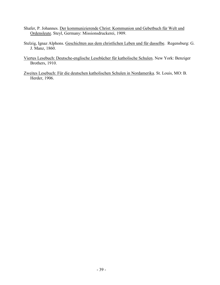- Shafer, P. Johannes. Der kommunizierende Christ: Kommunion und Gebetbuch für Welt und Ordensleute. Steyl, Germany: Missionsdruckerei, 1909.
- Stelzig, Ignaz Alphons. Geschichten aus dem christlichen Leben und für dasselbe. Regensburg: G. J. Manz, 1860.
- Viertes Lesebuch: Deutsche-englische Lesebücher für katholische Schulen. New York: Benziger Brothers, 1910.
- Zweites Lesebuch: Für die deutschen katholischen Schulen in Nordamerika. St. Louis, MO: B. Herder, 1906.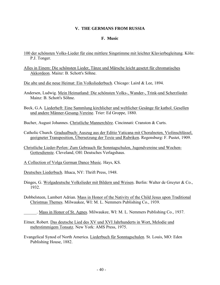### **V. THE GERMANS FROM RUSSIA**

### **F. Music**

- 100 der schönsten Volks-Lieder für eine mittlere Singstimme mit leichter Klavierbegleitung. Köln: P.J. Tonger.
- Alles in Einem: Die schönsten Lieder, Tänze und Märsche leicht gesetzt für chromatisches Akkordeon. Mainz: B. Schott's Söhne.
- Die alte und die neue Heimat: Ein Volksliederbuch. Chicago: Laird & Lee, 1894.
- Andersen, Ludwig. Mein Heimatland: Die schönsten Volks-, Wander-, Trink-und Scherzlieder. Mainz: B. Schott's Söhne.
- Beck, G.A. Liederheft: Eine Sammlung kirchlicher und weltlicher Gesänge für kathol. Gesellen und andere Männer-Gesang-Vereine. Trier: Ed Groppe, 1880.
- Bucher, August Johannes. Christliche Mannerchöre. Cincinnati: Cranston & Curts.
- Catholic Church. Gradualbuch: Auszug aus der Editio Vaticana mit Choralnoten, Violinschlüssel, geeigneter Transposition, Übersetzung der Texte und Rubriken. Regensburg: F. Pustet, 1909.
- Christliche Lieder-Perlen: Zum Gebrauch für Sonntagschulen, Jugendvereine und Wochen-Gottesdienste. Cleveland, OH: Deutsches Verlagshaus.
- A Collection of Volga German Dance Music. Hays, KS.
- Deutsches Liederbuch. Ithaca, NY: Thrift Press, 1948.
- Dinges, G. Wolgadeutsche Volkslieder mit Bildern und Weisen. Berlin: Walter de Gruyter & Co., 1932.
- Dobbelsteen, Lambert Adrian. Mass in Honor of the Nativity of the Child Jesus upon Traditional Christmas Themes. Milwaukee, WI: M. L. Nemmers Publishing Co., 1939.
	- \_\_\_\_\_\_. Mass in Honor of St. Agnes. Milwaukee, WI: M. L. Nemmers Publishing Co., 1937.
- Eitner, Robert. Das deutsche Lied des XV und XVI Jahrhunderts in Wort, Melodie und mehrstimmigem Tonsatz. New York: AMS Press, 1975.
- Evangelical Synod of North America. Liederbuch für Sonntagschulen. St. Louis, MO: Eden Publishing House, 1882.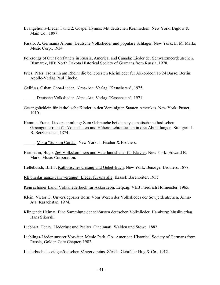- Evangeliums-Lieder 1 und 2: Gospel Hymns: Mit deutschen Kernliedern. New York: Biglow & Main Co., 1897.
- Fassio, A. Germania Album: Deutsche Volkslieder und populäre Schlager. New York: E. M. Marks Music Corp., 1934.
- Folksongs of Our Forefathers in Russia, America, and Canada: Lieder der Schwarzmeerdeutschen. Bismarck, ND: North Dakota Historical Society of Germans from Russia, 1978.
- Fries, Peter. Frohsinn am Rhein: die beliebtesten Rheinlieder für Akkordeon ab 24 Basse. Berlin: Apollo-Verlag Paul Lincke.
- Geilfuss, Oskar. Chor-Lieder. Alma-Ata: Verlag "Kasachstan", 1975.

\_\_\_\_\_. Deutsche Volkslieder. Alma-Ata: Verlag "Kasachstan", 1971.

- Gesangbüchlein für katholische Kinder in den Vereinigten Staaten Amerikas. New York: Pustet, 1910.
- Hamma, Franz. Liedersammlung: Zum Gebrauche bei dem systematisch-methodischen Gesangunterricht für Volkschulen und Höhere Lehranstalten in drei Abtheilungen. Stuttgart: J. B. Betzlerschen, 1874.
- \_\_\_\_\_. Missa "Sursum Corda". New York: J. Fischer & Brothers.
- Hartmann, Hugo. 266 Volkskommers und Vaterlandslieder für Klavier. New York: Edward B. Marks Music Corporation.
- Hellebusch, B.H.F. Katholisches Gesang und Gebet-Buch. New York: Benziger Brothers, 1878.

Ich bin das ganze Jahr vergnügt: Lieder für uns alle. Kassel: Bärenreiter, 1955.

- Kein schöner Land: Volksliederbuch für Akkordeon. Leipzig: VEB Friedrich Hofmeister, 1965.
- Klein, Victor G. Unversiegbarer Born: Vom Wesen des Volksliedes der Sowjetdeutschen. Alma-Ata: Kasachstan, 1974.
- Klingende Heimat: Eine Sammlung der schönsten deutschen Volkslieder. Hamburg: Musikverlag Hans Sikorski.
- Liebhart, Henry. Liederlust und Psalter. Cincinnati: Walden und Stowe, 1882.
- Lieblings-Lieder unserer Vorväter. Menlo Park, CA: American Historical Society of Germans from Russia, Golden Gate Chapter, 1982.
- Liederbuch des eidgenössischen Sängervereins. Zürich: Gebrüder Hug & Co., 1912.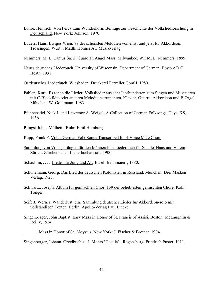- Lohre, Heinrich. Von Percy zum Wunderhorn: Beiträge zur Geschichte der Volksliedforschung in Deutschland. New York: Johnson, 1970.
- Luders, Hans. Ewiges Wien: 89 der schönsten Melodien von einst und jetzt für Akkordeon. Trossingen, Württ.: Matth. Hohner AG Musikverlag.
- Nemmers, M. L. Cantus Sacri: Guardian Angel Mass. Milwaukee, WI: M. L. Nemmers, 1899.
- Neues deutsches Liederbuch. University of Wisconsin, Department of German. Boston: D.C. Heath, 1931.
- Ostdeutsches Liederbuch. Wiesbaden: Druckerei Parzeller GbmH, 1989.
- Pahlen, Kurt. Es tönen die Lieder: Volkslieder aus acht Jahrhunderten zum Singen und Musizieren mit C-Blockflöte oder anderen Melodieinstrumenten, Klavier, Gitarre, Akkordeon und E-Orgel. München: W. Goldmann, 1983.
- Pfannenstiel, Nick J. and Lawrence A. Weigel. A Collection of German Folksongs. Hays, KS, 1956.
- Pfingst-Jubel. Mülheim-Ruhr: Emil Humburg.
- Rupp, Frank P. Volga German Folk Songs Transcribed for 4-Voice Male Choir.
- Sammlung von Volksgesängen für den Männerchor: Liederbuch für Schule, Haus und Verein. Zürich: Zürcherischen Liederbuchanstalt, 1900.
- Schaublin, J. J. Lieder für Jung und Alt. Basel: Bahnmaiers, 1880.
- Schunemann, Georg. Das Lied der deutschen Kolonisten in Russland. München: Drei Masken Verlag, 1923.
- Schwartz, Joseph. Album für gemischten Chor: 159 der beliebtesten gemischten Chöre. Köln: Tonger.
- Seifert, Werner. Wanderlust: eine Sammlung deutscher Lieder für Akkordeon-solo mit vollständigen Texten. Berlin: Apollo-Verlag Paul Lincke.
- Singenberger, John Baptist. Easy Mass in Honor of St. Francis of Assisi. Boston: McLaughlin & Reilly, 1924.
- \_\_\_\_\_\_. Mass in Honor of St. Aloysius. New York: J. Fischer & Brother, 1904.
- Singenberger, Johann. Orgelbuch zu J. Mohrs "Cäcilia". Regensburg: Friedrich Pustet, 1911.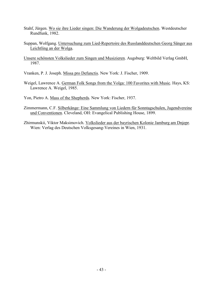- Stahf, Jürgen. Wo sie ihre Lieder singen: Die Wanderung der Wolgadeutschen. Westdeutscher Rundfunk, 1982.
- Suppan, Wolfgang. Untersuchung zum Lied-Repertoire des Russlanddeutschen Georg Sänger aus Leichtling an der Wolga.
- Unsere schönsten Volkslieder zum Singen und Musizieren. Augsburg: Weltbild Verlag GmbH, 1987.
- Vranken, P. J. Joseph. Missa pro Defunctis. New York: J. Fischer, 1909.
- Weigel, Lawrence A. German Folk Songs from the Volga: 100 Favorites with Music. Hays, KS: Lawrence A. Weigel, 1985.
- Yon, Pietro A. Mass of the Shepherds. New York: Fischer, 1937.
- Zimmermann, C.F. Silberkänge: Eine Sammlung von Liedern für Sonntagschulen, Jugendvereine und Conventionen. Cleveland, OH: Evangelical Publishing House, 1899.
- Zhirmunskii, Viktor Maksimovich. Volkslieder aus der bayrischen Kolonie Jamburg am Dnjepr. Wien: Verlag des Deutschen Volksgesang-Vereines in Wien, 1931.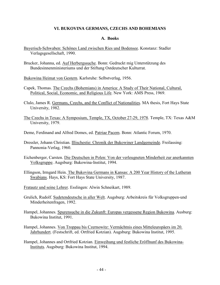### **VI. BUKOVINA GERMANS, CZECHS AND BOHEMIANS**

#### **A. Books**

- Bayerisch-Schwaben: Schönes Land zwischen Ries und Bodensee. Konstanz: Stadler Verlagsgesellschaft, 1990.
- Brucker, Johanna, ed. Auf Herbergssuche. Bonn: Gedruckt mig Unterstützung des Bundesinnenministeriums und der Stiftung Ostdeutscher Kulturrat.

Bukowina Heimat von Gestern. Karlsruhe: Selbstverlag, 1956.

- Capek, Thomas. The Czechs (Bohemians) in America: A Study of Their National, Cultural, Political, Social, Economic, and Religious Life. New York: AMS Press, 1969.
- Clulo, James R. Germans, Czechs, and the Conflict of Nationalities. MA thesis, Fort Hays State University, 1982.
- The Czechs in Texas: A Symposium, Temple, TX, October 27-29, 1978. Temple, TX: Texas A&M University, 1979.
- Deme, Ferdinand and Alfred Domes, ed. Patriae Pacem. Bonn: Atlantic Forum, 1970.
- Dressler, Johann Christian. Illischestie: Chronik der Bukowiner Landgemeinde. Freilassing: Pannonia-Verlag, 1960.
- Eichenberger, Carsten. Die Deutschen in Polen: Von der verleugneten Minderheit zur anerkannten Volksgruppe. Augsburg: Bukowina-Institut, 1994.
- Ellingson, Irmgard Hein. The Bukovina Germans in Kansas: A 200 Year History of the Lutheran Swabians. Hays, KS: Fort Hays State University, 1987.
- Fratautz und seine Lehrer. Esslingen: Alwin Schneikart, 1989.
- Grulich, Rudolf. Sudetendeutsche in aller Welt. Augsburg: Arbeitskreis für Volksgruppen-und Minderheitenfragen, 1992.
- Hampel, Johannes. Spurensuche in die Zukunft: Europas vergessene Region Bukowina. Ausburg: Bukowina Institut, 1991.
- Hampel, Johannes. Von Troppau bis Czernowitz: Vermächtnis eines Mitteleuropäers im 20. Jahrhundert. (Festschrift, ed. Ortfried Kotzian). Augsburg: Bukowina Institut, 1995.
- Hampel, Johannes and Ortfried Kotzian. Einweihung und festliche Eröffnunf des Bukowina-Instituts. Augsburg: Bukowina Institut, 1994.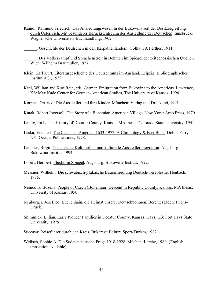Kaindl, Raimund Friedrich. Das Ansiedlungswesen in der Bukowina seit der Besitzergreifung durch Österreich. Mit besonderer Berücksichtigung der Ansiedlung der Deutschen. Innsbruck: Wagner'sche Universitäts-Buchhandlung, 1902.

\_\_\_\_\_\_. Geschichte der Deutschen in den Karpathenländern. Gotha: FA Perthes, 1911.

\_\_\_\_\_\_. Der Völkerkampf und Sprachenstreit in Böhmen im Spiegel der zeitgenössischen Quellen. Wien: Wilhelm Braumüller, 1927.

- Klein, Karl Kurt. Literaturgeschichte des Deutschtums im Ausland. Leipzig: Bibliographisches Institut AG., 1939.
- Keel, William and Kurt Rein, eds. German Emigration from Bukovina to the Americas. Lawrence, KS: Max Kade Center for German-American Studies, The University of Kansas, 1996.
- Kotzian, Ortfried. Die Aussiedler und ihre Kinder. München: Verlag und Druckerei, 1991.
- Kutak, Robert Ingersoll. The Story of a Bohemian-American Village. New York: Arno Press, 1970.
- Laidig, Ira L. The History of Decatur County, Kansas. MA thesis, Colorado State University, 1941.
- Laska, Vera, ed. The Czechs in America, 1633-1977: A Chronology & Fact Book. Dobbs Ferry, NY: Oceana Publications, 1978.
- Laubner, Birgit. Ostdeutsche Kulturarbeit und kulturelle Aussiedlerintegration. Augsburg: Bukowina-Institut, 1994.
- Losert, Heribert. Flucht im Spiegel. Augsburg: Bukowina-Institut, 1992.
- Messner, Wilhelm. Die schwäbisch-pfälzische Bauernsiedlung Deutsch-Tereblestie. Heubach, 1985.
- Nemcova, Bozena. People of Czech (Bohemian) Descent in Republic County, Kansas. MA thesis, University of Kansas, 1950.
- Neuburger, Josef, ed. Buchenhain, die Heimat unserer Deutschböhmen. Berchtesgaden: Fuchs-Druck.
- Shimmick, Lillian. Early Pioneer Families in Decatur County, Kansas. Hays, KS: Fort Hays State University, 1979.
- Suceava: Reiseführer durch den Kreis. Bukarest: Editura Sport-Turism, 1982.
- Welisch, Sophie A. Die Sudetendeutsche Frage 1918-1928. Müchen: Lerche, 1980. (English translation available)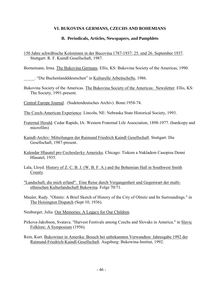# **VI. BUKOVINA GERMANS, CZECHS AND BOHEMIANS**

# **B. Periodicals, Articles, Newspapers, and Pamphlets**

150 Jahre schwäbische Kolonisten in der Bucovina 1787-1937: 25. und 26. September 1937. Stuttgart: R. F. Kaindl Gesellschaft, 1987.

Bornemann, Irma. The Bukovina Germans. Ellis, KS: Bukovina Society of the Americas, 1990.

. "Die Buchenlandddeutschen" in Kulturelle Arbeitschefte, 1986.

Bukovina Society of the Americas. The Bukovina Society of the Americas: Newsletter. Ellis, KS: The Society, 1991-present.

Central Europe Journal. (Sudetendeutsches Archiv). Bonn:1958-74.

The Czech-American Experience. Lincoln, NE: Nebraska State Historical Society, 1993.

- Fraternal Herald. Cedar Rapids, IA: Western Fraternal Life Association, 1898-1977. (hardcopy and microfilm)
- Kaindl-Archiv: Mitteilungen der Raimund Friedrich Kaindl Gesellschaft. Stuttgart: Die Gesellschaft, 1987-present.
- Kalendar Hlasatel pro Cechoslavky Americke. Chicago: Tiskem a Nakladem Casopisu Denni Hlasatel, 1935.
- Lala, Lloyd. History of Z. C. B. J. (W. B. F. A.) and the Bohemian Hall in Southwest Smith County.
- "Landschaft, die mich erfand": Eine Reise durch Vergangenheit und Gegenwart der multiethnischen Kulturlandschaft Bukowina. Folge 70/71.
- Mauler, Rudy. "Olmitz: A Brief Sketch of History of the City of Olmitz and Its Surroundings." in The Hoisington Dispatch (Sept 10, 1936).
- Neuburger, Julia. Our Memories: A Legacy for Our Children.
- Pirkova-Jakobson, Svatava. "Harvest Festivals among Czechs and Slovaks in America." in Slavic Folklore: A Symposium (1956).
- Rein, Kurt. Bukowiner in Amerika: Besuch bei unbekannten Verwandten: Jahresgabe 1992 der Raimund-Friedrich-Kaindl-Gesellschaft. Augsburg: Bukowina-Institut, 1992.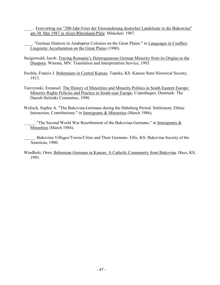\_\_\_\_. Festvortrag zur "200-Jahr-Feier der Einwanderung deutscher Landsleute in die Bukowina" am 30. Mai 1987 in Alzey/Rheinland-Pfalz. München: 1987.

. "German Dialects in Anabaptist Colonies on the Great Plains." in Languages in Conflict: Linguistic Acculturation on the Great Plains (1980).

- Steigerwald, Jacob. Tracing Romania's Heterogeneous German Minority from its Origins to the Diaspora. Winona, MN: Translation and Interpretation Service, 1985.
- Swehla, Francis J. Bohemians in Central Kansas. Topeka, KS: Kansas State Historical Society, 1913.
- Turczynski, Emanuel. The History of Minorities and Minority Politics in South Eastern Europe: Minority Rights Policies and Practice in South-east Europe. Copenhagen, Denmark: The Danish Helsinki Committee, 1990.
- Welisch, Sophie A. "The Bukovina-Germans during the Habsburg Period: Settlement, Ethnic Interaction, Contributions." in Immigrants & Minorities (March 1986).
	- . "The Second World War Resettlement of the Bukovina-Germans." in Immigrants  $\&$ Minorities (March 1984).
- \_\_\_\_\_. Bukovina Villages/Towns/Cities and Their Germans. Ellis, KS: Bukovina Society of the Americas, 1980.
- Windholz, Oren, Bohemian Germans in Kansas: A Catholic Community from Bukovina. Hays, KS, 1993.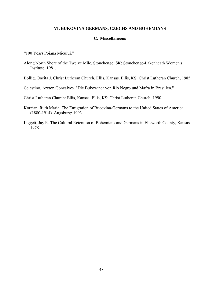## **VI. BUKOVINA GERMANS, CZECHS AND BOHEMIANS**

### **C. Miscellaneous**

"100 Years Poiana Micului."

Along North Shore of the Twelve Mile. Stonehenge, SK: Stonehenge-Lakenheath Women's Institute, 1981.

Bollig, Oneita J. Christ Lutheran Church, Ellis, Kansas. Ellis, KS: Christ Lutheran Church, 1985.

Celestino, Aryton Goncalves. "Die Bukowiner von Rio Negro und Mafra in Brasilien."

Christ Lutheran Church: Ellis, Kansas. Ellis, KS: Christ Lutheran Church, 1990.

Kotzian, Ruth Maria. The Emigration of Bucovina-Germans to the United States of America (1880-1914). Augsburg: 1993.

Liggett, Jay R. The Cultural Retention of Bohemians and Germans in Ellsworth County, Kansas. 1978.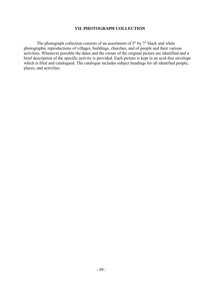# **VII. PHOTOGRAPH COLLECTION**

 The photograph collection consists of an assortment of 5" by 7" black and white photographic reproductions of villages, buildings, churches, and of people and their various activities. Whenever possible the dates and the owner of the original picture are identified and a brief description of the specific activity is provided. Each picture is kept in an acid-free envelope which is filed and catalogued. The catalogue includes subject headings for all identified people, places, and activities.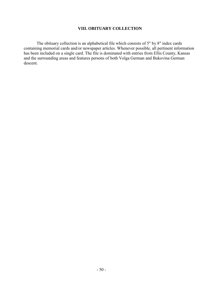## **VIII. OBITUARY COLLECTION**

 The obituary collection is an alphabetical file which consists of 5" by 8" index cards containing memorial cards and/or newspaper articles. Whenever possible, all pertinent information has been included on a single card. The file is dominated with entries from Ellis County, Kansas and the surrounding areas and features persons of both Volga German and Bukovina German descent.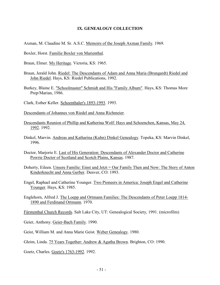#### **IX. GENEALOGY COLLECTION**

- Axman, M. Claudine M. Sr. A.S.C. Memoirs of the Joseph Axman Family. 1969.
- Boxler, Horst. Familie Boxler von Marienthal.
- Braun, Elmer. My Heritage. Victoria, KS: 1965.
- Braun, Jerald John. Riedel: The Descendants of Adam and Anna Maria (Brungardt) Riedel and John Riedel. Hays, KS: Riedel Publications, 1992.
- Burkey, Blaine E. "Schoolmaster" Schmidt and His "Family Album". Hays, KS: Thomas More Prep/Marian, 1986.
- Clark, Esther Keller. Schoenthaler's 1893-1993. 1993.
- Descendants of Johannes von Riedel and Anna Richmeier.
- Descendants Reunion of Phillip and Katherina Wolf: Hays and Schoenchen, Kansas, May 24, 1992. 1992.
- Dinkel, Marvin. Andreas and Katharina (Kuhn) Dinkel Genealogy. Topeka, KS: Marvin Dinkel, 1996.
- Doctor, Marjorie E. Last of His Generation: Descendants of Alexander Doctor and Catherine Powrie Doctor of Scotland and Scotch Plains, Kansas. 1987.
- Doherty, Eileen. Unsere Familie: Einst und Jetzt = Our Family Then and Now: The Story of Anton Kinderknecht and Anna Gerber. Denver, CO: 1993.
- Engel, Raphael and Catherine Younger. Two Pioneers in America: Joseph Engel and Catherine Younger. Hays, KS: 1985.
- Englehorn, Alfred J. The Loepp and Ortmann Families: The Descendants of Peter Loepp 1814- 1890 and Ferdinand Ortmann. 1970.

Fürstenthal Church Records. Salt Lake City, UT: Genealogical Society, 1991. (microfilm)

Geier, Anthony. Geier-Bach Family. 1990.

Geist, William M. and Anna Marie Geist. Weber Genealogy. 1980.

Gleim, Linda. 75 Years Together: Andrew & Agatha Brown. Brighton, CO: 1990.

Goetz, Charles. Goetz's 1763-1992. 1992.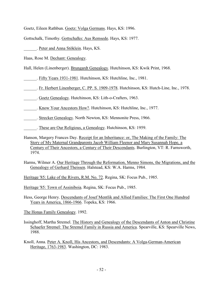Goetz, Eileen Rathbun. Goetz: Volga Germans. Hays, KS: 1996.

Gottschalk, Timothy. Gottschalks: Aus Remsede. Hays, KS: 1977.

\_\_\_\_\_\_. Peter and Anna Stöklein. Hays, KS.

Haas, Rose M. Dechant: Genealogy.

Hall, Helen (Linenberger). Brungardt Genealogy. Hutchinson, KS: Kwik Print, 1968.

\_\_\_\_\_\_. Fifty Years 1931-1981. Hutchinson, KS: Hutchline, Inc., 1981.

\_\_\_\_\_\_. Fr. Herbert Linenberger, C. PP. S. 1909-1978. Hutchinson, KS: Hutch-Line, Inc., 1978.

\_\_\_\_\_\_. Goetz Genealogy. Hutchinson, KS: Lith-o-Crafters, 1963.

. Know Your Ancestors How?. Hutchinson, KS: Hutchline, Inc., 1977.

. Strecker Genealogy. North Newton, KS: Mennonite Press, 1966.

- \_\_\_\_\_\_. These are Our Religious, a Genealogy. Hutchinson, KS: 1959.
- Hanson, Margery Frances Day. Receipt for an Inheritance: or, The Making of the Family: The Story of My Maternal Grandparents Jacob William Fleenor and Mary Susannah Hope, a Century of Their Ancestors, a Century of Their Descendants. Burlington, VT: R. Farnsworth, 1974.

Harms, Wilmer A. Our Heritage Through the Reformation, Menno Simons, the Migrations, and the Genealogy of Gerhard Theissen. Halstead, KS: W.A. Harms, 1984.

Heritage '85: Lake of the Rivers, R.M. No. 72. Regina, SK: Focus Pub., 1985.

Heritage '85: Town of Assiniboia. Regina, SK: Focus Pub., 1985.

Hess, George Henry. Descendants of Josef Mentlik and Allied Families: The First One Hundred Years in America, 1866-1966. Topeka, KS: 1966.

The Honas Family Genealogy. 1992.

Issinghoff, Martha Stremel. The History and Genealogy of the Descendants of Anton and Christine Schaefer Stremel: The Stremel Family in Russia and America. Spearville, KS: Spearville News, 1988.

Knoll, Anna. Peter A. Knoll, His Ancestors, and Descendants: A Volga-German-American Heritage, 1763-1983. Washington, DC: 1983.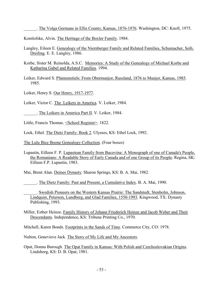\_\_\_\_\_\_. The Volga Germans in Ellis County, Kansas, 1876-1976. Washington, DC: Knoll, 1975.

Komlofske, Alvin. The Heritage of the Boxler Family. 1984.

- Langley, Eileen E. Genealogy of the Niernberger Family and Related Families, Schumacher, Seib, Dreiling. E. E. Langley, 1986.
- Korbe, Sister M. Reinolda, A.S.C. Memories: A Study of the Genealogy of Michael Korbe and Katharina Gabel and Related Families. 1994.
- Leiker, Edward S. Pfannenstiels: From Obermunjor, Russland, 1876 to Munjor, Kansas, 1985. 1985.
- Leiker, Henry S. Our Henry, 1917-1977.
- Leiker, Victor C. The Leikers in America. V. Leiker, 1984.
- \_\_\_\_\_\_. The Leikers in America Part II. V. Leiker, 1984.

Little, Francis Thomas. <u><School Register></u>. 1822.

Lock, Ethel. The Dietz Family: Book 2. Ulysses, KS: Ethel Lock, 1992.

The Lulu Bice Boone Genealogy Collection. (Four boxes)

Lupastin, Eilleen F. P. Lupastean Family from Bucovina: A Monograph of one of Canada's People, the Romanians: A Readable Story of Early Canada and of one Group of its People. Regina, SK: Eilleen F.P. Lupastin, 1983.

Mai, Brent Alan. Deines Dynasty. Sharon Springs, KS: B. A. Mai, 1982.

\_\_\_\_\_\_. The Dietz Family: Past and Present, a Cumulative Index. B. A. Mai, 1990.

\_\_\_\_\_\_. Swedish Pioneers on the Western Kansas Prairie: The Sandstedt, Stenholm, Johnson, Lindquist, Peterson, Lundberg, and Glad Families, 1550-1993. Kingwood, TX: Dynasty Publishing, 1993.

Miller, Esther Heinze. Family History of Johann Friederich Heinze and Jacob Weber and Their Descendants. Independence, KS: Tribune Printing Co., 1970.

Mitchell, Karen Bonds. Footprints in the Sands of Time. Commerce City, CO: 1978.

Nulton, Genevieve Jack. The Story of My Life and My Ancestors.

Opat, Donna Burough. The Opat Family in Kansas: With Polish and Czechoslovakian Origins. Lindsborg, KS: D. B. Opat, 1981.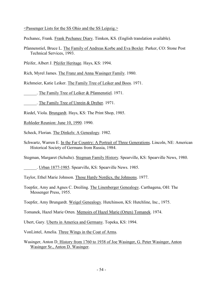<Passenger Lists for the SS Ohio and the SS Leipzig.>

Pechanec, Frank. Frank Pechanec Diary. Timken, KS. (English translation available).

Pfannenstiel, Bruce L. The Family of Andreas Korbe and Eva Boxler. Parker, CO: Stone Post Technical Services, 1993.

Pfeifer, Albert J. Pfeifer Heritage. Hays, KS: 1994.

Rich, Myrel James. The Franz and Anna Wasinger Family. 1980.

Richmeier, Katie Leiker. The Family Tree of Leiker and Boos. 1971.

. The Family Tree of Leiker & Pfannenstiel. 1971.

\_\_\_\_\_\_. The Family Tree of Unrein & Dreher. 1971.

Riedel, Viola. Brungardt. Hays, KS: The Print Shop, 1985.

Rohleder Reunion: June 10, 1990. 1990.

Scheck, Florian. The Dinkels: A Genealogy. 1982.

Schwartz, Warren E. In the Far Country: A Portrait of Three Generations. Lincoln, NE: American Historical Society of Germans from Russia, 1984.

Stegman, Margaret (Schulte). Stegman Family History. Spearville, KS: Spearville News, 1980.

\_\_\_\_\_\_. Urban 1877-1985. Spearville, KS: Spearville News. 1985.

Taylor, Ethel Marie Johnson. Those Hardy Nordics, the Johnsons. 1977.

Toepfer, Amy and Agnes C. Dreiling. The Linenberger Genealogy. Carthagena, OH: The Messenger Press, 1955.

Toepfer, Amy Brungardt. Weigel Genealogy. Hutchinson, KS: Hutchline, Inc., 1975.

Tomanek, Hazel Marie Orten. Memoirs of Hazel Marie (Orten) Tomanek. 1974.

Ubert, Gary. Uberts in America and Germany. Topeka, KS: 1994.

VonLintel, Amelia. Three Wings in the Coat of Arms.

Wasinger, Anton D. History from 1760 to 1938 of Joe Wasinger, G. Peter Wasinger, Anton Wasinger Sr., Anton D. Wasinger.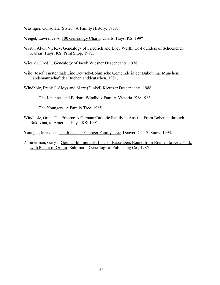Wasinger, Consolata (Sister). A Family History. 1958.

Weigel, Lawrence A. 100 Genealogy Charts. Charts. Hays, KS: 199?

- Werth, Alvin V., Rev. Genealogy of Friedrich and Lucy Werth, Co-Founders of Schoenchen, Kansas. Hays, KS: Print Shop, 1992.
- Wiesner, Fred L. Genealogy of Jacob Wiesner Descendants. 1978.
- Wild, Josef. Fürstenthal: Eine Deutsch-Böhmische Gemeinde in der Bukowina. München: Landsmannschaft der Buchenlanddeutschen, 1981.
- Windholz, Frank J. Aloys and Mary (Dinkel) Kreutzer Descendants. 1986.

. The Johannes and Barbara Windholz Family. Victoria, KS: 1983.

The Youngers: A Family Tree. 1985.

- Windholz, Oren. The Erberts: A German Catholic Family in Austria: From Bohemia through Bukovina, to America. Hays, KS: 1991.
- Younger, Marvin J. The Johannas Younger Family Tree. Denver, CO: S. Snow, 1993.

Zimmerman, Gary J. German Immigrants: Lists of Passengers Bound from Bremen to New York, with Places of Origin. Baltimore: Genealogical Publishing Co., 1985.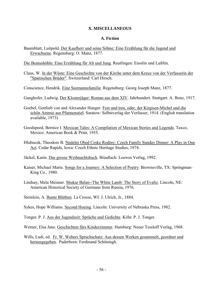### **X. MISCELLANEOUS**

#### **A. Fiction**

- Baumblatt, Luitpold. Der Kaufherr und seine Söhne: Eine Erzählung für die Jugend und Erwachsene. Regensburg: O. Manz, 1877.
- Die Beatushöhle: Eine Erzählung für Alt und Jung. Reutlingen: Ensslin und Laiblin.
- Claus, W. In der Wüste: Eine Geschichte von der Kirche unter dem Kreuz von der Verfasserin der "Spanischen Brüder". Switzerland: Carl Hirsch.
- Conscience, Hendrik. Eine Seemannsfamilie. Regensburg: Georg Joseph Manz, 1877.
- Ganghofer, Ludwig. Der Klosterjäger: Roman aus dem XIV. Jahrhundert. Stuttgart: A. Bonz, 1917.
- Goebel, Gottlieb von and Alexander Hunger. Fest und treu, oder, der Kirgisen-Michel und die schön Ammie aus Pfannenstiel. Saratow: Selbstverlag der Verfasser, 1914. (English translation available, 1973)
- Goodspeed, Bernice I. Mexican Tales: A Compilation of Mexican Stories and Legends. Taxco, Mexico: American Book & Print, 1955.
- Hlubucek, Theodore B. Nedelni Obed Ceske Rodiny: Czech Family Sunday Dinner: A Play in One Act. Cedar Rapids, Iowa: Czech Ethnic Heritage Studies, 1974.
- Jäckel, Karin. Das grosse Weihnachtsbuch. Biindlach: Loewes Verlag, 1992.
- Kaiser, Michael Marie. Songs for a Journey: A Selection of Poetry. Brownsville, TX: Springman-King Co., 1980.
- Lindsay, Mela Meisner. Shukar Balan--The White Lamb: The Story of Evaliz. Lincoln, NE: American Historical Society of Germans from Russia, 1976.
- Steinlein, A. Bunte Blüthen. La Crosse, WI: J. Ulrich, Jr., 1884.
- Sykes, Hope Williams. Second Hoeing. Lincoln: University of Nebraska Press, 1982.
- Tonger, P. J. Aus der Jugendzeit: Sprüche und Gedichte. Köln: P. J. Tonger.
- Werner, Elsa Jane. Geschichten fürs Kinderzimmer. Hamburg: Neuer Tessloff Verlag, 1968.
- Wills, Ludi, ed. Fr. W. Webers Spruchschatz: Aus dessen Werken gesammelt, geordnet und herausgegeben. Paderborn: Ferdinand Schöningh.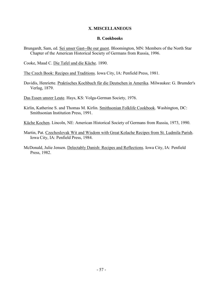# **X. MISCELLANEOUS**

### **B. Cookbooks**

Brungardt, Sam, ed. Sei unser Gast--Be our guest. Bloomington, MN: Members of the North Star Chapter of the American Historical Society of Germans from Russia, 1996.

Cooke, Maud C. Die Tafel und die Küche. 1890.

The Czech Book: Recipes and Traditions. Iowa City, IA: Penfield Press, 1981.

Davidis, Henriette. Praktisches Kochbuch für die Deutschen in Amerika. Milwaukee: G. Brumder's Verlag, 1879.

Das Essen unsrer Leute. Hays, KS: Volga-German Society, 1976.

Kirlin, Katherine S. and Thomas M. Kirlin. Smithsonian Folklife Cookbook. Washington, DC: Smithsonian Institution Press, 1991.

Küche Kochen. Lincoln, NE: American Historical Society of Germans from Russia, 1973, 1990.

- Martin, Pat. Czechoslovak Wit and Wisdom with Great Kolache Recipes from St. Ludmila Parish. Iowa City, IA: Penfield Press, 1984.
- McDonald, Julie Jensen. Delectably Danish: Recipes and Reflections. Iowa City, IA: Penfield Press, 1982.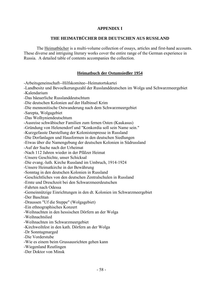# **APPENDIX I**

# **THE HEIMATBÜCHER DER DEUTSCHEN AUS RUSSLAND**

The Heimatbücher is a multi-volume collection of essays, articles and first-hand accounts. These diverse and intriguing literary works cover the entire range of the German experience in Russia. A detailed table of contents accompanies the collection.

# **Heimatbuch der Ostumsiedler 1954**

-Arbeitsgeneinschaft--Hilfskomitee--Heimatortskartei

-Landbesitz und Bevoelkerungszahl der Russlanddeutschen im Wolga und Schwarzmeergebiet

-Kalendarium

-Das bäeuerliche Russlanddeutschtum

-Die deutschen Kolonien auf der Halbinsel Krim

-Die mennonitische Ostwanderung nach dem Schwarzmeergebiet

-Sarepta, Wolgagebiet

-Das Wolhyniendeutschtum

-Ausreise schwäbischer Familien zum fernen Osten (Kaukasus)

-Gründung von Helenendorf und "Konkordia soll sein Name sein."

-Kurzgefasste Darstellung der Kolonistenpresse in Russland

-Die Dorfanlagen und Hausformen in den deutschen Siedlungen

-Etwas über die Namengebung der deutschen Kolonien in Südrussland

-Auf der Suche nach der Urheimat

-Nach 112 Jahren wieder in der Pfälzer Heimat

-Unsere Geschichte, unser Schicksal

-Die evang.-luth. Kirche Russland im Umbruch, 1914-1924

-Unsere Heimatkirche in der Bewährung

-Sonntag in den deutschen Kolonien in Russland

-Geschichtliches von den deutschen Zentralschulen in Russland

-Ernte und Dreschzeit bei den Schwarzmeerdeutschen

-Fahrten nach Odessa

-Gemeinnützige Einrichtungen in den dt. Kolonien im Schwarzmeergebiet

-Der Baschtan

-Draussen "Uf die Steppe" (Wolgagebiet)

-Ein ethnographisches Konzert

-Weihnachten in den hessischen Dörfern an der Wolga

-Weihnachtslied

-Weihnachten im Schwarzmeergebiet

-Kirchweihfest in den kath. Dörfern an der Wolga

-Dr Sonntagmarged

-Die Vorderstube

-Wie es einem beim Grussausrichten gehen kann

-Wiegenland Reutlingen

-Der Doktor von Minsk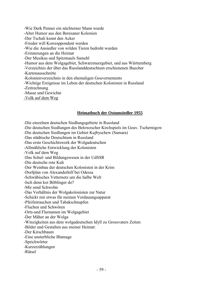-Wie Derk Penner ein nüchterner Mann wurde

-Alter Humor aus den Beresaner Kolonien

-Der Tschali kennt den Acker

-Frieder will Korresppondent werden

-Wie die Ansiedler von wilden Tieren bedroht wurden

-Erinnerungen an die Heimat

-Der Musikus und Spitzmauls Samehl

-Humor aus dem Wolgagebiet, Schwarzmeergebiet, und aus Württemberg

-Verzeichnis der über das Russlanddeutschtum erschienenen Buecher

-Kartenausschnitte

-Kolonienverzeichnis in den ehemaligen Gouvernements

-Wichtige Ereignisse im Leben der deutschen Kolonisten in Russland

-Zeitrechnung

-Masse und Gewichte

-Volk auf dem Weg

# **Heimatbuch der Ostumsiedler 1955**

-Die einzelnen deutschen Siedlungsgebiete in Russland

-Die deutschen Siedlungen des Belowescher Kirchspiels im Gouv. Tschernigow

-Die deutschen Siedlungen im Gebiet Kujbyschew (Samara)

-Das städtische Deutschtum in Russland

-Das erste Geschichtswerk der Wolgadeutschen

-Allmähliche Entwicklung der Kolonisten

-Volk auf dem Weg

-Das Schul- und Bildungswesen in der UdSSR

-Die deutsche rote Kuh

-Der Weinbau der deutschen Kolonisten in der Krim

-Dorfplan von Alexanderhilf bei Odessa

-Schwäbisches Vetternetz um die halbe Welt

-Isch denn koi Böblinger do?

-Mir send Schwobn

-Das Verhältnis der Wolgakolonisten zur Natur

-Schickt mir etwas für meinen Verdauungsapparat

-Pfeifenrauchen und Tabakschnupfen

-Fluchen und Schwören

-Orts-und Flurnamen im Wolgagebiet

-Der Mäher an der Wolga

-Winzigkeiten aus dem wolgadeutschen Idyll zu Grossvaters Zeiten

-Bilder und Gestalten aus meiner Heimat:

-Der Kirschbaum

-Eine unsterbliche Blamage

-Sprichwörter

-Kurzerzählungen

-Rätsel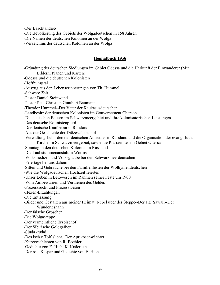-Der Baschtandieb

-Die Bevölkerung des Gebiets der Wolgadeutschen in 158 Jahren

-Die Namen der deutschen Kolonien an der Wolga

-Verzeichnis der deutschen Kolonien an der Wolga

#### **Heimatbuch 1956**

-Gründung der deutschen Siedlungen im Gebiet Odessa und die Herkunft der Einwanderer (Mit Bildern, Plänen und Karten) -Odessa und die deutschen Kolonisten -Hoffnungstal -Auszug aus den Lebenserinnerungen von Th. Hummel -Schwere Zeit -Pastor Daniel Steinwand -Pastor Paul Christian Guntbert Baumann -Theodor Hummel--Der Vater der Kaukasusdeutschen -Landbesitz der deutschen Kolonisten im Gouvernement Cherson -Die deutschen Bauern im Schwarzmeergebiet und ihre kolonisatorischen Leistungen -Das deutsche Kolinistenpferd -Der deutsche Kaufmann in Russland -Aus der Geschichte der Diözese Tiraspol -Verwaltungsbehörden der deutschen Ansiedler in Russland und die Organisation der evang.-luth. Kirche im Schwarzmeergebiet, sowie die Pfarraemter im Gebiet Odessa -Sonntag in den deutschen Kolonien in Russland -Die Taubstummenanstalt in Worms -Volksmedizin und Volksglaube bei den Schwarzmeerdeutschen -Feiertage bei uns daheim -Sitten und Gebräuche bei den Familienfesten der Wolhyniendeutschen -Wie die Wolgadeutschen Hochzeit feierten -Unser Leben in Belowesch im Rahmen seiner Feste um 1900 -Vom Aufbewahren und Verdienen des Geldes -Prozesssucht und Prozesswesen -Hexen-Erzählungen -Die Entlassung -Bilder und Gestalten aus meiner Heimat: Nebel über der Steppe--Der alte Sawall--Der Wunderleshahn -Der falsche Groschen -Die Wolgasteppe -Der vermeintliche Erzbischof -Der Sibirische Goldgräber -Sjuda,-tuda! -Des isch e Toiflslicht. Der Aprikosenwächter -Kurzgeschichten von R. Boehler -Gedichte von E. Hieb, K. Knäer u.a. -Der rote Kaspar und Gedichte von E. Hieb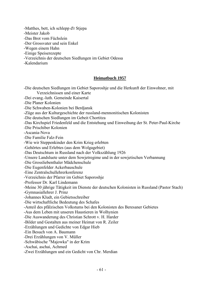-Matthes, bett, ich schlepp d'r Stjepa

-Meister Jakob

-Das Brot vom Füchslein

-Der Grossvater und sein Enkel

-Wegen einem Hahn

-Einige Speiserezepte

-Verzeichnis der deutschen Siedlungen im Gebiet Odessa

-Kalendarium

# **Heimatbuch 1957**

-Die deutschen Siedlungen im Gebiet Saporoshje und die Herkunft der Einwohner, mit Verzeichnissen und einer Karte -Dei evang.-luth. Gemeinde Kaisertal -Die Planer Kolonien -Die Schwaben-Kolonien bei Berdjansk -Züge aus der Kulturgeschichte der russland-mennonitischen Kolonisten -Die deutschen Siedlungen im Gebeit Chortitza -Das Kirchspiel Friedenfeld und die Entstehung und Einweihung der St. Peter-Paul-Kirche -Die Prischiber Kolonien -Ascania-Nova -Die Familie Falz-Fein -Wie wir Steppenkinder den Krim Krieg erlebten -Gehörtes und Erlebtes (aus dem Wolgagebiet) -Das Deutschtum in Russland nach der Volkszählung 1926 -Unsere Landsluete unter dem Sowjetregime und in der sowjetischen Verbannung -Die Grossliebenthaler Mädchenschule -Die Eugenfelder Ackerbauschule -Eine Zentralschullehrerkonferenz -Verzeichnis der Pfarrer im Gebiet Saporoshje -Professor Dr. Karl Lindemann -Meine 30 jährige Tätigkeit im Dienste der deutschen Kolonisten in Russland (Pastor Stach) -Gymnasiallehrer J. Prinz -Johannes Kludt, ein Gebietsschreiber -Die wirtschaftliche Bedeutung des Schafes -Anteil des pfälzischen Volkstums bei den Kolonisten des Beresaner Gebietes -Aus dem Leben mit unseren Haustieren in Wolhynien -Die Auswanderung des Christian Schrott v. H. Harder -Bilder und Gestalten aus meiner Heimat von R. Zeiler -Erzählungen und Gedichte von Edgar Hieb -Ein Besuch von A. Baumann -Drei Erzählungen von V. Müller -Schwäbische "Majowka" in der Krim -Aschai, aschai, Achmed -Zwei Erzählungen und ein Gedicht von Chr. Merdian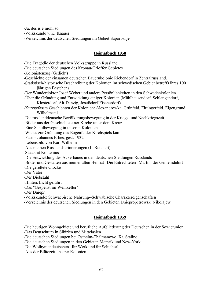-Ja, des is e mohl so

-Volkskunde v. K. Knauer

-Verzeichnis der deutschen Siedlungen im Gebiet Saporoshje

### **Heimatbuch 1958**

-Die Tragödie der deutschen Volksgruppe in Russland

- -Die deutschen Siedlungen des Kronau-Orloffer Gebietes
- -Kolonistenzug (Gedicht)
- -Geschichte der einsamen deutschen Bauernkolonie Riebendorf in Zentralrussland.
- -Statistisch-historische Beschreibung der Kolonien im schwedischen Gebiet betreffs ihres 100 jährigen Bestehens
- -Der Wunderdoktor Josef Weber und andere Persönlichkeiten in den Schwedenkolonien
- -Über die Gründung und Entwicklung einiger Kolonien (Mühlhausendorf, Schlangendorf, Klosterdorf, Alt-Danzig, Josefsdorf-Fischerdorf)
- -Kurzgefasste Geschichten der Kolonien: Alexandrowka, Grünfeld, Eittingerfeld, Eigengrund, Wilhelmstal
- -Die russlanddeutsche Bevölkerungsbewegung in der Kriegs- und Nachkriegszeit

-Bilder aus der Geschichte einer Kirche unter dem Kreuz

- -Eine Schulbewegung in unseren Kolonien
- -Wie es zur Gründung des Eugenfelder Kirchspiels kam
- -Pastor Johannes Erbes, gest. 1932
- -Lebensbild von Karl Wilhelm
- -Aus meinen Russlandserinnerungen (L. Reichert)
- -Staatsrat Kontenius
- -Die Entwicklung des Ackerbaues in den deutschen Siedlungen Russlands
- -Bilder und Gestalten aus meiner alten Heimat--Die Entrechteten--Martin, der Gemeindehirt
- -Die gerettete Glocke
- -Der Vater
- -Der Diebstahl
- -Hinters Licht geführt
- -Das "Gespenst im Weinkeller"
- -Der Dniepr
- -Volkskunde: Schwaebische Nahrung--Schwäbische Charaktereigenschaften

-Verzeichnis der deutschen Siedlungen in den Gebieten Dniepropetrowsk, Nikolajew

# **Heimatbuch 1959**

-Die heutigen Wohngebiete und berufliche Aufgliederung der Deutschen in der Sowjetunion

-Das Deutschtum in Sibirien und Mittelasien

-Die deutschen Siedlungen bei Ostheim-Thälmanowo, Kr. Stalino

-Die deutschen Siedlungen in den Gebieten Memrik und New-York

-Die Wolhyniendeutschen--Ihr Werk und ihr Schichsal

-Aus der Blütezeit unserer Kolonien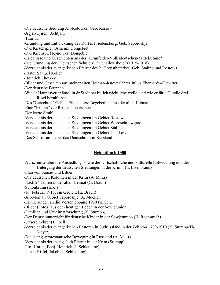-Die deutsche Siedlung Alt-Rotowka, Geb. Rostow

-Agjar-Djiren (Achtjahr)

-Taurida

-Gründung und Entwicklung des Dorfes Friedensburg, Geb. Saporoshje

-Das Kirschspiel Ostheim, Dongebiet

-Das Kirchspiel Rynowka, Dongebiet

-Erlebnisse und Geschichten aus der "Grünfelder-Volksdeutschen-Mittelschule"

-Die Gründung der "Deutschen Schule zu Michailowskoje" (1915-1918)

-Verzeichnis der evangelischen Pfarrer des 2. Propstbezirkes (Geb. Stalino und Rostow)

-Pastor Samuel Keller

-Heinrich Lhotzky

-Bilder und Gestalten aus meiner alten Heimat--Kuesterlehrer Julius Eberhardt--Gewitter

-Der deutsche Brunnen

-Wie dr Hannesvetter ämol in dr Stadt hat billich nächtliche welle, und wie er fär ä Hundle drei Ruwl bezahlt hat

-Des "Gerechten" Gebet--Eine heitere Begebenheit aus der alten Heimat

-Eine "Irrfahrt" der Russlanddeutschen

-Der letzte Strahl

-Verzeichnis der deutschen Siedlungen im Gebiet Rostow

-Verzeichnis der deutschen Siedlungen im Gebiet Woroschilowgrad

-Verziechnis der deutschen Siedlungen im Gebiet Stalino

-Verzeichnis der deutschen Siedlungen im Gebiet Charkow

-Das Schrifttum ueber das Deutschtum in Russland

# **Heimatbuch 1960**

-Ausschnitte über die Ansiedlung, sowie die wirtschaftliche und kulturelle Entwicklung und der Untergang der deutschen Siedlungen in der Krim (Th. Eisenbraun)

-Plan von Samau und Bilder

-Die deutschen Kolonien in der Krim (A. M....r)

-Nach 24 Jahren in der alten Heimat (G. Braun)

-Schönbrunn (E.K.)

-16. Februar 1918, ein Gedicht (E. Braun)

-Alt-Montal, Gebiet Saporoshje (A. Mueller)

-Erinnerungen an die Verschleppung 1930 (E. Sch.)

-Bilder (Fotos) aus dem heutigen Leben in der Sowjetunion

-Familien und Urheimatforschung (K. Stumpp)

-Der Deutschunterricht für deutsche Kinder in der Sowjetunion (H. Roemmich)

-Unsere Lehrer (J. Foell)

-Verzeichnis der evangelischen Pastoren in Südrussland in der Zeit von 1789-1910 (K. Stumpp/Th. Meyer)

-Die evang.-protestantische Bewegung in Russland (A. M....r)

-Verzeichnis der evang.-luth Pfarrer in der Krim (Stumpp)

-Prof Unruh, Benj. Heinrich (J. Schleuning)

-Pastor Riffel, Jakob (J. Schleuning)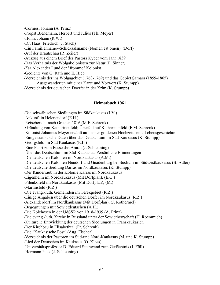-Cornies, Johann (A. Prinz) -Propst Bienemann, Herbert und Julius (Th. Meyer) -Höhn, Johann (R.W.) -Dr. Haas, Friedrich (J. Stach) -Ein Familienname--Schicksalsname (Nomen est omen), (Dorf) -Auf der Brautschau (R. Zeiler) -Auszug aus einem Brief des Pastors Kyber vom Jahr 1839 -Das Verhältnis der Wolgakolonisten zur Natur (P. Sinner) -Zar Alexander I und der "fromme" Kolonist -Gedichte von G. Rath und E. Hieb -Verzeichnis der ins Wolgagebiet (1763-1769) und das Gebiet Samara (1859-1865) Ausgewanderten mit einer Karte und Vorwort (K. Stumpp)

-Verzeichnis der deutschen Doerfer in der Krim (K. Stumpp)

# **Heimatbuch 1961**

-Die schwäbischen Siedlungen im Südkaukasus (J.V.)

-Ankunft in Helenendorf (E.H.)

-Reisebericht nach Grusien 1816 (M.F. Schrenk)

-Gründung von Katharinenfeld; Überfall auf Katharinenfeld (F.M. Schrenk)

-Kolonist Johannes Meyer erzählt auf seiner goldenen Hochzeit seine Lebensgeschichte

-Einige statistische Daten über das Deutschtum im Süd-Kaukasus (K. Stumpp)

-Georgsfeld im Süd Kaukasus (E.L.)

-Eine Fahrt zum Fusse das Ararat (J. Schleuning)

-Über das Deutschtum im Süd-Kaukasus: Persönliche Erinnerungen

-Die deutschen Kolonien im Nordkaukasus (A.M.)

-Die deutschen Kolonien Neudorf und Gnadenburg bei Suchum im Südwestkaukasus (B. Adler)

-Die deutsche Siedlung Darras im Nordkaukasus (K. Stumpp)

-Der Kinderraub in der Kolonie Karras im Nordkaukasus

-Eigenheim im Nordkaukasus (Mit Dorfplan), (E.G.)

-Pilenkofeld im Nordkaukasus (Mit Dorfplan), (M.)

-Martinsfeld (R.Z.)

-Die evang.-luth. Gemeinden im Terekgebiet (R.Z.)

-Einige Angaben über die deutschen Dörfer im Nordkaukasus (R.Z.)

-Alexanderdorf im Nordkaukasus (Mit Dorfplan), (J. Rothermel)

-Begegnungen mit Sowjetdeutschen (A.H.)

-Die Kolchosen in der UdSSR von 1918-1939 (A. Prinz)

-Die evang.-luth. Kirche in Russland unter der Sowjetherrschaft (H. Roemmich)

-Kulturelle Entwicklung der deutschen Siedlungen in Transkaukasien

-Der Kirchbau in Elisabethtal (Fr. Schrenk)

-Die "Kaukasische Post" (Aug. Fischer)

-Verzeichnis der Pastoren im Süd-und Nord-Kaukasus (M. und K. Stumpp)

-Lied der Deutschen im Kaukasus (O. Kloss)

-Universitätsprofessor D. Eduard Steinwand zum Gedächtnis (J. Föll)

-Hermann Pack (J. Schleuning)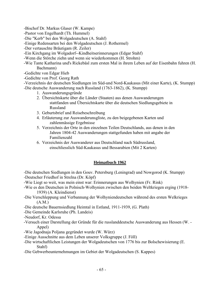-Bischof Dr. Markus Glaser (W. Kampe)

- -Pastor von Engelhardt (Th. Hummel)
- -Die "Kerb" bei den Wolgadeutschen (A. Stahf)
- -Einige Redensarten bei den Wolgadeutschen (J. Rothermel)
- -Der vertauschte Bräutigam (R. Zeiler)
- -Ein Kirchgang im Wolgadorf--Kindheitserinnerungen (Edgar Stahf)
- -Wenn die Störche ziehn und wenn sie wiederkommen (H. Strohm)
- -Wie Tante Katharina und's Rickebäsl zum ersten Mal in ihrem Leben auf der Eisenbahn fuhren (H. Bachmann)
- -Gedichte von Edgar Hieb
- -Gedichte von Prof. Georg Rath
- -Verzeichnis der deutschen Siedlungen im Süd-und Nord-Kaukasus (Mit einer Karte), (K. Stumpp)
- -Die deutsche Auswanderung nach Russland (1763-1862), (K. Stumpp)
	- 1. Auswanderungsgründe
	- 2. Übersichtskarte über die Länder (Staaten) aus denen Auswanderungen stattfanden und Übersichtskarte über die deutschen Siedlungsgebiete in Russland
	- 3. Geburtsbrief und Reisebeschreibung
	- 4. Erläuterung zur Auswanderunsgliste, zu den beigegebenen Karten und zahlenmässige Ergebnisse
	- 5. Verzeichnis der Orte in den einzelnen Teilen Deutschlands, aus denen in den Jahren 1804-42 Auswanderungen stattgefunden haben mit angabe der Familienzahl
	- 6. Verzeichnis der Auswanderer aus Deutschland nach Südrussland, einschliesslich Süd-Kaukasus und Bessarabien (Mit 2 Karten)

# **Heimatbuch 1962**

-Die deutschen Siedlungen in den Gouv. Petersburg (Leningrad) und Nowgorod (K. Stumpp) -Deutscher Friedhof in Strelna (Dr. Köpf)

- -Wie Liegt so weit, was mein einst war: Erinnerungen aus Wolhynien (Fr. Rink)
- -Wie es den Deutschen in Polnisch-Wolhynien zwischen den beiden Weltkriegen erging (1918- 1939) (A. Kleindienst)
- -Die Verschleppung und Verbannung der Wolhyniendeutschen während des ersten Welkrieges (A.M.)
- -Die deutsche Bauernsiedlung Heimtal in Estland, 1911-1939, (G. Plath)
- -Die Gemeinde Karlsruhe (Ph. Landeis)
- -Neudorf, Kr. Odessa
- -Versuch einer Darstellung der Gründe für die russlanddeutsche Auswanderung aus Hessen (W. Appel)
- -Wie Jagodnaja Poljana gegründet wurde (W. Würz)
- -Einige Ausschnitte aus dem Leben unserer Volksgruppe (J. Föll)
- -Die wirtschaftlichen Leistungen der Wolgadeutschen von 1776 bis zur Bolschewisierung (E. Stahf)
- -Die Gebwerbeunternehmungen im Gebiet der Wolgadeutschen (S. Kappes)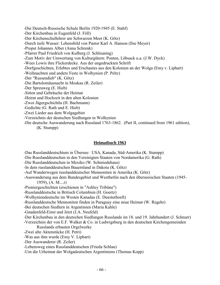-Die Deutsch-Russische Schule Berlin 1920-1945 (E. Stahf) -Der Kirchenbau in Eugenfeld (J. Föll) -Der Kirchenschullehrer am Schwarzen Meer (K. Götz) -Durch tiefe Wasser: Lebensbild von Pastor Karl A. Hanson (Ilse Meyer) -Propst Johannes Alber (Anna Schrenk) -Pfarrer Paul Friedrich von Kulberg (J. Schleuning) -Zum Motiv der Umwertung von Kulturgütern: Ponten, Löbsack u.a. (J.W. Dyck) -Wees Lowis ihre Flickerdecke. Aus der ungedruckten Schrift -Dorfgeschichten, Erlebtes und Erschautes aus den Kolonien an der Wolga (Emy v. Liphart) -Weihnachten und andere Feste in Wolhynien (P. Peltz) -Der "Russendieb" (K. Götz) -Die Bartolomäusnacht in Moskau (R. Zeiler) -Der Spreuweg (E. Hieb) -Sitten und Gebräuche der Heimat -Heirat und Hochzeit in den alten Kolonien -Zwoi Jägergschichtla (H. Bachmann) -Gedichte (G. Rath und E. Hieb) -Zwei Lieder aus dem Wolgagebiet -Verzeichnis der deutschen Siedlungen in Wolhynien

-Die deutsche Auswanderung nach Russland 1763-1862. (Part II, continued from 1961 edition), (K. Stumpp)

## **Heimatbuch 1963**

-Das Russlanddeutschtum in Übersee: USA, Kanada, Süd-Amerika (K. Stumpp)

-Die Russlanddeutschen in den Vereinigten Staaten von Nordamerika (G. Rath)

-Die Russlanddeutschen in Mexiko (W. Schmiedehaus)

-In dem russlanddeutschen Bauernland in Dakota (K. Götz)

-Auf Wanderwegen russlanddeutscher Mennoniten in Amerika (K. Götz)

-Auswanderung aus dem Bundesgebiet und Westberlin nach den überseeischen Staaten (1945- 1959), (A. M....r)

-Pioniergeschichten (erschienen in "Ashley Tribüne")

-Russlanddeutsche in Britisch Columbien (H. Goertz)

-Wolhyniendeutsche im Westen Kanadas (E. Duesterhoeft)

-Russlanddeutsche Mennoniten finden in Paraguay eine neue Heimat (W. Regehr)

-Bei deutschen Siedlern in Argentinien (Maria Kahle)

-Gnadenfeld-Einst und Jetzt (J.A. Neufeld)

-Der Kirchenbau in den deutschen Siedlungen Russlands im 18. und 19. Jahrhundert (J. Schnurr)

-Verzeichnis der von E.F. Walker & Co. in Ludwigsburg in den deutschen Kirchengemeinden Russlands erbauten Orgelwerke

-Zwei alte Aktenstücke (H. Petri)

-Was aus ihm wurde (Emy V. Liphart)

-Der Auswanderer (R. Zeiler)

-Lebensweg eines Russlanddeutschen (Frieda Schlau)

-Um die Urheimat der Wolgadeutschen Argentiniens (Thomas Kopp)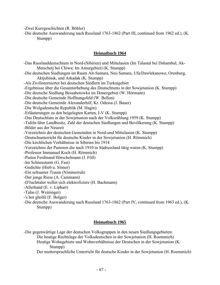-Zwei Kurzgeschichten (R. Böhler)

-Die deutsche Auswanderung nach Russland 1763-1862 (Part III, continued from 1962 ed.), (K. Stumpp)

## **Heimatbuch 1964**

-Das Russlanddeutschtum in Nord-(Sibirien) und Mittelasien (Im Talastal bei Dshambul; Ak-Metschetj bei Chiwa; Im Amurgebiet) (K. Stumpp) -Die deutschen Siedlungen im Raum Alt-Samara, Neu Samara, Ufa/Dawlekanowo, Orenburg, Aktjubinsk, und Arkadak (K. Stumpp) -Als Zivilinternierter bei deutschen Siedlern im Turkaigebiet -Ergebnisse über die Gesamterhebung des Deutschtums in der Sowjetunion (K. Stumpp) -Die deutsche Siedlung Bessabotowka im Donezgebiet (W. Hörmann) -Die deutsche Gemeinde Hoffnungsfeld (W. Bellon) -Die deutsche Gemeinde Alexanderhilf, Kr. Odessa (J. Bauer) -Die Wolgadeutsche Republik (M. Hagin) -Erläuterungen zu den beigelegten Karten, I-V (K. Stumpp) -Das Deutschtum in der Sowjetunion nach der Volkszählung 1959 (K. Stumpp) -Tafeln über Landbesitz, Zahl der deutschen Siedlungen und Bevölkerung (K. Stumpp) -Bilder aus der Neuzeit -Verzeichnis der deutschen Gemeinden in Nord-und Mittelasien (K. Stumpp) -Deutschunterricht für deutsche Kinder in der Sowjetunion (H. Römmich) -Die kirchlichen Verhältnisse in Sibirien bis 1914 -Verzeichnis der Pastoren die nach 1910 in Südrussland tätig waren (K. Stumpp) -Professor Immanuel Koch (H. Römmich) -Pastor Ferdinand Hörschelmann (J. Föll) -Im Schneesturm (G. Fast) -Gedichte (Hieb u. Sinner) -Ein seltsamer Traum (Nimmerruh) -Der junge Riese (A. Cammann) -D'Juchttaler wellet sich elektrofiziere (H. Bachmann) -Allerhand (E. v. Liphart) -Talas (J. Weininger) -'s hot gholfe (F. Bolger) -Die deutsche Auswanderung nach Russland 1763-1862 (Part IV, continued from 1963 ed.), (K. Stumpp)

# **Heimatbuch 1965**

-Die gegenwärtige Lage der deutschen Volksgruppen in den neuen Siedlungsgebieten: Die heutige Rechtslage der Volksdeutschen in der Sowjetunion (H. Roemmich) Heutige Wohngebiete und Wohnverhältnisse der Deutschen in der Sowjetunion (K.

Stumpp)

Der muttersprachliche Unterricht für deutsche Kinder in der Sowjetunion (H. Roemmich)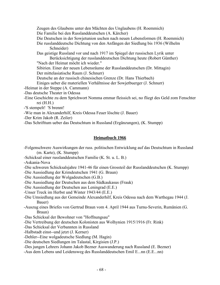Zeugen des Glaubens unter den Mächten des Unglaubens (H. Roemmich) Die Familie bei den Russlanddeutschen (A. Kärcher) Die Deutschen in der Sowjetunion uschen nach neuen Lebensformen (H. Roemmich) Die russlanddeutsche Dichtung von den Anfängen der Siedlung bis 1936 (Wilhelm Schneider) Das geistige Russland vor und nach 1917 im Spiegel der russischen Lyrik unter Berücksichtigung der russlanddeutschen Dichtung heute (Robert Günther) "Nach der Heimat möcht ich wieder." Sibirien. Einer der neuen Lebensräume der Russlanddeutschen (Dr. Mittagin) Der mittelasiatische Raum (J. Schnurr) Deutsche an der russisch chinesischen Grenze (Dr. Hans Thierbach) Einiges ueber die materiellen Verhältnisse der Sowjetbuerger (J. Schnurr) -Heimat in der Steppe (A. Cammann) -Das deutsche Theater in Odessa -Eine Geschichte zu dem Sprichwort Nomma emmar fleissich sei, no fliegt des Geld zom Fenschter rei (H.H.) -'S stempelt! 'S brennt!

- -Wie man in Alexanderhilf, Kreis Odessa Feuer löschte (J. Bauer)
- -Der Krim Jakob (R. Zeiler)
- -Das Schrifttum ueber das Deutschtum in Russland (Ergänzungen), (K. Stumpp)

# **Heimatbuch 1966**

- -Folgenschwere Auswirkungen der russ. politischen Entwicklung auf das Deutschtum in Russland (m. Karte), (K. Stumpp)
- -Schicksal einer russlanddeutschen Familie (K. St. u. L. B.)

-Askania-Nova

-Die schweren Schicksalsjahre 1941-46 für einen Grossteil der Russlanddeutschen (K. Stumpp)

- -Die Aussiedlung der Krimdeutschen 1941 (G. Braun)
- -Die Aussiedlung der Wolgadeutschen (G.B.)
- -Die Aussiedlung der Deutschen aus dem Südkaukasus (Frauk)
- -Die Aussiedlung der Deutschen aus Leningrad (E.E.)
- -Unser Treck im Herbst und Winter 1943/44 (E.E.)
- -Die Umsiedlung aus der Gemeinde Alexanderhilf, Kreis Odessa nach dem Warthegau 1944 (J. Bauer)
- -Auszug eines Briefes von Gertrud Braun vom 4. April 1944 aus Turnu-Severin, Rumänien (G. Braun)
- -Das Schicksal der Bewohner von "Hoffnungsau"
- -Die Vertreibung der deutschen Kolonisten aus Wolhynien 1915/1916 (Fr. Rink)
- -Das Schicksal der Verbannten in Russland
- -Halbstadt einst--und jetzt (J. Kerner)
- -Dehler--Eine wolgadeutsche Siedlung (M. Hagin)
- -Die deutschen Siedlungen im Talastal, Kirgisien (J.P.)
- -Des jungen Lehrers Johann Jakob Bezner Auswanderung nach Russland (E. Bezner)
- -Aus dem Lebens und Leidensweg des Russlanddeutschen Emil E...nn (E.E...nn)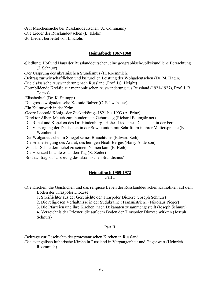-Auf Märchensuche bei Russlanddeutschen (A. Commann)

-Die Lieder der Russlandeutschen (L. Klohs)

-30 Lieder, berbeitet von L. Klohs

# **Heimatbuch 1967-1968**

-Siedlung, Hof und Haus der Russlanddeutschen, eine geographisch-volkskundliche Betrachtung (J. Schnurr)

-Der Ursprung des ukrainischen Stundismus (H. Roemmich)

-Beitrag zur wirtschaftlichen und kulturellen Leistung der Wolgadeutschen (Dr. M. Hagin)

-Die elsässische Auswanderung nach Russland (Prof. I.S. Height)

-Formbildende Kreäfte zur mennonitischen Auswanderung aus Russland (1921-1927), Prof. J. B. Toews)

-Elisabethtal (Dr. K. Stumpp)

-Die grosse wolgadeutsche Kolonie Balzer (C. Schwabauer)

-Ein Kulturwerk in der Krim

-Georg Leopold König--der Zuckerkönig--1821 bis 1903 (A. Prinz)

-Direktor Albert Mauch zum hundertsten Geburtstag (Richard Baumgärtner)

-Die Rubel und Kopeken des Dr. Hindenburg. Hohes Lied eines Deutschen in der Ferne

-Die Versorgung der Deutschen in der Sowjetunion mit Schrifttum in ihrer Muttersprache (E. Weinheim)

-Der Wolgadeutsche im Spiegel seines Brauchtums (Edward Seib)

-Die Erstbesteigung des Ararat, des heiligen Noah-Berges (Harry Anderson)

-Wie der Schneidermichel zu seinem Namen kam (E. Heib)

-Die Hochzeit brachte es an den Tag (R. Zeiler)

-Bildnachtrag zu "Ursprung des ukrainischen Stundismus"

# **Heimatbuch 1969-1972**

# Part I

-Die Kirchen, die Geistiichen und das religiöse Leben der Russlanddeutschen Katholiken auf dem Boden der Tiraspoler Diözese

1. Streiflichter aus der Geschichte der Tiraspoler Diozese (Joseph Schnurr)

2. Die religiosen Verhaltnisse in der Südukraine (Transnistrien), (Nikolaus Pieger)

3. Die Pfarreien und ihre Kirchen, nach Dekanaten zusammengestellt (Joseph Schnurr)

 4. Verzeichnis der Priester, die auf dem Boden der Tiraspoler Diozese wirkten (Joseph Schnurr)

# Part II

-Beitrage zur Geschichte der protestantischen Kirchen in Russland

-Die evangelisch lutherische Kirche in Russland in Vergangenheit und Gegenwart (Heinrich Roemmich)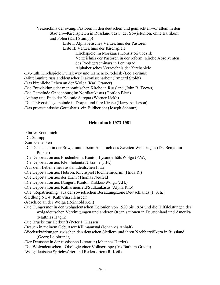Verzeichnis der evang. Pastoren in den deutschen und gemischten-vor allem in den Städten—Kirchspielen in Russland bezw. der Sowjetunion, ohne Baltikum und Polen (Karl Stumpp)

Liste I: Alphabetisches Verzeichnis der Pastoren

Liste II: Verzeichnis der Kirchspiele

 Kirchspiele im Moskauer Konsistorialbezirk Verzeichnis der Pastoren in der reform. Kirche Absolventen des Predigerseminars in Leningrad Alphabetisches Verzeichnis der Kirchspiele

-Ev.-luth. Kirchspiele Dunajewzy und Kamenez-Podolsk (Leo Torinus)

-Mittelpunkte russlanddeutscher Diakonissenarbeit (Irmgard Stoldt)

-Das kirchliche Leben an der Wolga (Karl Cramer)

-Die Entwicklung der mennonitischen Kirche in Russland (John B. Toews)

-Die Gemeinde Gnadenburg im Nordkaukasus (Gottlob Bieri)

-Anfang und Ende der Kolonie Sarepta (Werner Jäckh)

-Die Universitätsgetneinde in Dorpat und ihre Kirche (Harry Anderson)

-Das protestantische Gotteshaus, ein Bildbericht (Joseph Schnurr)

# **Heimatbuch 1973-1981**

-Pfarrer Roemmich

-Dr. Stumpp

-Zum Gedenken

- -Die Deutschen in der Sowjetunion beim Ausbruch des Zweiten Weltkrieges (Dr. Benjamin Pinkus)
- -Die Deportation aus Friedenheim, Kanton Lysanderhöh/Wolga (P.W.)
- -Die Deportation aus Kleinliebental/Ukraine (J.H.)
- -Aus dem Leben einer russlanddeutschen Frau
- -Die Deportation aus Hebron, Kirchspiel Hochheim/Krim (Hilda R.)
- -Die Deportation aus der Krim (Thomas Neufeld)
- -Die Deportation aus Bangert, Kanton Kukkus/Wolga (J.H.)
- -Die Deportation aus Katharinenfeld/Südkaukasus (Alpha Rho)
- -Die "Repatriiemng" aus der sowjetischen Besatzungszone Deutschlands (I. Sch.)
- -Siedlung Nr. 4 (Katharina Illenseer)
- -Abschied an der Wolga (Reinhold Keil)
- -Die Hungersnot in den wolgadeutschen Kolonien von 1920 bis 1924 und die Hilfsleistungen der wolgadeutschen Vereinigungen und anderer Organisationen in Deutschland und Amerika (Matthias Hagin)
- -Die Brücke zur Herkunft (Peter J. Klassen)
- -Besuch in meinem Geburtsort Killmannstal (Johannes Anhalt)
- -Wechselwirkungen zwischen den deutschen Siedlern und ihren Nachbarvölkern in Russland (Georg Leibbrandt)
- -Der Deutsche in der russischen Literatur (Johannes Harder)
- -Die Wolgadeutschen Ökologie einer Volksgruppe (Iris Barbara Graefe)
- -Wolgadeutsche Sprichwörter und Redensarten (R. Keil)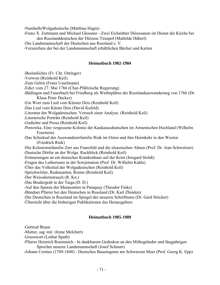-NamhafteWolgadeutsche (Matthias Hagin)

- -Franz X. Zottmann und Michael Glossner Zwei Eichstätter Diözesanen im Dienst der Kirche bei den Russlanddeutschen der Diözese Tiraspol (Mathilde Häberl)
- -Die Landsmannschaft der Deutschen aus Russland e. V.
- -Verzeichnis der bei der Landsmannschaft erhältlichen Bücher und Karten

# **Heimatbuch 1982-1984**

-Besinnliches (Fr. Chr. Oetinger)

-Vorwon (Reinhold Keil)

-Zum Geleit (Franz Usselmann)

-Edict vom 27. Mai 1766 (Chur-Pfältzische Regierung)

-Büdingen und Fauerbach bei Friedberg als Werbeplätze der Russlandauswanderung von 1766 (Dr. Klaus Peter Decker)

-Ein Wort zum Lied vom Küister Deis (Reinhold Keil)

-Das Lied vom Küster Deis (David Kufeld)

-Literatur der Wolgadeutschen. Versuch einer Analyse. (Reinhold Keil)

-Literarische Porträts (Reinhold Keil)

-Gedichte und Prosa (Reinhold Keil)

- -Petrowka. Eine vergessene Kolonie der Kaukasusdeutschen im Armenischen Hochland (Wilhelm Feurstein)
- -Das Schicksal der Auswandererfamilie Rink im Osten und ihre Heimkehr in den Westen (Friedrich Rink)

-Die Kolonistenfamilie Zerr aus Franzfeld und die elsassischen Ahnen (Prof. Dr. Jean Schweitzer) -Deutsche Dörfer an der Wolga. Ruckblick (Reinhold Keil)

-Erinnerungen an ein deutsches Krankenhaus auf der Krim (Irmgard Stoldt)

-Fragen des Luthertums in der Sowjetunion (Prof. Dr. Wilhelm Kahle)

-Über das Volkslied der Wolgadeutschen (Reinhold Keil)

-Sprichwörter, Redensarten, Reime (Reinhold Keil)

-Der Weissdornstrauch (R. Kn.)

-Das Brudergrab in der Taiga (D. D.)

-Auf den Spuren der Mennoniten in Paraquay (Theodor Finke)

-Bündner Pfarrer bei den Deutschen in Russland (Dr. Karl Zbinden)

-Die Deutschen in Russland im Spiegel des neueren Schrifttums (Dr. Gerd Stricker)

-Übersicht über die bisherigen Publikationen des Herausgebers

# **Heimatbuch 1985-1989**

-Gertrud Braun

-Mutter, sag' mir. (Irene Melchert)

-Grusswort (Lothar Spath)

-Pfarrer Heinrich Roemmich - In dankbarem Gedenken an den Mitbegründer und längjahrigen Sprecher unserer Landsmannschaft (Josef Schnurr)

-Johann Cornies (1789-1848) - Deutsches Bauerngenie am Schwarzen Meer (Prof. Georg K. Epp)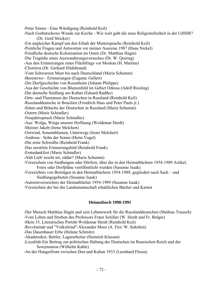-Peter Sinner - Eine Würdigung (Reinhold Keil) -Nach Gorbatschows Wende zur Kirche - Wie weit geht die neue Religionsfreiheit in der UdSSR? (Dr. Gerd Stricker) -Ein ungleicher Kampf um den Erhalt der Muttersprache (Reinhold Keil) -Peinliche Fragen und Antworten vor meiner Ausreise 1987 (Hans Nickel) -Friedliche deutsche Kolonisation im Osten (Dr. Matthias Hagin) -Die Tragödie eines Auswanderungsversuches (Dr. W. Quiring) -Aus den Erinnerungen eines Flüchtlings vor Moskau (H. Martins) -Chortitza (Dr. Gerhard Hildebrand) -Vom Schwarzen Meer bis nach Deutschland (Maria Schumm) -Berestowo - Erinnerungen (Eugenic Gellert) -Die Dorfgeschichte von Rosenheim (Johann Philipps) -Aus der Geschichte von Blumenfeld im Gebiet Odessa (Adolf Rissling) -Die deutsche Siedlung am Kuban (Eduard Radtke) -Orts- und Flurnamen der Deutschen in Russland (Reinhold Keil) -Russlanddeutsche in Brasilien (Friedrich Hass und Peter Pauls jr.) -Sitten und Bräuche der Deutschen in Russland (Maria Schumm) -Ostern (Marie Schindler) -Neujahrsspruch (Marie Schindler) -Aus: Wolga, Wiege unserer Hoffnung (Woldemar Herdt) -Meister Jakob (Irene Melchert) -Ostwind, Sonennblumen, Unterwegs (Irene Melchert) -Andreas - Sohn der Sonne (Herta Vogel) -Die erste Schwalbe (Reinhold Frank) -Das zerstörte Erinnerungsbild (Reinhold Frank) -Erntedankfest (Marie Schindler) -Aldi Lieb' roscht nit, oddar? (Maria Schumm) -Verzeichnis von Siedlungen oder Dörfern, über die in den Heimatbüchern 1954-1989 Artikel, Fotos oder Dorfpläne veröffentlicht wurden (Susanne Isaak) -Verzeichnis von Beiträgen in den Heimatbüchern 1954-1989, gegliedert nach Sach – und Siedlungsgebieten (Susanne Isaak)

- -Autorenverzeichnis der Heimatbücher 1954-1989 (Susanne Isaak)
- -Verzeichnis der bei der Landsmannschaft erhaltlichen Bücher und Karten

# **Heimatbuch 1990-1991**

-Der Mensch Matthias Hagin und sein Lebenswerk für die Russlanddeutschen (Mathias Trausch)

-Vom Leben und Streben des Professors Franz Schiller (W. Herdt und Fr. Bolger)

-Mein 33. Literarisches Porträt-Woldemar Herdt (Reinhold Keil)

-Revolutinär und "Volksfeind"-Alexander Moor (A. Fitz/ W. Sidorkin)

-Das Dauenhauer Erbe (Helene Schmitz)

-Akademiker, Bettler, Lagerarbeiter (Heinrich Klassen)

-Loyalität-Ein Beitrag zur politischen Haltung der Deutschen im Russischen Reich und der Sowjetunion (Wilhelm Kahle)

-An der Hungerfront zwischen Don und Kuban 1933 (Leonhard Flessa)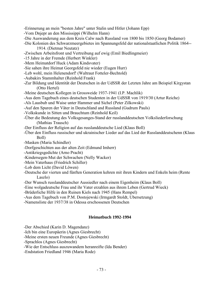-Erinnerung an mein "besten Jahre" unter Stalin und Hitler (Johann Epp)

- -Vom Dnjepr an den Mississippi (Wilhelm Hann)
- -Die Auswanderung aus dem Kreis Calw nach Russland von 1800 bis 1850 (Georg Bodamer)
- -Die Kolonien des Schwarzmeergebietes im Spannungsfeld der nationalstaatlichen Politik 1864-- 1914. (Dietmar Neutatz)
- -Zwischen Arbeitsfront und Vertreibung auf ewig (Emil Biedlingmeier)
- -15 Jahre in der Fremde (Herbert Winkler)
- -Mem Heimatdorf Huck (Adam Kindsvater)
- -Sie sahen ihre Heimat Georgsfeld nie wieder (Eugen Hurr)
- -Leb wohl, mein Helenendorf! (Waltraut Fotteler-Bechtold)
- -Aubakirs Stammhalter (Reinhold Frank)
- -Zur Bildung und Identität der Deutschen in der UdSSR der Letzten Jahre am Beispiel Kirgystan (Otto Hertel)
- -Meine deutschen Kollegen in Grossweide 1937-1941 (I.P. Machlik)
- -Aus dem Tagebuch eines deutschen Studenten in der UdSSR von 1919/30 (Artur Reiche)
- -Als Lausbub und Waise unter Hammer und Sichel (Peter Zilkowski)
- -Auf den Spuren der Väter in Deutschland and Russland (Gudrum Pauls)
- -Volkskunde in Sitten und Brauchtum (Reinhold Keil)
- -Über die Bedeutung des Volksgesanges-Stand der russlanddeutschen Volksliederforschung (Mathias Trausch)
- -Der Einfluss der Religion auf das russlanddeutsche Lied (Klaus Boll)
- -Über den Einfluss russischer und ukrainischer Lieder auf das Lied der Russlanddeutschenn (Klaus Boll)
- -Masken (Maria Schindler)
- -Dorfgeschichten aus der alten Zeit (Edmund Imherr)
- -Antikriegsgedichte (Arno Pracht)
- -Kindersegen-Mut der Schwachen (Nelly Wacker)
- -Mein Vaterhaus (Friedrich Schiller)
- -Lob dem Licht (David Löwen)
- -Deutsche der vierten und fünften Generation kehren mit ihren Kindern und Enkeln heim (Rente Laszlo)
- -Der Wunsch russlanddeutscher Aussiedler nach einem Eigenheim (Klaus Boll)
- -Eine wolgadeutsche Frau und ihr Vater erzahlen aus ihrem Leben (Gertrud Wieck)
- -Brüderliche Hilfe in den Ruinen Kiels nach 1945 (Hans Rempel)
- -Aus dem Tagebuch von P.M. Dostojewski (Irmgardt Stoldt, Ubersetzung)
- -Namensliste der 1937/38 in Odessa erschossenen Deutschen

# **Heimatbuch 1992-1994**

- -Der Abschied (Karin D. Magendanz)
- -Ich bin eine Europäerin (Agnes Giesbrecht)
- -Meine ersten neuen Freunde (Agnes Giesbrecht)
- -Sprachlos (Agnes Giesbrecht)
- -Wie der Entschluss auszuwandem heranreifte (Ida Bender)
- -Endstation Friedland 1946 (Maria Rode)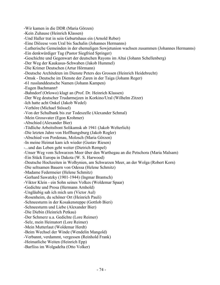-Wir kamen in die DDR (Maria Görzen) -Kein Zuhause (Heinrich Klassen) -Und Haller trat in sein Geburtshaus ein (Arnold Reber) -Eine Diözese vom Ural bis Sachalin (Johannes Hermanns) -Lutherische Gemeinden in der ehemaligen Sowjetunion wachsen zusammen (Johannes Hermanns) -Ein denkwürdiger Tag (Pastor Siegfried Springer) -Geschichte und Gegenwart der deutschen Rayons im Altai (Johann Schellenberg) -Der Weg der Kaukasus-Schwaben (Jakob Hummel) -Die Krimer Deutschen (Artur Hörmann) -Deutsche Architekten im Dienste Peters des Grossen (Heinrich Heidebrecht) -Omsk - Deutsche im Dienste der Zaren in der Taiga (Johann Reger) -61 russlanddeutsche Namen (Johann Kampen) -Eugen Bachmann† -Bahndorf (Orlowo) klagt an (Prof. Dr. Heinrich Klassen) -Der Weg deutscher Trudarmejzen in Korkino/Ural (Wilhelm Zitzer) -Ich hatte acht Onkel (Jakob Wedel) -Verhöre (Michael Stössel) -Von der Schulbank bis zur Todeszelle (Alexander Schmal) -Mein Grossvater (Egon Krohmer) -Abschied (Alexander Bier) -Tödliche Arbeitsfront Solikamsk ab 1941 (Jakob Welterlich) -Die letzten Jahre von Hoffhungsburg (Jakob Rogler) -Abschied von Pordenau, Molosch (Maria Görzen) -In meine Heimat kam ich wieder (Gustav Riesen) -...und das Leben geht weiter (Dietrich Rempel) -Unser Weg vom Schwarzen Meer über den Warthegau an die Petschora (Maria Malsam) -Ein Stück Europa in Dakota (W. S. Harwood) -Deutsche Hochzeiten in Wolhynien, am Schwarzen Meer, an der Wolga (Robert Korn) -Die seltsamen Bauern von Odessa (Helene Schmitz) -Madame Federmeier (Helene Schmitz) -Gerhard Sawatzky (1901-1944) (Ingmar Brantsch) -Viktor Klein - ein Sohn seines Volkes (Woldemar Spaar) -Gedichte und Prosa (Hermann Arnhold) -Ungläubig sah ich mich um (Victor Aul) -Rosenheim, du schöner Ort (Heinrich Pauli) -Schneesturm in der Kosakensteppe (Gottlob Bieri) -Schneesturm und Liebe (Alexander Bier) -Die Diebin (Heinrich Petkau) -Der Schmerz u.a. Gedichte (Lore Reimer) -Selz, mein Heimatort (Lore Reimer) -Mein Mutterlaut (Woldemar Herdt) -Beim Wechsel der Winde (Wendelin Mangold) -Verbannt, verdammt, vergessen (Reinhold Frank) -Heimatliche Weiten (Heinrich Epp) -Barfiiss im Wolgadelta (Otto Volker)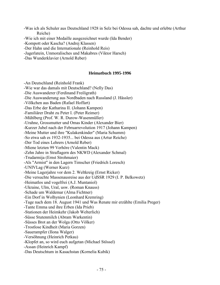-Was ich als Schuler aus Deutschland 1928 in Selz bei Odessa sah, dachte und erlebte (Arthur Reiche)

-Wie ich mit einer Medaille ausgezeichnet wurde (Ida Bender)

-Kompott oder Kascha? (Andrej Klassen)

-Der Hahn und die Internationale (Reinhold Reis)

-Jagerlatein, Unmoralisches und Makabres (Viktor Harsch)

-Das Wunderklavier (Arnold Reber)

# **Heimatbuch 1995-1996**

-An Deutschland (Reinhold Frank) -Wie war das damals mit Deutschland? (Nelly Das) -Die Auswanderer (Ferdinand Freiligrath) -Die Auswanderung aus Nordbaden nach Russland (J. Hässler) -Völkchen aus Baden (Rafael Hoffart) -Das Erbe der Katharina II. (Johann Kampen) -Familiärer Draht zu Peter I. (Peter Reimer) -Mühlberg (Prof. W. R. Durow-Wasenmüller) -Urahne, Grossmutter und Omas Kinder (Alexander Bier) -Kurzer Jubel nach der Februarrevolution 1917 (Johann Kampen) -Meine Mutter und ihre "Kulakenkinder" (Maria Schumm) -So etwa sah es 1932-1935... bei Odessa aus (Artur Reiche) -Der Tod eines Lehrers (Arnold Reber) -Miene letzten 99 Verhöre (Valentin Mack) -Zehn Jahre in Straflagern des NKWD (Alexander Schmal) -Trudarmija (Ernst Strohmaier) -Als "Armist" in den Lagern Timscher (Friedrich Loresch) -UNIVLag (Werner Kurz) -Meine Lagerjahre vor dem 2. Weltkreig (Ernst Ricker) -Die versuchte Massenausreise aus der UdSSR 1929 (I. P. Belkowetz) -Heimatlos und vogelfrei (A.J. Muntaniol) -Ukraine, Ulm, Ural, usw. (Roman Knauss) -Schade um Waldemar (Alma Fichtner) -Ein Dorf in Wolhynien (Leonhard Kremring) -Tage nach dem 18. August 1941 und Was Renate mir erzählte (Emilia Preger) -Tante Emma und ihre Erben (Ida Prieb) -Stationen der Heimkehr (Jakob Welterlich) -Süsse Stutenmilch (Abram Warkentin) -Süsses Brot an der Wolga (Otto Völker) -Trostlose Kindheit (Maria Gorzen) -Sauerampfer (Ilona Walger) -Versöhnung (Heinrich Petkau) -Klopfet an, so wird euch aufgetan (Michael Stössel) -Assan (Heinrich Kampf) -Das Deutschtum in Kasachstan (Kornelia Kubik)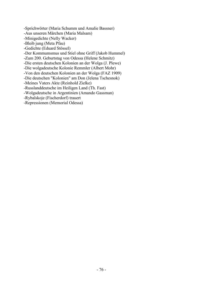-Sprichwörter (Maria Schumm und Amalie Bassner)

-Aus unseren Märchen (Maria Malsam)

-Minigedichte (Nelly Wacker)

-Bleib jung (Meta Pfau)

-Gedichte (Eduard Stössel)

-Der Kommumsmus und Stiel ohne Griff (Jakob Hummel)

-Zum 200. Geburtstag von Odessa (Helene Schmitz)

-Die ersten deutschen Kolonien an der Wolga (J. Plewe)

-Die wolgadeutsche Kolonie Remmler (Albert Mohr)

-Von den deutschen Kolonien an der Wolga (FAZ 1909)

-Die deutschen "Kolonien" am Don (Jelena Tschesnok)

-Meines Vaters Akte (Reinhold Zielke)

-Russlanddeutsche im Heiligen Land (Th. Fast)

-Wolgadeutsche in Argentinien (Amando Gassman)

-Rybalskoje (Fischerdorf) trauert

-Repressionen (Memorial Odessa)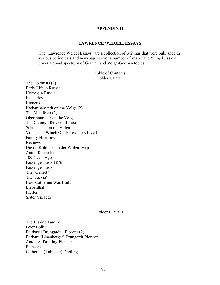## **APPENDIX II**

#### **LAWRENCE WEIGEL, ESSAYS**

The "Lawrence Weigel Essays" are a collection of writings that were published in various periodicals and newspapers over a number of years. The Weigel Essays cover a broad spectrum of German and Volga-German topics.

> Table of Contents Folder I, Part I

The Colonists (2) Early Life in Russia Herzog in Russia **Industries** Kamenka Katharinenstadt on the Volga (2) The Manifesto (2) Obermounjour on the Volga The Colony Pfeifer in Russia Schoenchen on the Volga Villages in Which Our Forefathers Lived Family Histories Reviews Die dt. Kolonien an der Wolga. Map Anton Kaeberlein 100 Years Ago Passenger Lists 1876 Passenger Lists The "Gellert" The"Suevia" How Catherine Was Built Liebenthal Pfeifer Sister Villages

Folder I, Part II

The Bissing Family Peter Bollig Balthasar Brungardt—Pioneer (2) Barbara (Linenberger) Brungardt-Pioneer Anton A. Dreiling-Pioneer Pioneers Catherine (Rohleder) Dreiling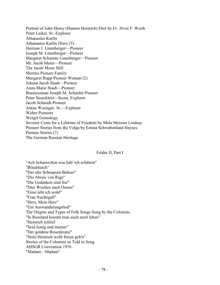Portrait of John Henry (Hannes Heinrich) Ebel by Fr. Alvin F. Werth Peter Leiker, Sr.-Explorer Athanasius Karlin Athanasius Karlin Diary (5) Herman J. Linenberger—Pioneer Joseph M. Linenberger—Pioneer Margaret Schamne Linenberger—Pioneer Mr. Jacob Meier—Pioneer The Jacob Meier Mill Mermis Pioneer Family Margaret Rupp-Pioneer Woman (2) Johann Jacob Staab—Pioneer Anna Marie Staab—Pioneer Businessman Joseph M. Schaefer-Pioneer Peter Stoecklein—Scout, Explorer Jacob Schmidt-Pioneer Anton Wasinger, Sr.—Explorer Weber Pioneers Weigel Genealogy Seventy Cents for a Lifetime of Freedom by Mela Meisner Lindsay Pioneer Stories from the Volga by Emma Schwabenland Haynes Pioneer Stories (7) The German Russian Heritage

#### Folder II, Part I

"Ach Schaetzchen was hab' ich erfahren" "Brautdusch" "Der alte Schnapsen Baltzer" "Die Abreis von Riga" "Die Gedanken sind frei" "Drei Wochen nach Ostern" "Einst lebt ich wohl" "Frau Nachtigall" "Herz, Mein Herz" "Ein Auswanderungslied" The Origins and Types of Folk Songs Sung by the Colonists "In Russland koennt man auch noch leben" "Heinrich schlief "Seid lustig und munter" "Der goldene Rosenkranz" "Stolz Heinrich wollt freien geh'n" Stories of the Colonists as Told in Song AHSGR Convention 1976 "Madam—Madam"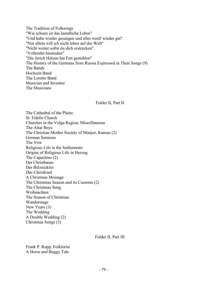The Tradition of Folksongs "Wie schoen ist das laendliche Leben" "Und habe wieder gesungen und alles werd' wieder gut" "Nur allein will ich nicht leben auf der Welt" "Nicht weiter sollst du dich erstrecken" "Vollendet hienieden" "Die Jerich Halzen hat Fett gestohlen" The History of the Germans from Russia Expressed in Their Songs (9) The Bands Hochzeit Band The Loretto Band Musician and Inventor The Musicians

## Folder II, Part II

The Cathedral of the Plains St. Fidelis Church Churches in the Volga Region, Miscellaneous The Altar Boys The Christian Mother Society of Munjor, Kansas (2) German Sermons The Vow Religious Life in the Settlements Origins of Religious Life in Herzog The Capuchins (2) Der Christbaum Der Belznicklos Das Christkind A Christmas Message The Christmas Season and its Customs (2) The Christmas Song Weihnachten The Season of Christmas Wanderstage New Years (3) The Wedding A Double Wedding (2) Christmas Songs (3)

Folder II, Part III

Frank P. Rupp, Folklorist A Horse and Buggy Tale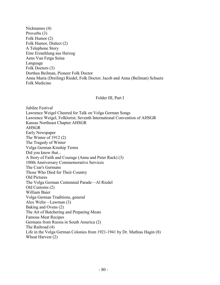Nicknames (4) Proverbs (3) Folk Humor (2) Folk Humor, Dialect (2) A Telephone Story Eine Erzaehlung aus Herzog Aens Vun Fetga Seina Language Folk Doctors (3) Dorthea Beilman, Pioneer Folk Doctor Anna Maria (Dreiling) Riedel, Folk Doctor; Jacob and Anna (Beilman) Schuetz Folk Medicine

## Folder III, Part I

Jubilee Festival Lawrence Weigel Cheered for Talk on Volga German Songs Lawrence Weigel, Folklorist; Seventh International Convention of AHSGR Kansas Northeast Chapter AHSGR AHSGR Early Newspaper The Winter of 1912 (2) The Tragedy of Winter Volga German Kinship Terms Did you know that... A Story of Faith and Courage (Anna and Peter Rack) (3) 100th Anniversary Commemorative Services The Czar's Germans Those Who Died for Their Country Old Pictures The Volga German Centennial Parade—Al Riedel Old Customs (2) William Baier Volga German Traditions, general Alex Weltz—Lawman (3) Baking and Ovens (2) The Art of Butchering and Preparing Meats Famous Meat Recipes Germans from Russia in South America (2) The Railroad (4) Life in the Volga German Colonies from 1921-1941 by Dr. Mathias Hagin (8) Wheat Harvest (2)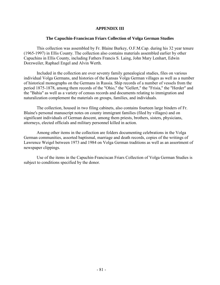# **APPENDIX III**

## **The Capuchin-Franciscan Friars Collection of Volga German Studies**

This collection was assembled by Fr. Blaine Burkey, O.F.M.Cap. during his 32 year tenure (1965-1997) in Ellis County. The collection also contains materials assembled earlier by other Capuchins in Ellis County, including Fathers Francis S. Laing, John Mary Lenhart, Edwin Dorzweiler, Raphael Engel and Alvin Werth.

Included in the collection are over seventy family genealogical studies, files on various individual Volga Germans, and histories of the Kansas Volga German villages as well as a number of historical monographs on the Germans in Russia. Ship records of a number of vessels from the period 1875-1878, among them records of the "Ohio," the "Gellert," the "Frisia," the "Herder" and the "Bahia" as well as a variety of census records and documents relating to immigration and naturalization complement the materials on groups, families, and individuals.

The collection, housed in two filing cabinets, also contains fourteen large binders of Fr. Blaine's personal manuscript notes on county immigrant families (filed by villages) and on significant individuals of German descent, among them priests, brothers, sisters, physicians, attorneys, elected officials and military personnel killed in action.

Among other items in the collection are folders documenting celebrations in the Volga German communities, assorted baptismal, marriage and death records, copies of the writings of Lawrence Weigel between 1973 and 1984 on Volga German traditions as well as an assortment of newspaper clippings.

Use of the items in the Capuchin-Franciscan Friars Collection of Volga German Studies is subject to conditions specified by the donor.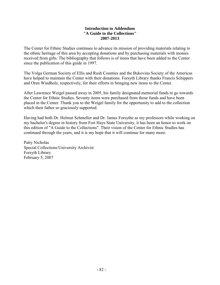# **Introduction to Addendum "A Guide to the Collections" 2007-2013**

The Center for Ethnic Studies continues to advance its mission of providing materials relating to the ethnic heritage of this area by accepting donations and by purchasing materials with monies received from gifts. The bibliography that follows is of items that have been added to the Center since the publication of this guide in 1997.

The Volga German Society of Ellis and Rush Counties and the Bukovina Society of the Americas have helped to maintain the Center with their donations. Forsyth Library thanks Francis Schippers and Oren Windholz, respectively, for their efforts in bringing new items to the Center.

After Lawrence Weigel passed away in 2005, his family designated memorial funds to go towards the Center for Ethnic Studies. Seventy items were purchased from those funds and have been placed in the Center. Thank you to the Weigel family for the opportunity to add to the collection which their father so graciously supported.

Having had both Dr. Helmut Schmeller and Dr. James Forsythe as my professors while working on my bachelor's degree in history from Fort Hays State University, it has been an honor to work on this edition of "A Guide to the Collections". Their vision of the Center for Ethnic Studies has continued through the years, and it is my hope that it will continue for many more.

Patty Nicholas Special Collections/University Archivist Forsyth Library February 5, 2007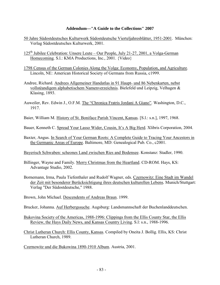## **Addendum—"A Guide to the Collections" 2007**

- 50 Jahre Südostdeutsches Kulturwerk Südostdeutsche Vierteljahresblätter, 1951-2001. München: Verlag Südostdeutsches Kulturwerk, 2001.
- 125<sup>th</sup> Jubilee Celebration: Unsere Leute Our People, July 21-27, 2001, a Volga-German Homecoming. S.l.: KMA Productions, Inc., 2001. {Video}
- 1798 Census of the German Colonies Along the Volga: Economy, Population, and Agriculture. Lincoln, NE: American Historical Society of Germans from Russia, c1999.
- Andree, Richard. Andrees Allgemeiner Handatlas in 91 Haupt- und 86 Nebenkarten, nebst vollstèandigem alphabetischem Namenverzeichnis. Bielefeld und Leipzig, Velhagen & Klasing, 1893.
- Auweiler, Rev. Edwin J., O.F.M. The "Chronica Fratris Jordani A Giano". Washington, D.C., 1917.
- Baier, William M. History of St. Boniface Parish Vincent, Kansas. [S.l.: s.n.], 1997, 1968.

Bauer, Kenneth C. Spread Your Lasso Wider, Cousin, It's A Big Herd. Xlibris Corporation, 2004.

Baxter, Angus. In Search of Your German Roots: A Complete Guide to Tracing Your Ancestors in the Germanic Areas of Europe. Baltimore, MD: Genealogical Pub. Co., c2001.

Bayerisch Schwaben: scheones Land zwischen Ries and Bodensee. Konstanz: Stadler, 1990.

- Billinger, Wayne and Family. Merry Christmas from the Heartland. CD-ROM. Hays, KS: Advantage Studio, 2002.
- Bornemann, Irma, Paula Tiefenthaler and Rudolf Wagner, eds. Czernowitz: Eine Stadt im Wandel der Zeit mit besonderer Berücksichtigung ihres deutschen kulturellen Lebens*.* Munich/Stuttgart: Verlag "Der Südostdeutsche," 1988.
- Brown, John Michael. Descendents of Andreas Braun. 1999.
- Brucker, Johanna. Auf Herbergssuche. Augsburg: Landsmannschaft der Buchenlanddeutschen.
- Bukovina Society of the Americas, 1988-1996: Clippings from the Ellis County Star, the Ellis Review, the Hays Daily News, and Kansas Country Living. S.l: s.n., 1988-1996.
- Christ Lutheran Church: Ellis County, Kansas. Compiled by Oneita J. Bollig. Ellis, KS: Christ Lutheran Church, 1989.

Czernowitz und die Bukowina 1890-1910 Album. Austria, 2001.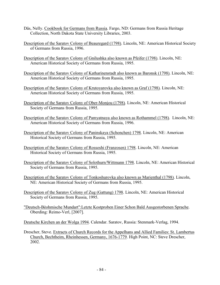- Däs, Nelly. Cookbook for Germans from Russia. Fargo, ND: Germans from Russia Heritage Collection, North Dakota State University Libraries, 2003.
- Description of the Saratov Colony of Beauregard (1798). Lincoln, NE: American Historical Society of Germans from Russia, 1996.
- Description of the Saratov Colony of Gnilushka also known as Pfeifer (1798). Lincoln, NE: American Historical Society of Germans from Russia, 1995.
- Description of the Saratov Colony of Katharinenstadt also known as Baronsk (1798). Lincoln, NE: American Historical Society of Germans from Russia, 1995.
- Description of the Saratov Colony of Krutoyarovka also known as Graf (1798). Lincoln, NE: American Historical Society of Germans from Russia, 1995.
- Description of the Saratov Colony of Ober-Monjou (1798). Lincoln, NE: American Historical Society of Germans from Russia, 1995.
- Description of the Saratov Colony of Pamyatnaya also known as Rothammel (1798). Lincoln, NE: American Historical Society of Germans from Russia, 1996.
- Description of the Saratov Colony of Paninskaya (Schonchen) 1798. Lincoln, NE: American Historical Society of Germans from Russia, 1995.
- Description of the Saratov Colony of Rossoshi (Franzosen) 1798. Lincoln, NE: American Historical Society of Germans from Russia, 1995.
- Description of the Saratov Colony of Solothurn/Wittmann 1798. Lincoln, NE: American Historical Society of Germans from Russia, 1995.
- Description of the Saratov Colony of Tonkoshurovka also known as Marienthal (1798). Lincoln, NE: American Historical Society of Germans from Russia, 1995.
- Description of the Saratov Colony of Zug (Gattung) 1798. Lincoln, NE: American Historical Society of Germans from Russia, 1995.
- "Deutsch-Bèohmische Mundart":Letzte Kostproben Einer Schon Bald Ausgestorbenen Sprache. Oberding: Reimo-Verl, [2007].
- Deutsche Kirchen an der Wolga 1994. Calendar. Saratov, Russia: Stenmark-Verlag, 1994.
- Drescher, Steve. Extracts of Church Records for the Appelhans and Allied Families: St. Lambertus Church, Bechtheim, Rheinhessen, Germany, 1676-1779. High Point, NC: Steve Drescher, 2002.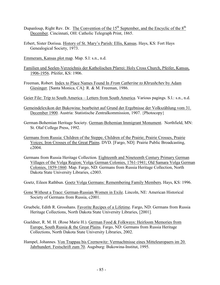- Dupanloup, Right Rev. Dr. The Convention of the  $15<sup>th</sup>$  September, and the Encyclic of the  $8<sup>th</sup>$ December. Cincinnati, OH: Catholic Telegraph Print, 1865.
- Erbert, Sister Dorissa. History of St. Mary's Parish: Ellis, Kansas. Hays, KS: Fort Hays Genealogical Society, 1973.
- Emmeram, Kansas plot map. Map. S.l: s.n., n.d.
- Familien und Seelen-Verzeichnis der Katholischen Pfarrei: Holy Cross Church, Pfeifer, Kansas, 1906-1956. Pfeifer, KS: 1906.
- Freeman, Robert. Index to Place Names Found In *From Catherine to Khrushchev* by Adam Giesinger. [Santa Monica, CA]: R. & M. Freeman, 1986.
- Geier File: Trip to South America Letters from South America. Various pagings. S.l.: s.n., n.d.
- Gemeindelexikon der Bukowina: bearbeitet auf Grund der Ergebnisse der Volkszählung vom 31. December 1900. Austria: Statistische Zentralkommission, 1907. {Photocopy}
- German-Bohemian Heritage Society. German-Bohemian Immigrant Monument. Northfield, MN: St. Olaf College Press, 1992.
- Germans from Russia: Children of the Steppe, Children of the Prairie; Prairie Crosses, Prairie Voices; Iron Crosses of the Great Plains. DVD. [Fargo, ND]: Prairie Public Broadcasting, c2004.
- Germans from Russia Heritage Collection. Eighteenth and Nineteenth Century Primary German Villages of the Volga Region; Volga German Colonies, 1761-1941; Old Samara Volga German Colonies, 1859-1860. Map. Fargo, ND: Germans from Russia Heritage Collection, North Dakota State University Libraries, c2003.
- Goetz, Eileen Rathbun. Goetz Volga Germans: Remembering Family Members. Hays, KS: 1996.
- Gone Without a Trace: German-Russian Women in Exile. Lincoln, NE: American Historical Society of Germans from Russia, c2001.
- Gruebele, Edith R. Grosshans. Favorite Recipes of a Lifetime. Fargo, ND: Germans from Russia Heritage Collections, North Dakota State University Libraries, [2001].
- Gueldner, R. M. H. (Rose Marie H.). German Food & Folkways: Heirloom Memories from Europe, South Russia & the Great Plains. Fargo, ND: Germans from Russia Heritage Collections, North Dakota State University Libraries, 2002.
- Hampel, Johannes. Von Trappau bis Czernowitz: Vermachtnisse eines Mitteleuropaers im 20. Jahrhundert. Festschrift zum 70. Augsburg: Bukowina-Institut, 1995.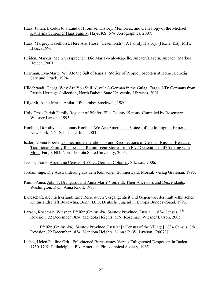- Haas, Julian. Exodus to a Land of Promise: History, Memories, and Genealogy of the Michael Katharina Schreiner Haas Family. Hays, KS: NW Xerographics, 200?.
- Haas, Margery Haselhorst. Here Are Those "Haselhorsts": A Family History. [Hoxie, KS]: M.H. Haas, c1996.
- Heiden, Markus. Mein Versprechen: Die Maria-Wald-Kapelle, Julbach/Bayern*.* Julbach: Markus Heiden, 2001.
- Herrman, Eva-Marie. We Ate the Salt of Russia: Stories of People Forgotten at Home. Leipzig: Satz und Druck, 1994.
- Hildebrandt, Georg. Why Are You Still Alive?: A German in the Gulag. Fargo, ND: Germans from Russia Heritage Collection, North Dakota State University Libraries, 2001.
- Hilgarth, Anne-Marie. Anika. Ilfracombe: Stockwell, 1980.
- Holy Cross Parish Family Register of Pfeifer, Ellis County, Kansas. Compiled by Rosemary Wiesner Larson. 1995.
- Hoobler, Dorothy and Thomas Hoobler. We Are Americans: Voices of the Immigrant Experience. New York, NY: Scholastic, Inc., 2003.
- Iszler, Donna Eberle. Connecting Generations: Fond Recollections of German-Russian Heritage, Traditional Family Recipes and Reminiscent Stories from Five Generations of Cooking with Mom. Fargo, ND: North Dakota State University, 2005.

Jacobs, Frank. Argentine Census of Volga German Colonies. S.l.: s.n., 2006.

- Jordan, Inge. Die Auswanderung aus dem Künischen Böhmerwald. Morsak Verlag Grafenau, 1995.
- Knoll, Anna. John F. Brungardt and Anna Marie Vonfeldt, Their Ancestors and Descendants. Washington, D.C.: Anna Knoll, 1978.
- Landschaft, die mich erfand: Eine Reise durch Vergangenheit und Gegenwart der multi-ethnischen Kulturlandschaft Bukowina. Bonn: DJO, Deutsche Jugend in Europa Bundesvrband, 1993.
- Larson, Rosemary Wiesner. Pfeifer (Gnilushka) Saratov Province, Russia 1834 Census, 8<sup>th</sup> Revision, 22 December 1834. Mendota Heights, MN: Rosemary Wiesner Larson, 2005.
	- \_\_\_\_\_\_. Pfeifer (Gnilushka), Saratov Province, Russia: [a Census of the Village] 1834 Census, 8th Revision, 22 December 1834. Mendota Heights, Minn.: R. W. Lawson, [2007?].
- Liebel, Helen Pauline Grit. Enlightened Bureaucracy Versus Enlightened Despotism in Baden, 1750-1792. Philadelphia, PA: American Philosophical Society, 1965.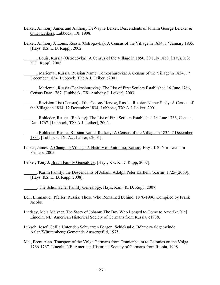- Leiker, Anthony James and Anthony DeWayne Leiker. Descendents of Johann George Leicker & Other Leikers. Lubbock, TX, 1998.
- Leiker, Anthony J. Louis, Russia (Ostrogovka): A Census of the Village in 1834, 17 January 1835. [Hays, KS: K.D. Rupp], 2002.

. Louis, Russia (Ostrogovka): A Census of the Village in 1850, 30 July 1850. [Hays, KS: K.D. Rupp], 2002.

. Mariental, Russia, Russian Name: Tonkoshurovka: A Census of the Village in 1834, 17 December 1834. Lubbock, TX: A.J. Leiker, c2001.

\_\_\_\_\_\_. Mariental, Russia (Tonkoshurovka): The List of First Settlers Established 16 June 1766, Census Date 1767. [Lubbock, TX: Anthony J. Leiker], 2003.

\_\_\_\_\_\_. Revision List (Census) of the Colony Herzog, Russia, Russian Name: Susly: A Census of the Village in 1834, 12 December 1834. Lubbock, TX: A.J. Leiker, 2001.

\_\_\_\_\_\_. Rohleder, Russia, (Raskaty): The List of First Settlers Established 14 June 1766, Census Date 1767. [Lubbock, TX: A.J. Leiker], 2002.

\_\_\_\_\_\_. Rohleder, Russia, Russian Name: Raskaty: A Census of the Village in 1834, 7 December 1834. [Lubbock, TX: A.J. Leiker, c2001].

Leiker, James. A Changing Village: A History of Antonino, Kansas. Hays, KS: Northwestern Printers, 2005.

Leiker, Tony J. Braun Family Genealogy. [Hays, KS: K. D. Rupp, 2007].

. Karlin Family: the Descendants of Johann Adolph Peter Kartlein (Karlin) 1725-[2000]. [Hays, KS: K. D. Rupp, 2008].

\_\_\_\_\_\_. The Schumacher Family Genealogy. Hays, Kan.: K. D. Rupp, 2007.

Lell, Emmanuel. Pfeifer, Russia: Those Who Remained Behind, 1876-1996. Compiled by Frank Jacobs.

Lindsey, Mela Meisner. The Story of Johann: The Boy Who Longed to Come to Amerika [sic]. Lincoln, NE: American Historical Society of Germans from Russia, c1988.

Luksch, Josef. Gefild Unter den Schwarzen Bergen: Schicksal e. Böhmerwaldgemeinde. Aalen/Württemberg: Gemeinde Aussergefild, 1975.

Mai, Brent Alan. Transport of the Volga Germans from Oranienbaum to Colonies on the Volga 1766-1767. Lincoln, NE: American Historical Society of Germans from Russia, 1998.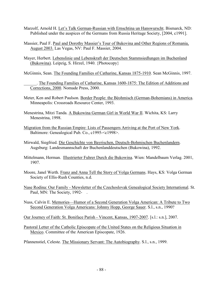- Marzolf, Arnold H. Let's Talk German-Russian with Ernschtina un Hanswurscht. Bismarck, ND: Published under the auspices of the Germans from Russia Heritage Society, [2004, c1991].
- Massier, Paul F. Paul and Dorothy Massier's Tour of Bukovina and Other Regions of Romania, August 2003. Las Vegas, NV: Paul F. Massier, 2004.
- Mayer, Herbert. Lebenslinie und Lebenskraft der Deutschen Stammsiedlungen im Buchenland (Bukowina). Leipzig, S. Hirzel, 1940. {Photocopy}
- McGinnis, Sean. The Founding Families of Catharine, Kansas 1875-1910. Sean McGinnis, 1997.

. The Founding Families of Catharine, Kansas 1600-1875: The Edition of Additions and Corrections, 2000. Nomade Press, 2000.

Meter, Ken and Robert Paulson. Border People: the Bèohmisch (German-Bohemians) in America. Minneapolis: Crossroads Resource Center, 1993.

- Menestrina, Mitzi Tanda. A Bukowina German Girl in World War II. Wichita, KS: Larry Menestrina, 1998.
- Migration from the Russian Empire: Lists of Passengers Arriving at the Port of New York. Baltimore: Genealogical Pub. Co., c1995-<c1998>.
- Mirwald, Siegfried. Die Geschichte von Bayrischen, Deutsch-Bohmischen Buchenlandern. Augsburg: Landesmannschaft der Buchenlanddeutschen (Bukowina), 1992.
- Mittelmann, Herman. Illustrierter Fuhrer Durch die Bukowina. Wien: Mandelbaum Verlag. 2001, 1907.
- Moore, Janel Werth. Franz and Anna Tell the Story of Volga Germans. Hays, KS: Volga German Society of Ellis-Rush Counties, n.d.
- Nase Rodina: Our Family Mewsletter of the Czechoslovak Genealogical Society International. St. Paul, MN: The Society, 1992-
- Nuss, Calvin E. Memories—Humor of a Second Generation Volga American: A Tribute to Two Second Generation Volga Americans: Johnny Hopp, George Sauer. S.l., s.n., 1990?
- Our Journey of Faith: St. Boniface Parish Vincent, Kansas, 1907-2007. [s.l.: s.n.], 2007.
- Pastoral Letter of the Catholic Episcopate of the United States on the Religious Situation in Mexico. Committee of the American Episcopate, 1926.
- Pfannenstiel, Celeste. The Missionary Servant: The Autobiography. S.l., s.n., 1999.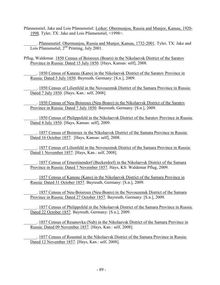Pfannenstiel, Jake and Lois Pfannenstiel. Leiker: Obermunjou, Russia and Munjor, Kansas, 1920- 1998. Tyler, TX: Jake and Lois Pfannenstiel, <1998>.

. Pfannenstiel: Obermunjou, Russia and Munjor, Kansas, 1732-2001. Tyler, TX: Jake and Lois Pfannenstiel,  $2<sup>nd</sup>$  Printing, July 2001.

Pflug, Waldemar. 1850 Census of Boisroux (Boaro) in the Nikolaevsk District of the Saratov Province in Russia: Dated 15 July 1850. [Hays, Kansas: self], 2008.

\_\_\_\_\_\_. 1850 Census of Kaneau (Kano) in the Nikolaevsk District of the Saratov Province in Russia: Dated 5 July 1850. Bayreuth, Germany: [S.n.], 2009.

\_\_\_\_\_\_. 1850 Census of Lilienfeld in the Novouzensk District of the Samara Province in Russia: Dated 7 July 1850. [Hays, Kan.: self, 2008].

\_\_\_\_\_\_. 1850 Census of Neu-Boisroux (Neu-Boaro) in the Nikolaevsk District of the Saratov Province in Russia: Dated 7 July 1850. Bayreuth, Germany: [S.n.], 2009.

\_\_\_\_\_\_. 1850 Census of Philippsfeld in the Nikolaevsk District of the Saratov Province in Russia: Dated 4 July 1850. [Hays, Kansas: self], 2009.

\_\_\_\_\_\_. 1857 Census of Boisroux in the Nikolaevsk District of the Samara Province in Russia: Dated 16 October 1857. [Hays, Kansas: self], 2008.

\_\_\_\_\_\_. 1857 Census of Lilienfeld in the Novouzensk District of the Samara Province in Russia: Dated 1 November 1857. [Hays, Kan.: self, 2008].

\_\_\_\_\_\_. 1857 Census of Ernestinendorf (Beckerdorf) in the Nikolaevsk District of the Samara Province in Russia: Dated 7 November 1857. Hays, KS: Waldemar Pflug, 2009.

\_\_\_\_\_\_. 1857 Census of Kaneau (Kano) in the Nikolaevsk District of the Samara Province in Russia: Dated 31 October 1857. Bayreuth, Germany: [S.n.], 2009.

\_\_\_\_\_\_. 1857 Census of Neu-Boisroux (Neu-Boaro) in the Novouzensk District of the Samara Province in Russia: Dated 27 October 1857. Bayreuth, Germany: [S.n.], 2009.

. 1857 Census of Philippsfeld in the Nikolaevsk District of the Samara Province in Russia: Dated 22 October 1857. Bayreuth, Germany: [S.n.], 2009.

\_\_\_\_\_\_. 1857 Census of Resanovka (Nab) in the Nikolaevsk District of the Samara Province in Russia: Dated 09 November 1857. [Hays, Kan.: self, 2008].

\_\_\_\_\_\_. 1857 Census of Rosental in the Nikolaevsk District of the Samara Province in Russia: Dated 12 November 1857. [Hays, Kan.: self, 2008].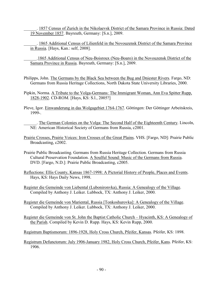\_\_\_\_\_\_. 1857 Census of Zurich in the Nikolaevsk District of the Samara Province in Russia: Dated 19 November 1857. Bayreuth, Germany: [S.n.], 2009.

\_\_\_\_\_\_. 1865 Additional Census of Lilienfeld in the Novouzensk District of the Samara Province in Russia. [Hays, Kan.: self, 2008].

\_\_\_\_\_\_.1865 Additional Census of Neu-Boisroux (Neu-Boaro) in the Novouzensk District of the Samara Province in Russia. Bayreuth, Germany: [S.n.], 2009.

- Philipps, John. The Germans by the Black Sea between the Bug and Dniester Rivers. Fargo, ND: Germans from Russia Heritage Collections, North Dakota State University Libraries, 2000.
- Pipkin, Norma. A Tribute to the Volga-Germans: The Immigrant Woman, Ann Eva Spitter Rupp, 1828-1902. CD-ROM. [Hays, KS: S.l., 2005?]
- Pleve, Igor. Einwanderung in das Wolgagebiet 1764-1767. Göttingen: Der Göttinger Arbeitskreis, 1999-.
	- . The German Colonies on the Volga: The Second Half of the Eighteenth Century. Lincoln, NE: American Historical Society of Germans from Russia, c2001.
- Prairie Crosses, Prairie Voices: Iron Crosses of the Great Plains. VHS. [Fargo, ND]: Prairie Public Broadcasting, c2002.
- Prairie Public Broadcasting. Germans from Russia Heritage Collection. Germans from Russia Cultural Preservation Foundation. A Soulful Sound: Music of the Germans from Russia. DVD. [Fargo, N.D.]: Prairie Public Broadcasting, c2005.
- Reflections: Ellis County, Kansas 1867-1998: A Pictorial History of People, Places and Events. Hays, KS: Hays Daily News, 1998.
- Register die Gemeinde von Liebental (Lubonironvka), Russia: A Genealogy of the Village. Compiled by Anthony J. Leiker. Lubbock, TX: Anthony J. Leiker, 2000.
- Register die Gemeinde von Mariental, Russia [Tonkoshurovka]: A Genealogy of the Village. Compiled by Anthony J. Leiker. Lubbock, TX: Anthony J. Leiker, 2000.
- Register die Gemeinde von St. John the Baptist Catholic Church Hyacinth, KS: A Genealogy of the Parish. Compiled by Kevin D. Rupp. Hays, KS: Kevin Rupp, 2000.
- Registrum Baptismorum: 1896-1928, Holy Cross Church, Pfeifer, Kansas. Pfeifer, KS: 1898.
- Registrum Defunctorum: July 1906-January 1982, Holy Cross Church, Pfeifer, Kans. Pfeifer, KS: 1906.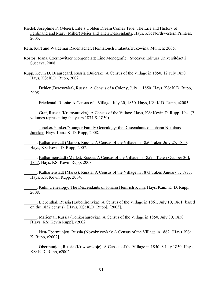Riedel, Josephine P. (Meier). Life's Golden Dream Comes True: The Life and History of Ferdinand and Mary (Miller) Meier and Their Descendants. Hays, KS: Northwestern Printers, 2005.

Rein, Kurt and Waldemar Rademacher. Heimatbuch Fratautz/Bukowina. Munich: 2005.

Rostoş, Ioana. Czernowitzer Morgenblatt: Eine Monografie. Suceava: Editura Universitéaøtii Suceava, 2008.

Rupp, Kevin D. Beauregard, Russia (Bujerak): A Census of the Village in 1850, 12 July 1850. Hays, KS: K.D. Rupp, 2002.

. Dehler (Beresowka), Russia: A Census of a Colony, July 1, 1850. Hays, KS: K.D. Rupp, 2005.

\_\_\_\_\_\_. Friedental, Russia: A Census of a Village, July 30, 1850. Hays, KS: K.D. Rupp, c2005.

\_\_\_\_\_\_. Graf, Russia (Krutoyarovka): A Census of the Village. Hays, KS: Kevin D. Rupp, 19--. (2 volumes representing the years 1834 & 1850)

\_\_\_\_\_\_. Juncker/Yunker/Younger Family Genealogy: the Descendants of Johann Nikolaus Juncker. Hays, Kan.: K. D. Rupp, 2008.

\_\_\_\_\_\_. Katharienstadt (Marks), Russia: A Census of the Village in 1850 Taken July 25, 1850. Hays, KS: Kevin D. Rupp, 2007.

. Katharinenstadt (Marks), Russia. A Census of the Village in 1857. [Taken-October 30], 1857. Hays, KS: Kevin Rupp, 2008.

\_\_\_\_\_\_. Katharienstadt (Marks), Russia: A Census of the Village in 1873 Taken January 1, 1873. Hays, KS: Kevin Rupp, 2004.

\_\_\_\_\_\_. Kuhn Genealogy: The Descendants of Johann Heinrich Kuhn. Hays, Kan.: K. D. Rupp, 2008.

\_\_\_\_\_\_. Liebenthal, Russia (Lubonironvka): A Census of the Village in 1861, July 10, 1861 (based on the 1857 census). [Hays, KS: K.D. Rupp], [2003].

\_\_\_\_\_\_. Mariental, Russia (Tonkoshurovka): A Census of the Village in 1850, July 30, 1850. [Hays, KS: Kevin Rupp], c2002.

. Neu-Obermunjou, Russia (Novokrivovka): A Census of the Village in 1862. [Hays, KS: K. Rupp, c2002].

. Obermunjou, Russia (Kriwowskoje): A Census of the Village in 1850, 8 July 1850. Hays, KS: K.D. Rupp, c2002.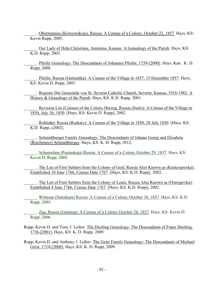. Obermunjou (Kriwowskoje), Russia: A Census of a Colony, October 22, 1857. Hays, KS: Kevin Rupp, 2005.

\_\_\_\_\_\_. Our Lady of Help Christians, Antonino, Kansas: A Genealogy of the Parish. Hays, KS: K.D. Rupp, 2003.

\_\_\_\_\_\_. Pfeifer Genealogy: The Descendants of Johannes Pfeifer, 1739-[2000]. Hays, Kan.: K. D. Rupp, 2008.

\_\_\_\_\_\_. Pfeifer, Russia (Gnilushka): A Census of the Village in 1857, 15 December 1857. Hays, KS: Kevin D. Rupp, 2003.

. Register Die Gemeinde von St. Severin Catholic Church, Severin, Kansas, 1916-1982: A History & Genealogy of the Parish. Hays, KS: K.D. Rupp, 2001.

Revision List (Census) of the Colony Herzog, Russia (Susly): A Census of the Village in 1850, July 30, 1850. [Hays, KS: Kevin D. Rupp], 2002.

. Rohleder, Russia (Raskaty): A Census of the Village in 1850, 28 July 1850. [Hays, KS: K.D. Rupp, c2002].

\_\_\_\_\_\_. Schmidtberger Family Genealogy: The Descendants of Johann Georg and Elisabeta (Reichmeier) Schmidtberger. Hays, KS: K. D. Rupp, 2012.

. Schoenchen (Paninskaja) Russia: A Census of a Colony October 29, 1857. Hays, KS: Kevin D. Rupp, 2005.

The List of First Settlers from the Colony of Graf, Russia Also Known as (Krutoyarovka): Established 10 June 1766, Census Date 1767. [Hays, KS: K.D. Rupp], 2002.

. The List of First Settlers from the Colony of Louis, Russia Also Known as (Ostrogovka): Established 4 June 1766, Census Date 1767. [Hays, KS: K.D. Rupp], 2002.

\_\_\_\_\_\_. Wittman (Solothurn) Russia: A Census of a Colony October 30, 1857. Hays, KS: K.D. Rupp, 2005.

\_\_\_\_\_\_. Zug, Russia (Gattung): A Census of a Colony October 26, 1857. Hays, KS: Kevin D. Rupp, 2006.

Rupp, Kevin D. and Tony J. Leiker. The Dreiling Genealogy: The Descendants of Franz Dreiling, 1736-[2001]. Hays, KS: K. D. Rupp, 2009.

Rupp, Kevin D. and Anthony J. Leiker. The Geist Family Genealogy: The Descendants of Michael Geist, 1714-[2000]. Hays, KS: K. D. Rupp, 2009.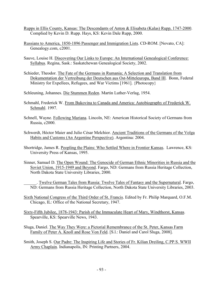- Rupps in Ellis County, Kansas: The Descendants of Anton & Elisabeta (Kalas) Rupp, 1747-2000. Complied by Kevin D. Rupp. Hays, KS: Kevin Dale Rupp, 2000.
- Russians to America, 1850-1896 Passenger and Immigration Lists. CD-ROM. [Novato, CA]: Genealogy.com, c2001.
- Sauve, Louise H. Discovering Our Links to Europe: An International Genealogical Conference: Syllabus. Regina, Sask.: Saskatchewan Genealogical Society, 2002.
- Schieder, Theodor. The Fate of the Germans in Rumania; A Selection and Translation from Dokumentation der Vertreibung der Deutschen aus Ost-Mitteleuropa, Band III. Bonn, Federal Ministry for Expellees, Refugees, and War Victims [1961]. {Photocopy}
- Schleuning, Johannes. Die Stummen Reden. Martin Luther-Verlag, 1954.
- Schmahl, Frederick W. From Bukovina to Canada and America: Autobiography of Frederick W. Schmahl. 1997.
- Schnell, Wayne. Following Mariana. Lincoln, NE: American Historical Society of Germans from Russia, c2000.
- Schwerdt, Héctor Maier and Julio César Melchior. Ancient Traditions of the Germans of the Volga Habits and Customs (An Argentine Perspective). Argentina: 2004.
- Shortridge, James R. Peopling the Plains: Who Settled Where in Frontier Kansas. Lawrence, KS: University Press of Kansas, 1995.
- Sinner, Samuel D. The Open Wound: The Genocide of German Ethnic Minorities in Russia and the Soviet Union, 1915-1949 and Beyond. Fargo, ND: Germans from Russia Heritage Collection, North Dakota State University Libraries, 2000.
	- . Twelve German Tales from Russia: Twelve Tales of Fantasy and the Supernatural. Fargo, ND: Germans from Russia Heritage Collection, North Dakota State University Libraries, 2003.
- Sixth National Congress of the Third Order of St. Francis. Edited by Fr. Philip Marquard, O.F.M. Chicago, IL: Office of the National Secretary, 1947.
- Sixty-Fifth Jubilee, 1878-1943: Parish of the Immaculate Heart of Mary, Windthorst, Kansas. Spearville, KS: Spearville News, 1943.
- Sluga, Daniel. The Way They Were: a Pictorial Remembrance of the St. Peter, Kansas Farm Family of Peter A. Knoll and Rose Von Feld. [S.l.: Daniel and Carol Sluga, 2008].
- Smith, Joseph S. Our Padre: The Inspiring Life and Stories of Fr. Kilian Dreiling, C.PP.S. WWII Army Chaplain. Indianapolis, IN: Printing Partners, 2004.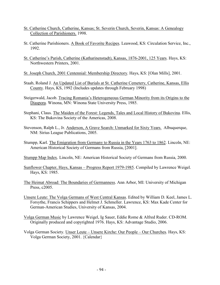- St. Catherine Church, Catherine, Kansas; St. Severin Church, Severin, Kansas: A Genealogy Collection of Parishioners. 1998.
- St. Catherine Parishioners. A Book of Favorite Recipes. Leawood, KS: Circulation Service, Inc., 1992.
- St. Catherine's Parish, Catherine (Katharinenstadt), Kansas, 1876-2001, 125 Years. Hays, KS: Northwestern Printers, 2001.

St. Joseph Church, 2001 Centennial: Membership Directory. Hays, KS: [Olan Mills], 2001.

- Staab, Roland J. An Updated List of Burials at St. Catherine Cemetery, Catherine, Kansas, Ellis County. Hays, KS, 1992 (Includes updates through February 1998)
- Steigerwald, Jacob. Tracing Romania's Heterogeneous German Minority from its Origins to the Diaspora. Winona, MN: Winona State University Press, 1985.
- Stephani, Claus. The Maiden of the Forest: Legends, Tales and Local History of Bukovina. Ellis, KS: The Bukovina Society of the Americas, 2008.
- Stevenson, Ralph L., Jr. Anderson, A Grave Search: Unmarked for Sixty Years. Albuquerque, NM: Sirius League Publications, 2005.
- Stumpp, Karl. The Emigration from Germany to Russia in the Years 1763 to 1862. Lincoln, NE: American Historical Society of Germans from Russia, [2001].
- Stumpp Map Index. Lincoln, NE: American Historical Society of Germans from Russia, 2000.
- Sunflower Chapter, Hays, Kansas Progress Report 1979-1985. Compiled by Lawrence Weigel. Hays, KS: 1985.
- The Heimat Abroad: The Boundaries of Germanness. Ann Arbor, MI: University of Michigan Press, c2005.
- Unsere Leute: The Volga Germans of West Central Kansas. Edited by William D. Keel, James L. Forsythe, Francis Schippers and Helmet J. Schmeller. Lawrence, KS: Max Kade Center for German-American Studies, University of Kansas, 2004.
- Volga German Music by Lawrence Weigel, Ig Sauer, Eddie Rome & Alfred Ruder. CD-ROM. Originally produced and copyrighted 1976. Hays, KS: Advantage Studio, 2006.
- Volga German Society. Unser Leute Unsere Kirche: Our People Our Churches. Hays, KS: Volga German Society, 2001. {Calendar}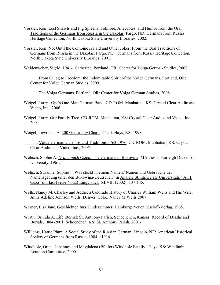- Vossler, Ron. Lost Shawls and Pig Spleens: Folklore, Anecdotes, and Humor from the Oral Traditions of the Germans from Russia in the Dakotas. Fargo, ND: Germans from Russia Heritage Collection, North Dakota State University Libraries, 2002.
- Vossler, Ron. Not Until the Combine is Paid and Other Jokes: From the Oral Traditions of Germans from Russia in the Dakotas. Fargo, ND: Germans from Russia Heritage Collection, North Dakota State University Libraries, 2001.

Weidenweber, Sigrid, 1941-. Catherine. Portland, OR: Center for Volga German Studies, 2008.

\_\_\_\_\_\_. From Gulag to Freedom: the Indomitable Spirit of the Volga Germans. Portland, OR: Center for Volga German Studies, 2009.

\_\_\_\_\_\_. The Volga Germans. Portland, OR: Center for Volga German Studies, 2008.

- Weigel, Larry. Opa's One-Man German Band. CD-ROM. Manhattan, KS: Crystal Clear Audio and Video, Inc., 2006.
- Weigel, Larry. Our Family Tree. CD-ROM. Manhattan, KS: Crystal Clear Audio and Video, Inc., 2004.

Weigel, Lawrence A. 200 Genealogy Charts. Chart. Hays, KS: 1998.

- Welisch, Sophie A. *Drang nach Osten:* The Germans in Bukovina. MA thesis, Fairleigh Dickenson University, 1961.
- Welisch, Susanne (Sophie). "Was steckt in einem Namen? Namen und Gebräuche der Namensgebung unter den Bukowina-Deutschen" in Analele Stiintifice ale Universității "Al. I. Cuza" din Iaşi (Serie Nouă) Lingvistică XLVIII (2002): 137-145.
- Wells, Nancy M. Charley and Addie: a Colorado History of Charles William Wells and His Wife, Anna Adeline Johnson Wells. Denver, Colo.: Nancy M Wells 2007.

Werner, Elsa Jane. Geschichten furs Kinderzimmer. Hamburg: Neuer Tessloff-Verlag, 1968.

- Werth, Orlinda A. Life Eternal: St. Anthony Parish, Schoenchen, Kansas, Record of Deaths and Burials, 1884-2001. Schoenchen, KS: St. Anthony Parish, 2001- .
- Williams, Hattie Plum. A Social Study of the Russian German. Lincoln, NE: American Historical Society of Germans from Russia, 1984, c1916.
- Windholz, Oren. Johannes and Magdalena (Pfeifer) Windholz Family. Hays, KS: Windholz Reunion Committee, 2000.

\_\_\_\_\_\_. Volga German Customs and Traditions 1763-1976. CD-ROM. Manhattan, KS: Crystal Clear Audio and Video, Inc., 2005